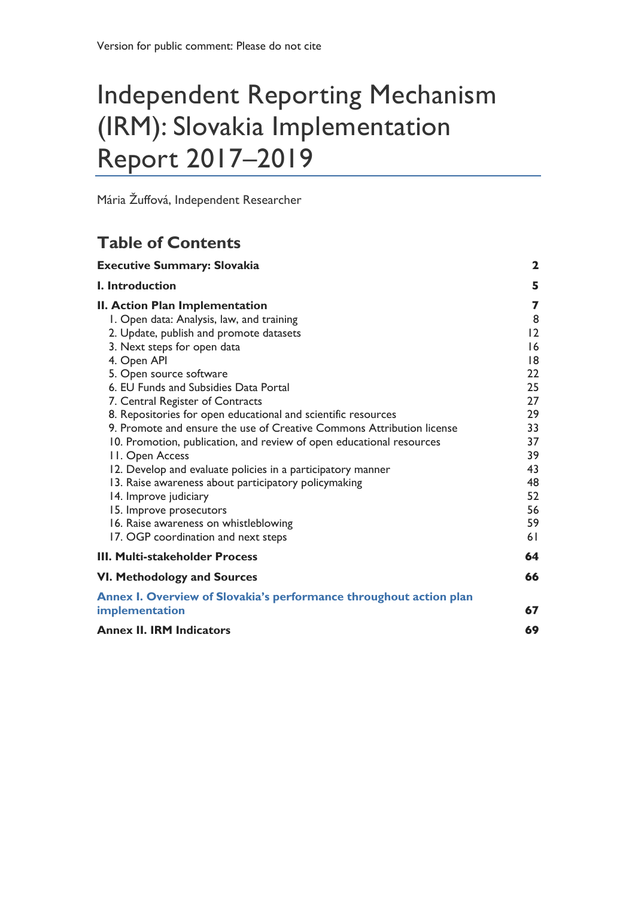# Independent Reporting Mechanism (IRM): Slovakia Implementation Report 2017–2019

Mária Žuffová, Independent Researcher

# **Table of Contents**

| <b>Executive Summary: Slovakia</b>                                    | $\mathbf{2}$ |
|-----------------------------------------------------------------------|--------------|
| I. Introduction                                                       | 5            |
| II. Action Plan Implementation                                        | 7            |
| I. Open data: Analysis, law, and training                             | 8            |
| 2. Update, publish and promote datasets                               | 2            |
| 3. Next steps for open data                                           | 16           |
| 4. Open API                                                           | 18           |
| 5. Open source software                                               | 22           |
| 6. EU Funds and Subsidies Data Portal                                 | 25           |
| 7. Central Register of Contracts                                      | 27           |
| 8. Repositories for open educational and scientific resources         | 29           |
| 9. Promote and ensure the use of Creative Commons Attribution license | 33           |
| 10. Promotion, publication, and review of open educational resources  | 37           |
| 11. Open Access                                                       | 39           |
| 12. Develop and evaluate policies in a participatory manner           | 43           |
| 13. Raise awareness about participatory policymaking                  | 48           |
| 14. Improve judiciary                                                 | 52           |
| 15. Improve prosecutors                                               | 56           |
| 16. Raise awareness on whistleblowing                                 | 59           |
| 17. OGP coordination and next steps                                   | 61           |
| <b>III. Multi-stakeholder Process</b>                                 | 64           |
| <b>VI. Methodology and Sources</b>                                    | 66           |
| Annex I. Overview of Slovakia's performance throughout action plan    |              |
| implementation                                                        | 67           |
| <b>Annex II. IRM Indicators</b>                                       | 69           |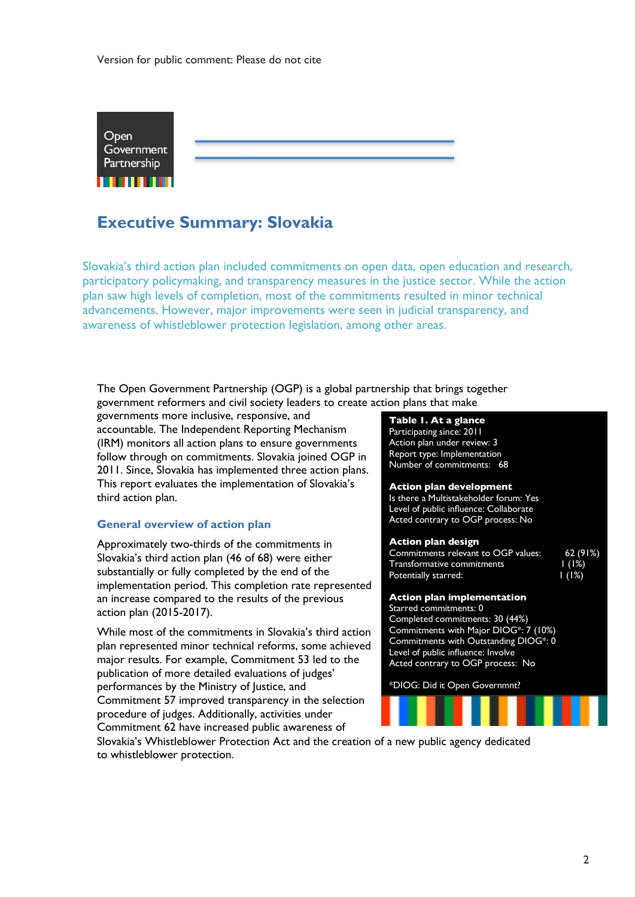

# **Executive Summary: Slovakia**

Slovakia's third action plan included commitments on open data, open education and research, participatory policymaking, and transparency measures in the justice sector. While the action plan saw high levels of completion, most of the commitments resulted in minor technical advancements. However, major improvements were seen in judicial transparency, and awareness of whistleblower protection legislation, among other areas.

The Open Government Partnership (OGP) is a global partnership that brings together government reformers and civil society leaders to create action plans that make

governments more inclusive, responsive, and accountable. The Independent Reporting Mechanism (IRM) monitors all action plans to ensure governments follow through on commitments. Slovakia joined OGP in 2011. Since, Slovakia has implemented three action plans. This report evaluates the implementation of Slovakia's third action plan.

#### **General overview of action plan**

Approximately two-thirds of the commitments in Slovakia's third action plan (46 of 68) were either substantially or fully completed by the end of the implementation period. This completion rate represented an increase compared to the results of the previous action plan (2015-2017).

While most of the commitments in Slovakia's third action plan represented minor technical reforms, some achieved major results. For example, Commitment 53 led to the publication of more detailed evaluations of judges' performances by the Ministry of Justice, and Commitment 57 improved transparency in the selection procedure of judges. Additionally, activities under Commitment 62 have increased public awareness of

#### **Table 1. At a glance** Participating since: 2011 Action plan under review: 3 Report type: Implementation Number of commitments: 68

**Action plan development** Is there a Multistakeholder forum: Yes Level of public influence: Collaborate Acted contrary to OGP process: No

#### **Action plan design**

| Commitments relevant to OGP values: | 62(91%)            |
|-------------------------------------|--------------------|
| Transformative commitments          | 1(1%)              |
| Potentially starred:                | $\frac{1}{2}$ (1%) |

#### **Action plan implementation** Starred commitments: 0

Completed commitments: 30 (44%) Commitments with Major DIOG\*: 7 (10%) Commitments with Outstanding DIOG\*: 0 Level of public influence: Involve Acted contrary to OGP process: No

\*DIOG: Did it Open Governmnt?



Slovakia's Whistleblower Protection Act and the creation of a new public agency dedicated to whistleblower protection.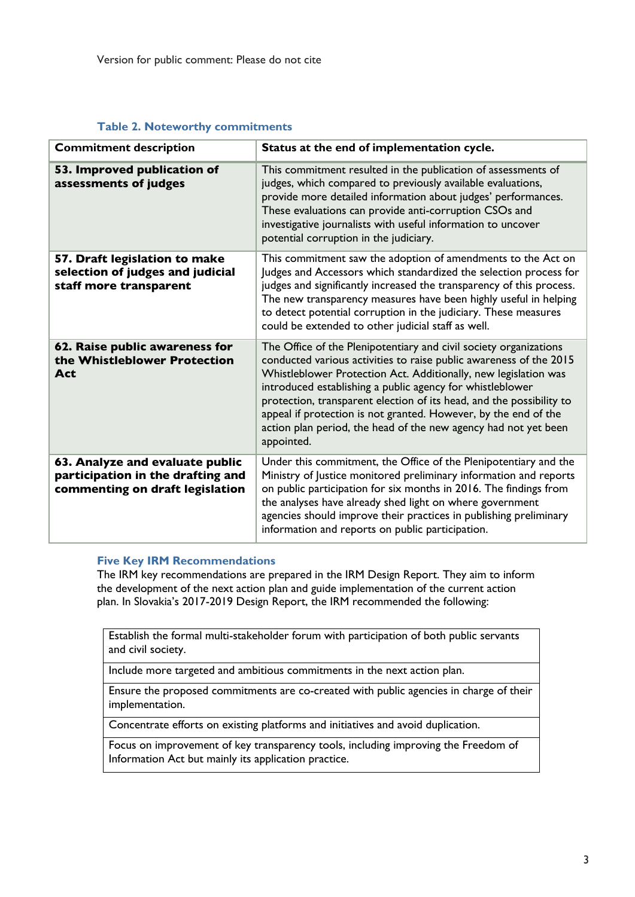#### **Table 2. Noteworthy commitments**

| <b>Commitment description</b>                                                                           | Status at the end of implementation cycle.                                                                                                                                                                                                                                                                                                                                                                                                                                                          |
|---------------------------------------------------------------------------------------------------------|-----------------------------------------------------------------------------------------------------------------------------------------------------------------------------------------------------------------------------------------------------------------------------------------------------------------------------------------------------------------------------------------------------------------------------------------------------------------------------------------------------|
| 53. Improved publication of<br>assessments of judges                                                    | This commitment resulted in the publication of assessments of<br>judges, which compared to previously available evaluations,<br>provide more detailed information about judges' performances.<br>These evaluations can provide anti-corruption CSOs and<br>investigative journalists with useful information to uncover<br>potential corruption in the judiciary.                                                                                                                                   |
| 57. Draft legislation to make<br>selection of judges and judicial<br>staff more transparent             | This commitment saw the adoption of amendments to the Act on<br>Judges and Accessors which standardized the selection process for<br>judges and significantly increased the transparency of this process.<br>The new transparency measures have been highly useful in helping<br>to detect potential corruption in the judiciary. These measures<br>could be extended to other judicial staff as well.                                                                                              |
| 62. Raise public awareness for<br>the Whistleblower Protection<br>Act                                   | The Office of the Plenipotentiary and civil society organizations<br>conducted various activities to raise public awareness of the 2015<br>Whistleblower Protection Act. Additionally, new legislation was<br>introduced establishing a public agency for whistleblower<br>protection, transparent election of its head, and the possibility to<br>appeal if protection is not granted. However, by the end of the<br>action plan period, the head of the new agency had not yet been<br>appointed. |
| 63. Analyze and evaluate public<br>participation in the drafting and<br>commenting on draft legislation | Under this commitment, the Office of the Plenipotentiary and the<br>Ministry of Justice monitored preliminary information and reports<br>on public participation for six months in 2016. The findings from<br>the analyses have already shed light on where government<br>agencies should improve their practices in publishing preliminary<br>information and reports on public participation.                                                                                                     |

#### **Five Key IRM Recommendations**

The IRM key recommendations are prepared in the IRM Design Report. They aim to inform the development of the next action plan and guide implementation of the current action plan. In Slovakia's 2017-2019 Design Report, the IRM recommended the following:

Establish the formal multi-stakeholder forum with participation of both public servants and civil society.

Include more targeted and ambitious commitments in the next action plan.

Ensure the proposed commitments are co-created with public agencies in charge of their implementation.

Concentrate efforts on existing platforms and initiatives and avoid duplication.

Focus on improvement of key transparency tools, including improving the Freedom of Information Act but mainly its application practice.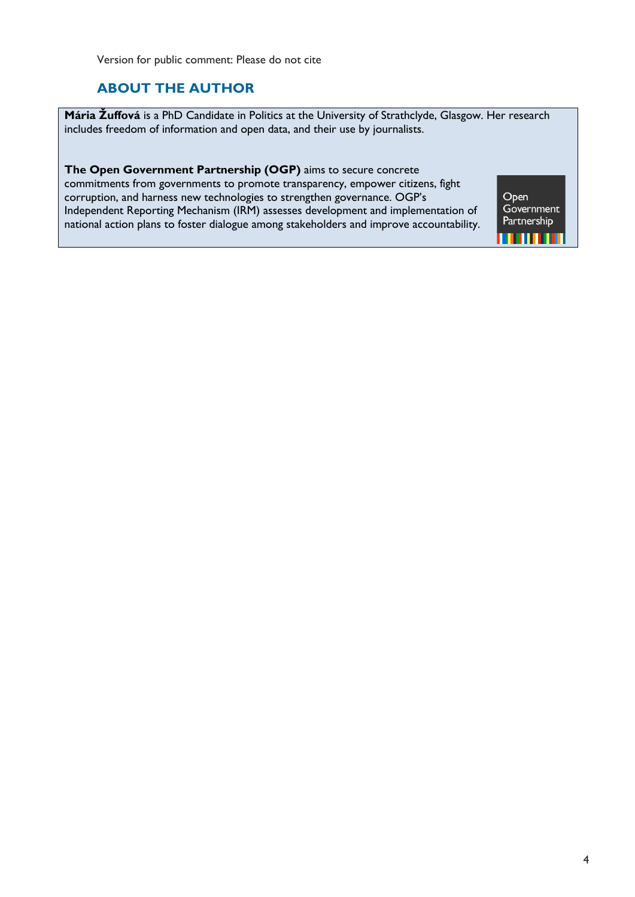Version for public comment: Please do not cite

# **ABOUT THE AUTHOR**

**Mária Žuffová** is a PhD Candidate in Politics at the University of Strathclyde, Glasgow. Her research includes freedom of information and open data, and their use by journalists.

**The Open Government Partnership (OGP)** aims to secure concrete commitments from governments to promote transparency, empower citizens, fight corruption, and harness new technologies to strengthen governance. OGP's Independent Reporting Mechanism (IRM) assesses development and implementation of national action plans to foster dialogue among stakeholders and improve accountability.

Open<br>Government Partnership ,,,,,,,,,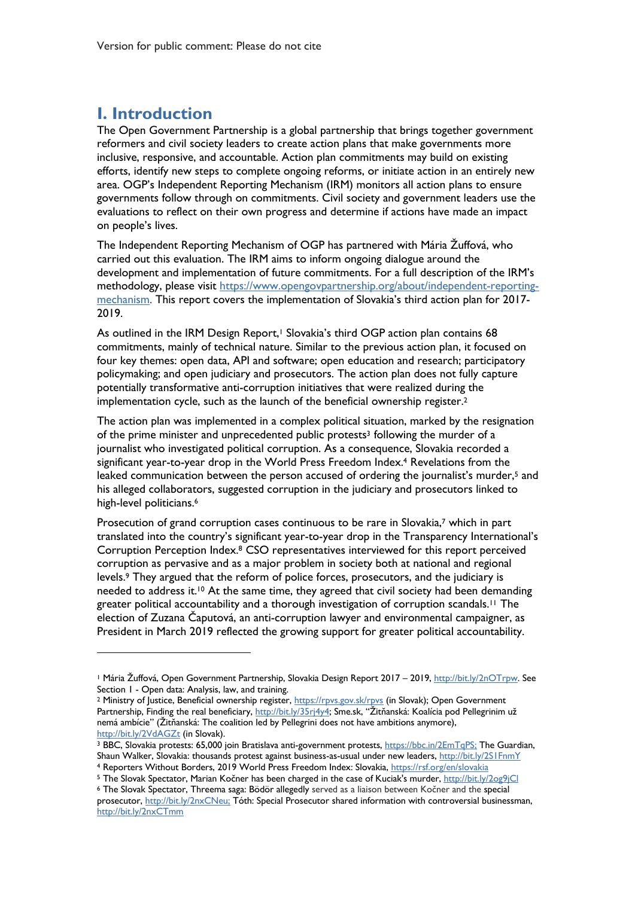# **I. Introduction**

 $\overline{a}$ 

The Open Government Partnership is a global partnership that brings together government reformers and civil society leaders to create action plans that make governments more inclusive, responsive, and accountable. Action plan commitments may build on existing efforts, identify new steps to complete ongoing reforms, or initiate action in an entirely new area. OGP's Independent Reporting Mechanism (IRM) monitors all action plans to ensure governments follow through on commitments. Civil society and government leaders use the evaluations to reflect on their own progress and determine if actions have made an impact on people's lives.

The Independent Reporting Mechanism of OGP has partnered with Mária Žuffová, who carried out this evaluation. The IRM aims to inform ongoing dialogue around the development and implementation of future commitments. For a full description of the IRM's methodology, please visit https://www.opengovpartnership.org/about/independent-reportingmechanism. This report covers the implementation of Slovakia's third action plan for 2017- 2019.

As outlined in the IRM Design Report,<sup>1</sup> Slovakia's third OGP action plan contains 68 commitments, mainly of technical nature. Similar to the previous action plan, it focused on four key themes: open data, API and software; open education and research; participatory policymaking; and open judiciary and prosecutors. The action plan does not fully capture potentially transformative anti-corruption initiatives that were realized during the implementation cycle, such as the launch of the beneficial ownership register. 2

The action plan was implemented in a complex political situation, marked by the resignation of the prime minister and unprecedented public protests<sup>3</sup> following the murder of a journalist who investigated political corruption. As a consequence, Slovakia recorded a significant year-to-year drop in the World Press Freedom Index. <sup>4</sup> Revelations from the leaked communication between the person accused of ordering the journalist's murder,<sup>5</sup> and his alleged collaborators, suggested corruption in the judiciary and prosecutors linked to high-level politicians.<sup>6</sup>

Prosecution of grand corruption cases continuous to be rare in Slovakia, <sup>7</sup> which in part translated into the country's significant year-to-year drop in the Transparency International's Corruption Perception Index.<sup>8</sup> CSO representatives interviewed for this report perceived corruption as pervasive and as a major problem in society both at national and regional levels.9 They argued that the reform of police forces, prosecutors, and the judiciary is needed to address it.<sup>10</sup> At the same time, they agreed that civil society had been demanding greater political accountability and a thorough investigation of corruption scandals. <sup>11</sup> The election of Zuzana Čaputová, an anti-corruption lawyer and environmental campaigner, as President in March 2019 reflected the growing support for greater political accountability.

<sup>1</sup> Mária Žuffová, Open Government Partnership, Slovakia Design Report 2017 – 2019, http://bit.ly/2nOTrpw. See

Section 1 - Open data: Analysis, law, and training.<br><sup>2</sup> Ministry of Justice, Beneficial ownership register, https://rpvs.gov.sk/rpvs (in Slovak); Open Government Partnership, Finding the real beneficiary, http://bit.ly/35rj4y4; Sme.sk, "Žitňanská: Koalícia pod Pellegrinim už nemá ambície" (Žitňanská: The coalition led by Pellegrini does not have ambitions anymore),

http://bit.ly/2VdAGZt (in Slovak).<br><sup>3</sup> BBC, Slovakia protests: 65,000 join Bratislava anti-government protests, https://bbc.in/2EmTqPS; The Guardian, Shaun Walker, Slovakia: thousands protest against business-as-usual under new leaders, http://bit.ly/2S1FnmY

<sup>4</sup> Reporters Without Borders, 2019 World Press Freedom Index: Slovakia, https://rsf.org/en/slovakia 5 The Slovakia 5 The Slovak Spectator, Marian Kočner has been charged in the case of Kuciak's murder, http://bit.ly/2og9jCl

<sup>6</sup> The Slovak Spectator, Threema saga: Bödör allegedly served as a liaison between Kočner and the special prosecutor, http://bit.ly/2nxCNeu; Tóth: Special Prosecutor shared information with controversial businessman, http://bit.ly/2nxCTmm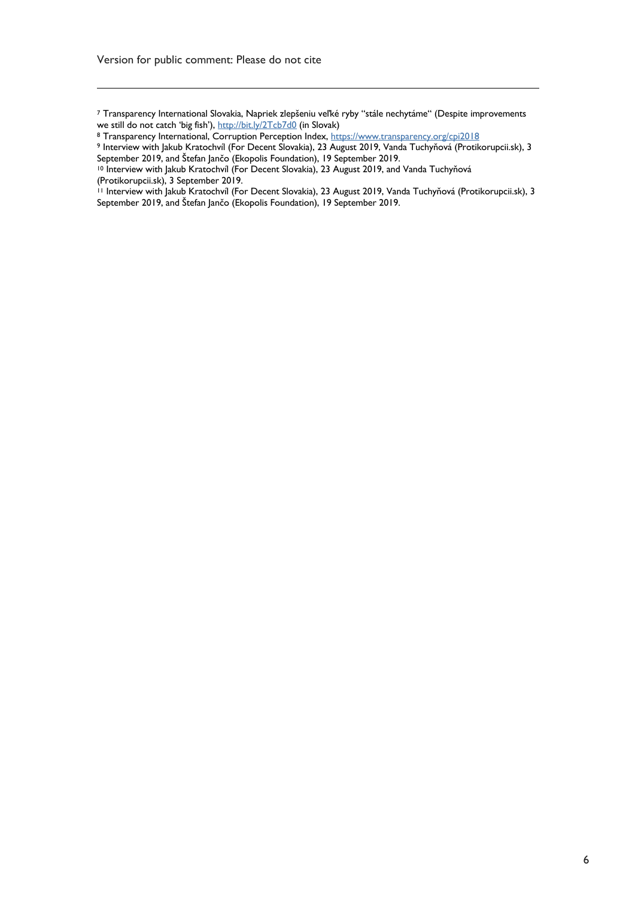<u>.</u>

<sup>7</sup> Transparency International Slovakia, Napriek zlepšeniu veľké ryby "stále nechytáme" (Despite improvements we still do not catch 'big fish'), <u>http://bit.ly/2Tcb7d0</u> (in Slovak)

<sup>8</sup> Transparency International, Corruption Perception Index, https://www.transparency.org/cpi2018

<sup>9</sup> Interview with Jakub Kratochvíl (For Decent Slovakia), 23 August 2019, Vanda Tuchyňová (Protikorupcii.sk), 3<br>September 2019, and Štefan Jančo (Ekopolis Foundation), 19 September 2019.

<sup>&</sup>lt;sup>10</sup> Interview with Jakub Kratochvíl (For Decent Slovakia), 23 August 2019, and Vanda Tuchyňová (Protikorupcii.sk), 3 September 2019.

<sup>11</sup> Interview with Jakub Kratochvíl (For Decent Slovakia), 23 August 2019, Vanda Tuchyňová (Protikorupcii.sk), 3 September 2019, and Štefan Jančo (Ekopolis Foundation), 19 September 2019.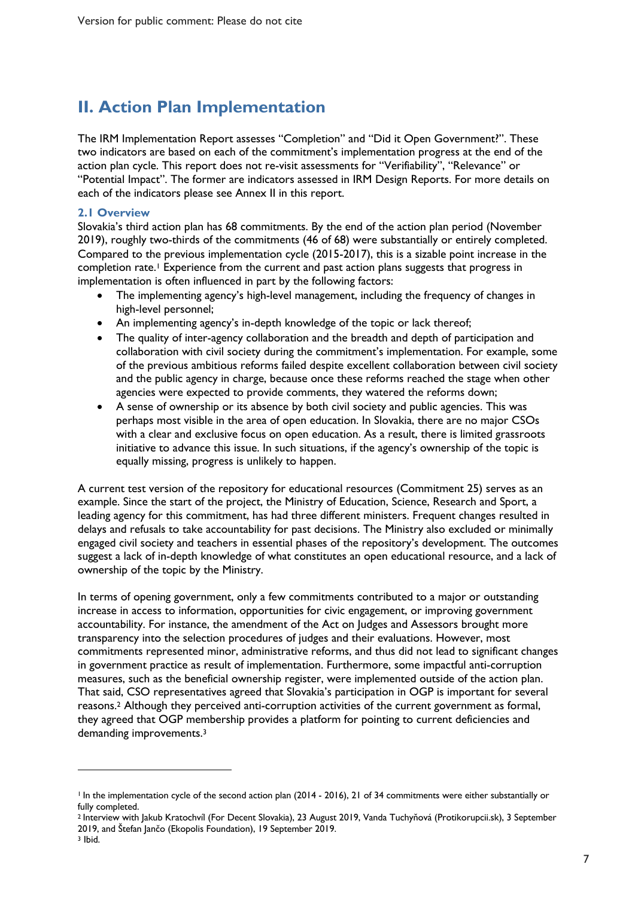# **II. Action Plan Implementation**

The IRM Implementation Report assesses "Completion" and "Did it Open Government?". These two indicators are based on each of the commitment's implementation progress at the end of the action plan cycle. This report does not re-visit assessments for "Verifiability", "Relevance" or "Potential Impact". The former are indicators assessed in IRM Design Reports. For more details on each of the indicators please see Annex II in this report.

#### **2.1 Overview**

 $\overline{a}$ 

Slovakia's third action plan has 68 commitments. By the end of the action plan period (November 2019), roughly two-thirds of the commitments (46 of 68) were substantially or entirely completed. Compared to the previous implementation cycle (2015-2017), this is a sizable point increase in the completion rate.<sup>1</sup> Experience from the current and past action plans suggests that progress in implementation is often influenced in part by the following factors:

- The implementing agency's high-level management, including the frequency of changes in high-level personnel;
- An implementing agency's in-depth knowledge of the topic or lack thereof;
- The quality of inter-agency collaboration and the breadth and depth of participation and collaboration with civil society during the commitment's implementation. For example, some of the previous ambitious reforms failed despite excellent collaboration between civil society and the public agency in charge, because once these reforms reached the stage when other agencies were expected to provide comments, they watered the reforms down;
- A sense of ownership or its absence by both civil society and public agencies. This was perhaps most visible in the area of open education. In Slovakia, there are no major CSOs with a clear and exclusive focus on open education. As a result, there is limited grassroots initiative to advance this issue. In such situations, if the agency's ownership of the topic is equally missing, progress is unlikely to happen.

A current test version of the repository for educational resources (Commitment 25) serves as an example. Since the start of the project, the Ministry of Education, Science, Research and Sport, a leading agency for this commitment, has had three different ministers. Frequent changes resulted in delays and refusals to take accountability for past decisions. The Ministry also excluded or minimally engaged civil society and teachers in essential phases of the repository's development. The outcomes suggest a lack of in-depth knowledge of what constitutes an open educational resource, and a lack of ownership of the topic by the Ministry.

In terms of opening government, only a few commitments contributed to a major or outstanding increase in access to information, opportunities for civic engagement, or improving government accountability. For instance, the amendment of the Act on Judges and Assessors brought more transparency into the selection procedures of judges and their evaluations. However, most commitments represented minor, administrative reforms, and thus did not lead to significant changes in government practice as result of implementation. Furthermore, some impactful anti-corruption measures, such as the beneficial ownership register, were implemented outside of the action plan. That said, CSO representatives agreed that Slovakia's participation in OGP is important for several reasons. <sup>2</sup> Although they perceived anti-corruption activities of the current government as formal, they agreed that OGP membership provides a platform for pointing to current deficiencies and demanding improvements.<sup>3</sup>

7

<sup>&</sup>lt;sup>1</sup> In the implementation cycle of the second action plan (2014 - 2016), 21 of 34 commitments were either substantially or fully completed.

<sup>2</sup> Interview with Jakub Kratochvíl (For Decent Slovakia), 23 August 2019, Vanda Tuchyňová (Protikorupcii.sk), 3 September 2019, and Štefan Jančo (Ekopolis Foundation), 19 September 2019. <sup>3</sup> Ibid.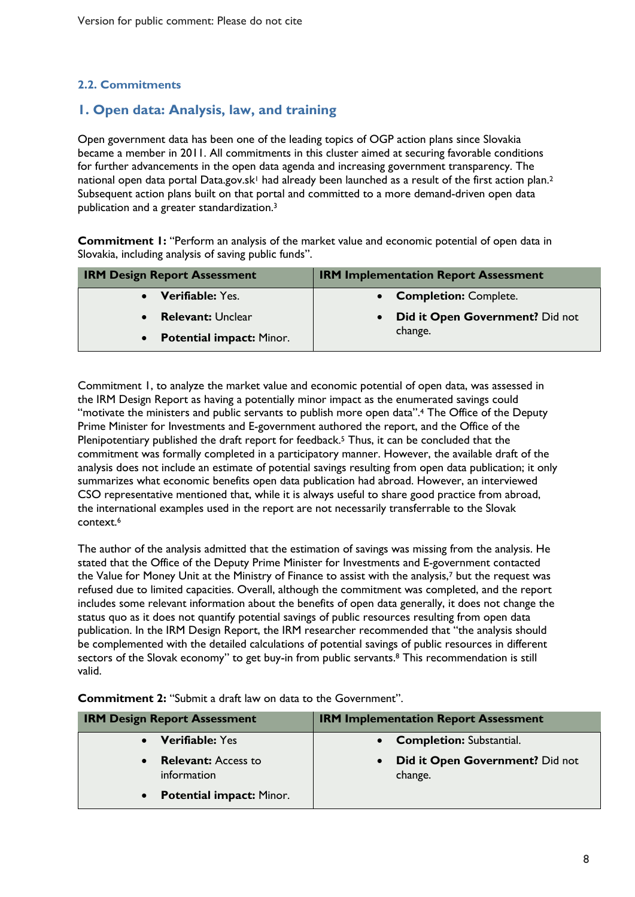#### **2.2. Commitments**

### **1. Open data: Analysis, law, and training**

Open government data has been one of the leading topics of OGP action plans since Slovakia became a member in 2011. All commitments in this cluster aimed at securing favorable conditions for further advancements in the open data agenda and increasing government transparency. The national open data portal Data.gov.sk<sup>1</sup> had already been launched as a result of the first action plan.<sup>2</sup> Subsequent action plans built on that portal and committed to a more demand-driven open data publication and a greater standardization.3

**Commitment 1:** "Perform an analysis of the market value and economic potential of open data in Slovakia, including analysis of saving public funds".

| <b>IRM Design Report Assessment</b> | <b>IRM Implementation Report Assessment</b> |
|-------------------------------------|---------------------------------------------|
| <b>Verifiable:</b> Yes.             | • Completion: Complete.                     |
| <b>Relevant: Unclear</b>            | Did it Open Government? Did not             |
| <b>Potential impact: Minor.</b>     | change.                                     |

Commitment 1, to analyze the market value and economic potential of open data, was assessed in the IRM Design Report as having a potentially minor impact as the enumerated savings could "motivate the ministers and public servants to publish more open data".4 The Office of the Deputy Prime Minister for Investments and E-government authored the report, and the Office of the Plenipotentiary published the draft report for feedback.<sup>5</sup> Thus, it can be concluded that the commitment was formally completed in a participatory manner. However, the available draft of the analysis does not include an estimate of potential savings resulting from open data publication; it only summarizes what economic benefits open data publication had abroad. However, an interviewed CSO representative mentioned that, while it is always useful to share good practice from abroad, the international examples used in the report are not necessarily transferrable to the Slovak context.6

The author of the analysis admitted that the estimation of savings was missing from the analysis. He stated that the Office of the Deputy Prime Minister for Investments and E-government contacted the Value for Money Unit at the Ministry of Finance to assist with the analysis,7 but the request was refused due to limited capacities. Overall, although the commitment was completed, and the report includes some relevant information about the benefits of open data generally, it does not change the status quo as it does not quantify potential savings of public resources resulting from open data publication. In the IRM Design Report, the IRM researcher recommended that "the analysis should be complemented with the detailed calculations of potential savings of public resources in different sectors of the Slovak economy" to get buy-in from public servants.<sup>8</sup> This recommendation is still valid.

**Commitment 2:** "Submit a draft law on data to the Government".

| <b>IRM Design Report Assessment</b>                    | <b>IRM Implementation Report Assessment</b>             |
|--------------------------------------------------------|---------------------------------------------------------|
| <b>Verifiable:</b> Yes<br>$\bullet$                    | • Completion: Substantial.                              |
| <b>Relevant:</b> Access to<br>$\bullet$<br>information | Did it Open Government? Did not<br>$\bullet$<br>change. |
| <b>Potential impact: Minor.</b><br>$\bullet$           |                                                         |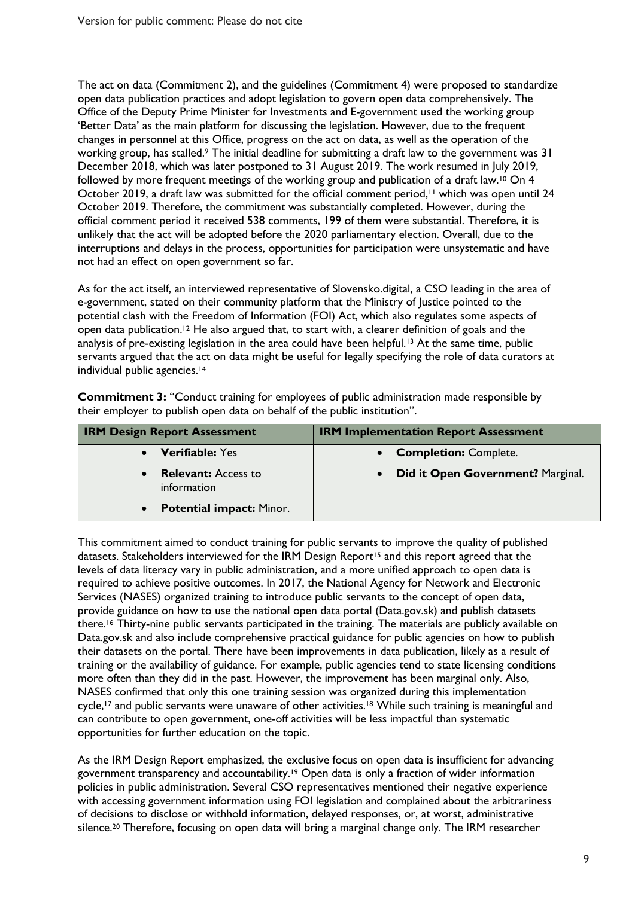The act on data (Commitment 2), and the guidelines (Commitment 4) were proposed to standardize open data publication practices and adopt legislation to govern open data comprehensively. The Office of the Deputy Prime Minister for Investments and E-government used the working group 'Better Data' as the main platform for discussing the legislation. However, due to the frequent changes in personnel at this Office, progress on the act on data, as well as the operation of the working group, has stalled.9 The initial deadline for submitting a draft law to the government was 31 December 2018, which was later postponed to 31 August 2019. The work resumed in July 2019, followed by more frequent meetings of the working group and publication of a draft law.<sup>10</sup> On 4 October 2019, a draft law was submitted for the official comment period,<sup>11</sup> which was open until 24 October 2019. Therefore, the commitment was substantially completed. However, during the official comment period it received 538 comments, 199 of them were substantial. Therefore, it is unlikely that the act will be adopted before the 2020 parliamentary election. Overall, due to the interruptions and delays in the process, opportunities for participation were unsystematic and have not had an effect on open government so far.

As for the act itself, an interviewed representative of Slovensko.digital, a CSO leading in the area of e-government, stated on their community platform that the Ministry of Justice pointed to the potential clash with the Freedom of Information (FOI) Act, which also regulates some aspects of open data publication. <sup>12</sup> He also argued that, to start with, a clearer definition of goals and the analysis of pre-existing legislation in the area could have been helpful.<sup>13</sup> At the same time, public servants argued that the act on data might be useful for legally specifying the role of data curators at individual public agencies.<sup>14</sup>

**Commitment 3:** "Conduct training for employees of public administration made responsible by their employer to publish open data on behalf of the public institution".

| <b>IRM Design Report Assessment</b>          | <b>IRM Implementation Report Assessment</b>    |
|----------------------------------------------|------------------------------------------------|
| <b>Verifiable: Yes</b><br>$\bullet$          | • Completion: Complete.                        |
| <b>Relevant:</b> Access to<br>information    | Did it Open Government? Marginal.<br>$\bullet$ |
| <b>Potential impact: Minor.</b><br>$\bullet$ |                                                |

This commitment aimed to conduct training for public servants to improve the quality of published datasets. Stakeholders interviewed for the IRM Design Report<sup>15</sup> and this report agreed that the levels of data literacy vary in public administration, and a more unified approach to open data is required to achieve positive outcomes. In 2017, the National Agency for Network and Electronic Services (NASES) organized training to introduce public servants to the concept of open data, provide guidance on how to use the national open data portal (Data.gov.sk) and publish datasets there. <sup>16</sup> Thirty-nine public servants participated in the training. The materials are publicly available on Data.gov.sk and also include comprehensive practical guidance for public agencies on how to publish their datasets on the portal. There have been improvements in data publication, likely as a result of training or the availability of guidance. For example, public agencies tend to state licensing conditions more often than they did in the past. However, the improvement has been marginal only. Also, NASES confirmed that only this one training session was organized during this implementation cycle,<sup>17</sup> and public servants were unaware of other activities.<sup>18</sup> While such training is meaningful and can contribute to open government, one-off activities will be less impactful than systematic opportunities for further education on the topic.

As the IRM Design Report emphasized, the exclusive focus on open data is insufficient for advancing government transparency and accountability.19 Open data is only a fraction of wider information policies in public administration. Several CSO representatives mentioned their negative experience with accessing government information using FOI legislation and complained about the arbitrariness of decisions to disclose or withhold information, delayed responses, or, at worst, administrative silence.<sup>20</sup> Therefore, focusing on open data will bring a marginal change only. The IRM researcher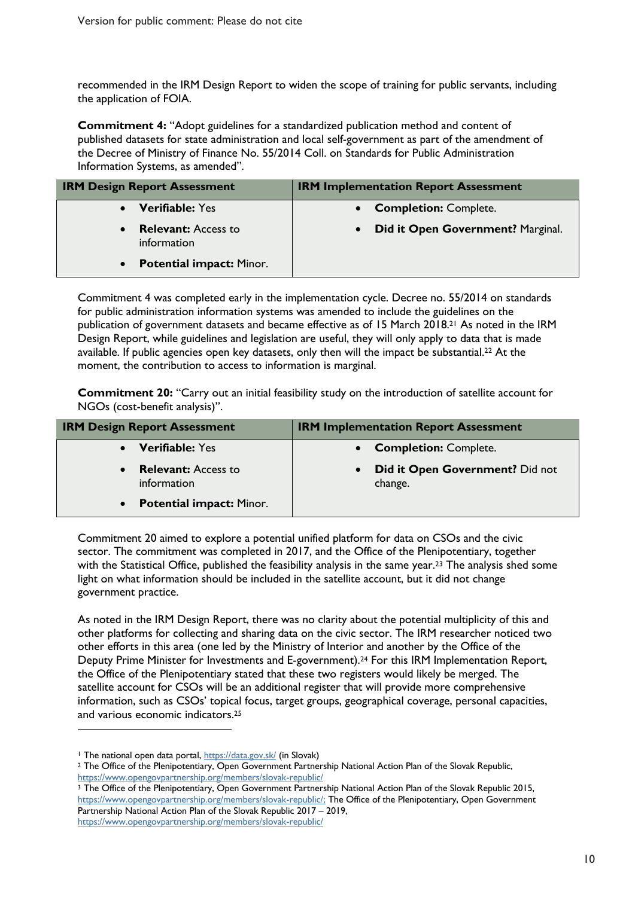recommended in the IRM Design Report to widen the scope of training for public servants, including the application of FOIA.

**Commitment 4:** "Adopt guidelines for a standardized publication method and content of published datasets for state administration and local self-government as part of the amendment of the Decree of Ministry of Finance No. 55/2014 Coll. on Standards for Public Administration Information Systems, as amended".

| <b>IRM Design Report Assessment</b>                    | <b>IRM Implementation Report Assessment</b>    |
|--------------------------------------------------------|------------------------------------------------|
| <b>Verifiable: Yes</b><br>$\bullet$                    | • Completion: Complete.                        |
| <b>Relevant:</b> Access to<br>$\bullet$<br>information | Did it Open Government? Marginal.<br>$\bullet$ |
| <b>Potential impact: Minor.</b><br>$\bullet$           |                                                |

Commitment 4 was completed early in the implementation cycle. Decree no. 55/2014 on standards for public administration information systems was amended to include the guidelines on the publication of government datasets and became effective as of 15 March 2018. <sup>21</sup> As noted in the IRM Design Report, while guidelines and legislation are useful, they will only apply to data that is made available. If public agencies open key datasets, only then will the impact be substantial.22 At the moment, the contribution to access to information is marginal.

**Commitment 20:** "Carry out an initial feasibility study on the introduction of satellite account for NGOs (cost-benefit analysis)".

| <b>IRM Design Report Assessment</b>       | <b>IRM Implementation Report Assessment</b>       |
|-------------------------------------------|---------------------------------------------------|
| <b>Verifiable:</b> Yes                    | <b>Completion: Complete.</b>                      |
| <b>Relevant:</b> Access to<br>information | <b>Did it Open Government?</b> Did not<br>change. |
| <b>Potential impact: Minor.</b>           |                                                   |

Commitment 20 aimed to explore a potential unified platform for data on CSOs and the civic sector. The commitment was completed in 2017, and the Office of the Plenipotentiary, together with the Statistical Office, published the feasibility analysis in the same year.<sup>23</sup> The analysis shed some light on what information should be included in the satellite account, but it did not change government practice.

As noted in the IRM Design Report, there was no clarity about the potential multiplicity of this and other platforms for collecting and sharing data on the civic sector. The IRM researcher noticed two other efforts in this area (one led by the Ministry of Interior and another by the Office of the Deputy Prime Minister for Investments and E-government).24 For this IRM Implementation Report, the Office of the Plenipotentiary stated that these two registers would likely be merged. The satellite account for CSOs will be an additional register that will provide more comprehensive information, such as CSOs' topical focus, target groups, geographical coverage, personal capacities, and various economic indicators. 25

 $\overline{a}$ 

<sup>&</sup>lt;sup>1</sup> The national open data portal, https://data.gov.sk/ (in Slovak)

<sup>&</sup>lt;sup>2</sup> The Office of the Plenipotentiary, Open Government Partnership National Action Plan of the Slovak Republic, https://www.opengovpartnership.org/members/slovak-republic/

<sup>&</sup>lt;sup>3</sup> The Office of the Plenipotentiary, Open Government Partnership National Action Plan of the Slovak Republic 2015, https://www.opengovpartnership.org/members/slovak-republic/; The Office of the Plenipotentiary, Open Government Partnership National Action Plan of the Slovak Republic 2017 – 2019, https://www.opengovpartnership.org/members/slovak-republic/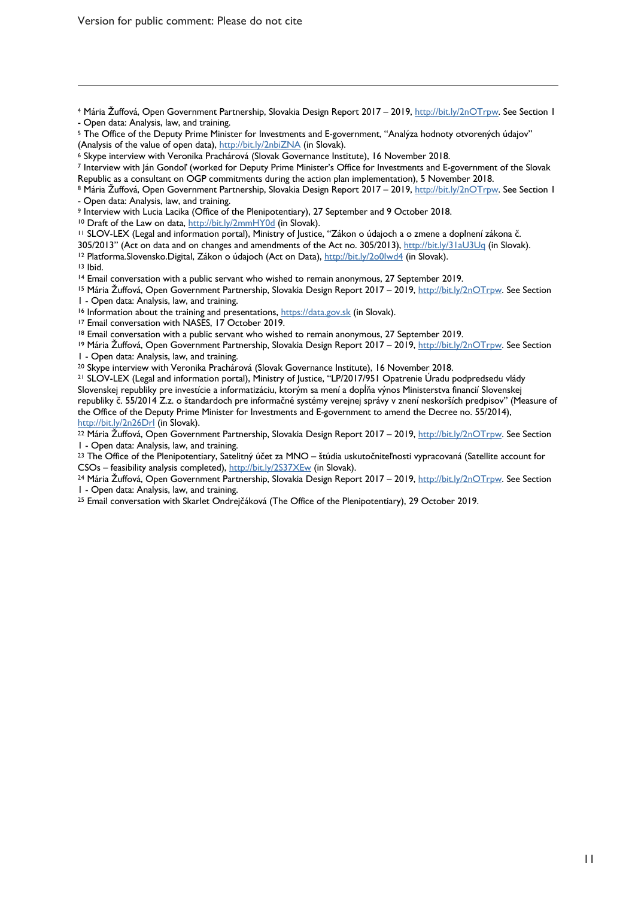Version for public comment: Please do not cite

 $\overline{a}$ 

<sup>4</sup> Mária Žuffová, Open Government Partnership, Slovakia Design Report 2017 – 2019, http://bit.ly/2nOTrpw. See Section 1 - Open data: Analysis, law, and training.

<sup>9</sup> Interview with Lucia Lacika (Office of the Plenipotentiary), 27 September and 9 October 2018.

<sup>10</sup> Draft of the Law on data, http://bit.ly/2mmHY0d (in Slovak).

<sup>11</sup> SLOV-LEX (Legal and information portal), Ministry of Justice, "Zákon o údajoch a o zmene a doplnení zákona č.

305/2013" (Act on data and on changes and amendments of the Act no. 305/2013), http://bit.ly/31aU3Uq (in Slovak).<br><sup>12</sup> Platforma.Slovensko.Digital, Zákon o údajoch (Act on Data), http://bit.ly/2o0lwd4 (in Slovak).<br><sup>13</sup> Ibi

<sup>15</sup> Mária Žuffová, Open Government Partnership, Slovakia Design Report 2017 – 2019, http://bit.ly/2nOTrpw. See Section<br>1 - Open data: Analysis, law, and training.

<sup>16</sup> Information about the training and presentations,  $\frac{h(t)}{dt}$  and  $\frac{h(t)}{dt}$  (in Slovak). <sup>17</sup> Email conversation with NASES, 17 October 2019.<br><sup>18</sup> Email conversation with a public servant who wished to remain anony

<sup>19</sup> Mária Žuffová, Open Government Partnership, Slovakia Design Report 2017 – 2019, http://bit.ly/2nOTrpw. See Section

1 - Open data: Analysis, law, and training.<br><sup>20</sup> Skype interview with Veronika Prachárová (Slovak Governance Institute), 16 November 2018.<br><sup>21</sup> SLOV-LEX (Legal and information portal), Ministry of Justice, "LP/2017/951 Opa Slovenskej republiky pre investície a informatizáciu, ktorým sa mení a dopĺňa výnos Ministerstva financií Slovenskej republiky č. 55/2014 Z.z. o štandardoch pre informačné systémy verejnej správy v znení neskorších predpisov" (Measure of the Office of the Deputy Prime Minister for Investments and E-government to amend the Decree no. 55/2014), http://bit.ly/2n26Drl (in Slovak).

<sup>22</sup> Mária Žuffová, Open Government Partnership, Slovakia Design Report 2017 – 2019, http://bit.ly/2nOTrpw. See Section 1 - Open data: Analysis, law, and training.<br><sup>23</sup> The Office of the Plenipotentiary, Satelitný účet za MNO – štúdia uskutočniteľnosti vypracovaná (Satellite account for

CSOs – feasibility analysis completed), http://bit.ly/2S37XEw (in Slovak).

<sup>24</sup> Mária Žuffová, Open Government Partnership, Slovakia Design Report 2017 – 2019, http://bit.ly/2nOTrpw. See Section 1 - Open data: Analysis, law, and training.<br><sup>25</sup> Email conversation with Skarlet Ondrejčáková (The Office of the Plenipotentiary), 29 October 2019.

<sup>5</sup> The Office of the Deputy Prime Minister for Investments and E-government, "Analýza hodnoty otvorených údajov"

<sup>(</sup>Analysis of the value of open data), <u>http://bit.ly/2nbiZNA</u> (in Slovak).<br><sup>6</sup> Skype interview with Veronika Prachárová (Slovak Governance Institute), 16 November 2018.<br><sup>7</sup> Interview with Ján Gondol' (worked for Deputy Pri Republic as a consultant on OGP commitments during the action plan implementation), 5 November 2018.

<sup>8</sup> Mária Žuffová, Open Government Partnership, Slovakia Design Report 2017 – 2019, http://bit.ly/2nOTrpw. See Section 1 - Open data: Analysis, law, and training.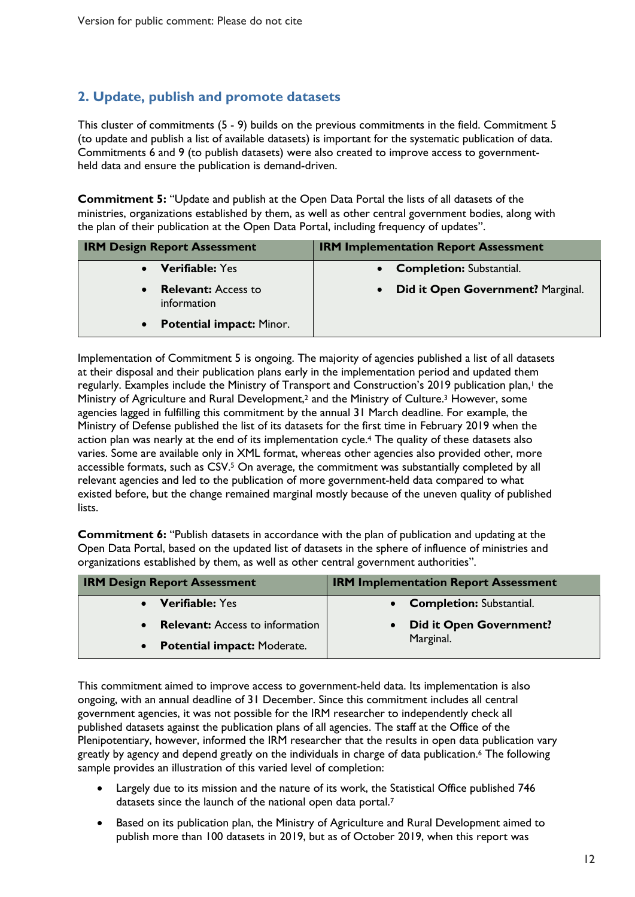### **2. Update, publish and promote datasets**

This cluster of commitments (5 - 9) builds on the previous commitments in the field. Commitment 5 (to update and publish a list of available datasets) is important for the systematic publication of data. Commitments 6 and 9 (to publish datasets) were also created to improve access to governmentheld data and ensure the publication is demand-driven.

**Commitment 5:** "Update and publish at the Open Data Portal the lists of all datasets of the ministries, organizations established by them, as well as other central government bodies, along with the plan of their publication at the Open Data Portal, including frequency of updates".

| <b>IRM Design Report Assessment</b>          | <b>IRM Implementation Report Assessment</b> |
|----------------------------------------------|---------------------------------------------|
| <b>Verifiable:</b> Yes                       | <b>Completion: Substantial.</b>             |
| <b>Relevant:</b> Access to<br>information    | Did it Open Government? Marginal.           |
| <b>Potential impact: Minor.</b><br>$\bullet$ |                                             |

Implementation of Commitment 5 is ongoing. The majority of agencies published a list of all datasets at their disposal and their publication plans early in the implementation period and updated them regularly. Examples include the Ministry of Transport and Construction's 2019 publication plan, <sup>1</sup> the Ministry of Agriculture and Rural Development, <sup>2</sup> and the Ministry of Culture. <sup>3</sup> However, some agencies lagged in fulfilling this commitment by the annual 31 March deadline. For example, the Ministry of Defense published the list of its datasets for the first time in February 2019 when the action plan was nearly at the end of its implementation cycle.4 The quality of these datasets also varies. Some are available only in XML format, whereas other agencies also provided other, more accessible formats, such as CSV. <sup>5</sup> On average, the commitment was substantially completed by all relevant agencies and led to the publication of more government-held data compared to what existed before, but the change remained marginal mostly because of the uneven quality of published lists.

**Commitment 6:** "Publish datasets in accordance with the plan of publication and updating at the Open Data Portal, based on the updated list of datasets in the sphere of influence of ministries and organizations established by them, as well as other central government authorities".

| <b>IRM Design Report Assessment</b>    | <b>IRM Implementation Report Assessment</b> |
|----------------------------------------|---------------------------------------------|
| <b>Verifiable:</b> Yes                 | • Completion: Substantial.                  |
| <b>Relevant:</b> Access to information | <b>Did it Open Government?</b>              |
| <b>Potential impact: Moderate.</b>     | Marginal.                                   |

This commitment aimed to improve access to government-held data. Its implementation is also ongoing, with an annual deadline of 31 December. Since this commitment includes all central government agencies, it was not possible for the IRM researcher to independently check all published datasets against the publication plans of all agencies. The staff at the Office of the Plenipotentiary, however, informed the IRM researcher that the results in open data publication vary greatly by agency and depend greatly on the individuals in charge of data publication. <sup>6</sup> The following sample provides an illustration of this varied level of completion:

- Largely due to its mission and the nature of its work, the Statistical Office published 746 datasets since the launch of the national open data portal.7
- Based on its publication plan, the Ministry of Agriculture and Rural Development aimed to publish more than 100 datasets in 2019, but as of October 2019, when this report was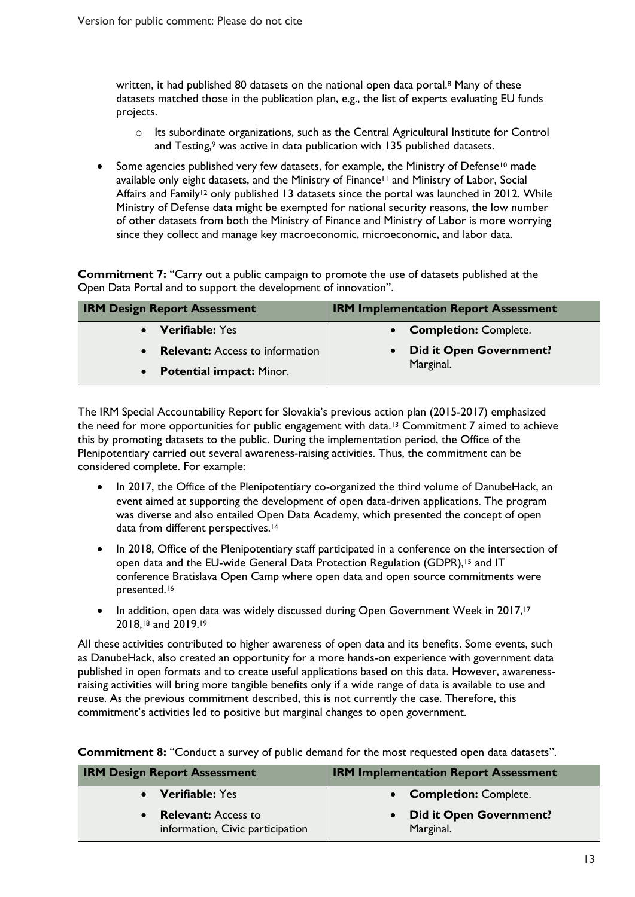written, it had published 80 datasets on the national open data portal.<sup>8</sup> Many of these datasets matched those in the publication plan, e.g., the list of experts evaluating EU funds projects.

- o Its subordinate organizations, such as the Central Agricultural Institute for Control and Testing,<sup>9</sup> was active in data publication with 135 published datasets.
- Some agencies published very few datasets, for example, the Ministry of Defense<sup>10</sup> made available only eight datasets, and the Ministry of Finance11 and Ministry of Labor, Social Affairs and Family<sup>12</sup> only published 13 datasets since the portal was launched in 2012. While Ministry of Defense data might be exempted for national security reasons, the low number of other datasets from both the Ministry of Finance and Ministry of Labor is more worrying since they collect and manage key macroeconomic, microeconomic, and labor data.

**Commitment 7:** "Carry out a public campaign to promote the use of datasets published at the Open Data Portal and to support the development of innovation".

| <b>IRM Design Report Assessment</b>    | <b>IRM Implementation Report Assessment</b> |
|----------------------------------------|---------------------------------------------|
| <b>Verifiable:</b> Yes                 | • Completion: Complete.                     |
| <b>Relevant:</b> Access to information | <b>Did it Open Government?</b>              |
| <b>Potential impact: Minor.</b>        | Marginal.                                   |

The IRM Special Accountability Report for Slovakia's previous action plan (2015-2017) emphasized the need for more opportunities for public engagement with data.<sup>13</sup> Commitment 7 aimed to achieve this by promoting datasets to the public. During the implementation period, the Office of the Plenipotentiary carried out several awareness-raising activities. Thus, the commitment can be considered complete. For example:

- In 2017, the Office of the Plenipotentiary co-organized the third volume of DanubeHack, an event aimed at supporting the development of open data-driven applications. The program was diverse and also entailed Open Data Academy, which presented the concept of open data from different perspectives.<sup>14</sup>
- In 2018, Office of the Plenipotentiary staff participated in a conference on the intersection of open data and the EU-wide General Data Protection Regulation (GDPR), <sup>15</sup> and IT conference Bratislava Open Camp where open data and open source commitments were presented. 16
- In addition, open data was widely discussed during Open Government Week in 2017,<sup>17</sup> 2018,18 and 2019.19

All these activities contributed to higher awareness of open data and its benefits. Some events, such as DanubeHack, also created an opportunity for a more hands-on experience with government data published in open formats and to create useful applications based on this data. However, awarenessraising activities will bring more tangible benefits only if a wide range of data is available to use and reuse. As the previous commitment described, this is not currently the case. Therefore, this commitment's activities led to positive but marginal changes to open government.

| <b>IRM Design Report Assessment</b>                            | <b>IRM Implementation Report Assessment</b> |
|----------------------------------------------------------------|---------------------------------------------|
| • Verifiable: Yes                                              | • Completion: Complete.                     |
| <b>Relevant:</b> Access to<br>information, Civic participation | <b>Did it Open Government?</b><br>Marginal. |

**Commitment 8:** "Conduct a survey of public demand for the most requested open data datasets".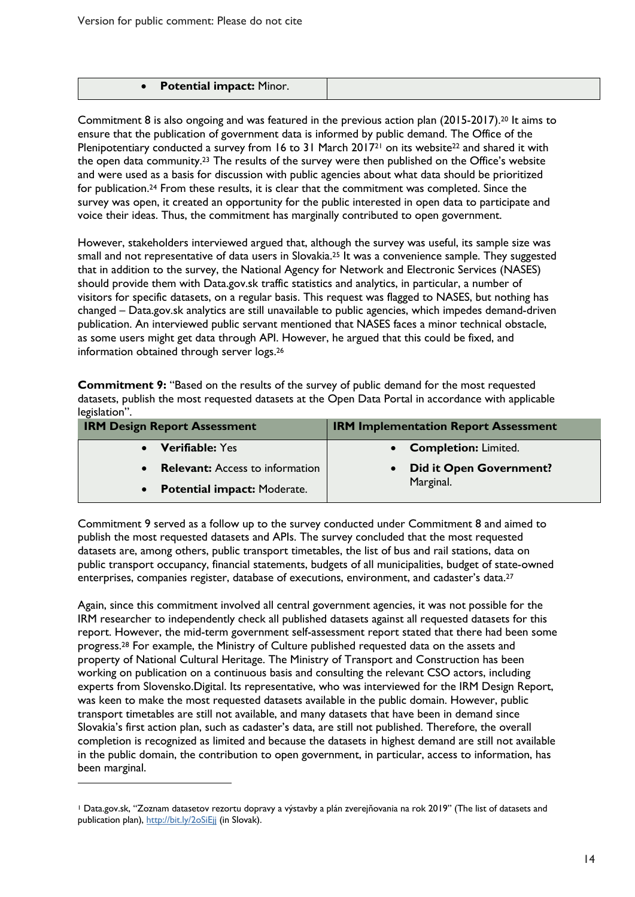| <b>Potential impact: Minor.</b> |  |
|---------------------------------|--|

Commitment 8 is also ongoing and was featured in the previous action plan (2015-2017).20 It aims to ensure that the publication of government data is informed by public demand. The Office of the Plenipotentiary conducted a survey from 16 to 31 March 2017<sup>21</sup> on its website<sup>22</sup> and shared it with the open data community. <sup>23</sup> The results of the survey were then published on the Office's website and were used as a basis for discussion with public agencies about what data should be prioritized for publication.24 From these results, it is clear that the commitment was completed. Since the survey was open, it created an opportunity for the public interested in open data to participate and voice their ideas. Thus, the commitment has marginally contributed to open government.

However, stakeholders interviewed argued that, although the survey was useful, its sample size was small and not representative of data users in Slovakia.25 It was a convenience sample. They suggested that in addition to the survey, the National Agency for Network and Electronic Services (NASES) should provide them with Data.gov.sk traffic statistics and analytics, in particular, a number of visitors for specific datasets, on a regular basis. This request was flagged to NASES, but nothing has changed – Data.gov.sk analytics are still unavailable to public agencies, which impedes demand-driven publication. An interviewed public servant mentioned that NASES faces a minor technical obstacle, as some users might get data through API. However, he argued that this could be fixed, and information obtained through server logs.26

**Commitment 9:** "Based on the results of the survey of public demand for the most requested datasets, publish the most requested datasets at the Open Data Portal in accordance with applicable legislation".

| <b>IRM Design Report Assessment</b>    | <b>IRM Implementation Report Assessment</b> |
|----------------------------------------|---------------------------------------------|
| <b>Verifiable: Yes</b>                 | • Completion: Limited.                      |
| <b>Relevant:</b> Access to information | <b>Did it Open Government?</b>              |
| <b>Potential impact: Moderate.</b>     | Marginal.                                   |

Commitment 9 served as a follow up to the survey conducted under Commitment 8 and aimed to publish the most requested datasets and APIs. The survey concluded that the most requested datasets are, among others, public transport timetables, the list of bus and rail stations, data on public transport occupancy, financial statements, budgets of all municipalities, budget of state-owned enterprises, companies register, database of executions, environment, and cadaster's data.<sup>27</sup>

Again, since this commitment involved all central government agencies, it was not possible for the IRM researcher to independently check all published datasets against all requested datasets for this report. However, the mid-term government self-assessment report stated that there had been some progress.<sup>28</sup> For example, the Ministry of Culture published requested data on the assets and property of National Cultural Heritage. The Ministry of Transport and Construction has been working on publication on a continuous basis and consulting the relevant CSO actors, including experts from Slovensko.Digital. Its representative, who was interviewed for the IRM Design Report, was keen to make the most requested datasets available in the public domain. However, public transport timetables are still not available, and many datasets that have been in demand since Slovakia's first action plan, such as cadaster's data, are still not published. Therefore, the overall completion is recognized as limited and because the datasets in highest demand are still not available in the public domain, the contribution to open government, in particular, access to information, has been marginal.  $\overline{a}$ 

<sup>1</sup> Data.gov.sk, "Zoznam datasetov rezortu dopravy a výstavby a plán zverejňovania na rok 2019" (The list of datasets and publication plan), http://bit.ly/2oSiEjj (in Slovak).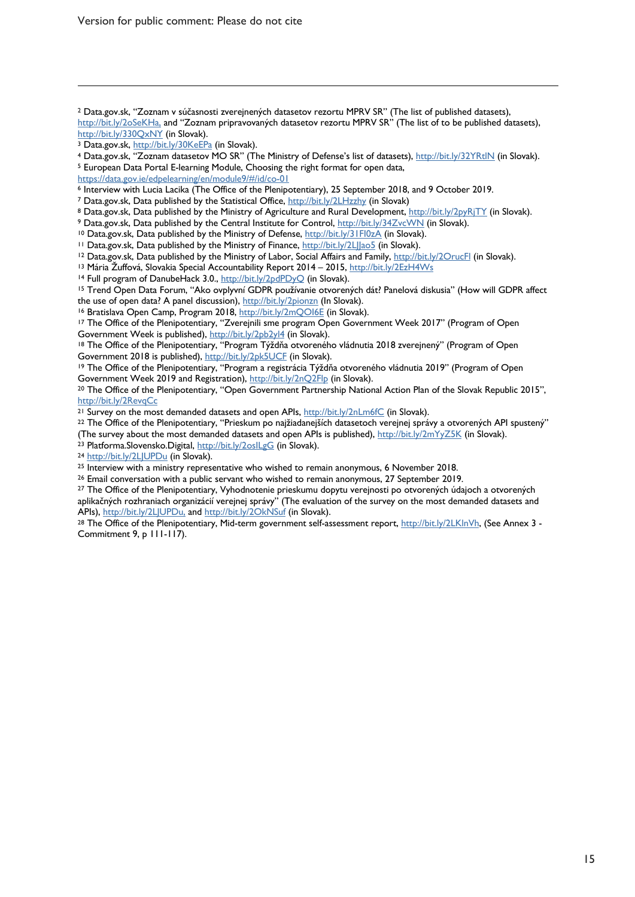Version for public comment: Please do not cite

<sup>2</sup> Data.gov.sk, "Zoznam v súčasnosti zverejnených datasetov rezortu MPRV SR" (The list of published datasets), http://bit.ly/2oSeKHa, and "Zoznam pripravovaných datasetov rezortu MPRV SR" (The list of to be published datasets),

 $\overline{a}$ 

https://data.gov.ie/edpelearning/en/module9/#/id/co-01

<sup>6</sup> Interview with Lucia Lacika (The Office of the Plenipotentiary), 25 September 2018, and 9 October 2019.

<sup>7</sup> Data.gov.sk, Data published by the Statistical Office, http://bit.ly/2LHzzhy (in Slovak)

<sup>8</sup> Data.gov.sk, Data published by the Ministry of Agriculture and Rural Development, http://bit.ly/2pyRjTY (in Slovak).<br><sup>9</sup> Data.gov.sk, Data published by the Central Institute for Control, <u>http://bit.ly/34ZvcWN</u> (in Slo

<sup>12</sup> Data.gov.sk, Data published by the Ministry of Labor, Social Affairs and Family, http://bit.ly/2OrucFl (in Slovak).<br><sup>13</sup> Mária Žuffová, Slovakia Special Accountability Report 2014 – 2015, http://bit.ly/2EzH4Ws

<sup>14</sup> Full program of DanubeHack 3.0., <u>http://bit.ly/2pdPDyQ</u> (in Slovak).<br><sup>15</sup> Trend Open Data Forum, "Ako ovplyvní GDPR používanie otvorených dát? Panelová diskusia" (How will GDPR affect

the use of open data? A panel discussion), http://bit.ly/2pionzn (In Slovak).<br><sup>16</sup> Bratislava Open Camp, Program 2018, http://bit.ly/2mQOI6E (in Slovak).<br><sup>17</sup> The Office of the Plenipotentiary, "Zverejnili sme program Open

Government Week is published), http://bit.ly/2pb2yl4 (in Slovak).<br><sup>18</sup> The Office of the Plenipotentiary, "Program Týždňa otvoreného vládnutia 2018 zverejnený" (Program of Open<br>Government 2018 is published), http://bit.ly/

<sup>19</sup> The Office of the Plenipotentiary, "Program a registrácia Týždňa otvoreného vládnutia 2019" (Program of Open

Government Week 2019 and Registration), http://bit.ly/2nQ2Flp (in Slovak).<br><sup>20</sup> The Office of the Plenipotentiary, "Open Government Partnership National Action Plan of the Slovak Republic 2015", http://bit.ly/2RevqCc

<sup>21</sup> Survey on the most demanded datasets and open APIs, http://bit.ly/2nLm6fC (in Slovak).<br><sup>22</sup> The Office of the Plenipotentiary, "Prieskum po najžiadanejších datasetoch verejnej správy a otvorených API spustený"

(The survey about the most demanded datasets and open APIs is published),  $\frac{h t t p!}{b t l}$ ,  $\frac{h t}{2 m Y y Z S K}$  (in Slovak).<br>
23 Platforma.Slovensko.Digital,  $\frac{h t t p!}{b t l}$ ,  $\frac{h t}{2 o s l}$  (in Slovak).<br>
24 http://bit.ly/2LJUP

<sup>26</sup> Email conversation with a public servant who wished to remain anonymous, 27 September 2019.

<sup>27</sup> The Office of the Plenipotentiary, Vyhodnotenie prieskumu dopytu verejnosti po otvorených údajoch a otvorených aplikačných rozhraniach organizácií verejnej správy" (The evaluation of the survey on the most demanded datasets and

APIs), <u>http://bit.ly/2LJUPDu,</u> and <u>http://bit.ly/2OkNSuf</u> (in Slovak).<br><sup>28</sup> The Office of the Plenipotentiary, Mid-term government self-assessment report, <u>http://bit.ly/2LKlnVh</u>, (See Annex 3 -Commitment 9, p 111-117).

http://bit.ly/330QxNY (in Slovak).<br><sup>3</sup> Data.gov.sk, <u>http://bit.ly/30KeEPa</u> (in Slovak).<br><sup>4</sup> Data.gov.sk, "Zoznam datasetov MO SR" (The Ministry of Defense's list of datasets), <u>http://bit.ly/32YRtlN</u> (in Slovak).<br><sup>5</sup> Euro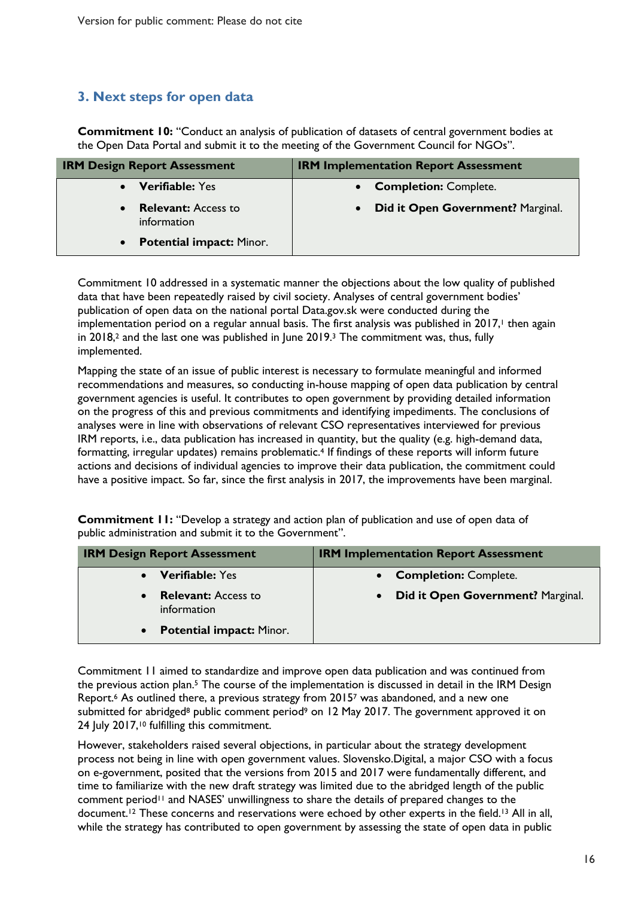### **3. Next steps for open data**

**Commitment 10:** "Conduct an analysis of publication of datasets of central government bodies at the Open Data Portal and submit it to the meeting of the Government Council for NGOs".

| <b>IRM Design Report Assessment</b>                    | <b>IRM Implementation Report Assessment</b> |
|--------------------------------------------------------|---------------------------------------------|
| <b>Verifiable: Yes</b>                                 | <b>Completion: Complete.</b>                |
| <b>Relevant:</b> Access to<br>$\bullet$<br>information | Did it Open Government? Marginal.           |
| <b>Potential impact: Minor.</b><br>$\bullet$           |                                             |

Commitment 10 addressed in a systematic manner the objections about the low quality of published data that have been repeatedly raised by civil society. Analyses of central government bodies' publication of open data on the national portal Data.gov.sk were conducted during the implementation period on a regular annual basis. The first analysis was published in 2017, <sup>1</sup> then again in 2018, <sup>2</sup> and the last one was published in June 2019. <sup>3</sup> The commitment was, thus, fully implemented.

Mapping the state of an issue of public interest is necessary to formulate meaningful and informed recommendations and measures, so conducting in-house mapping of open data publication by central government agencies is useful. It contributes to open government by providing detailed information on the progress of this and previous commitments and identifying impediments. The conclusions of analyses were in line with observations of relevant CSO representatives interviewed for previous IRM reports, i.e., data publication has increased in quantity, but the quality (e.g. high-demand data, formatting, irregular updates) remains problematic.<sup>4</sup> If findings of these reports will inform future actions and decisions of individual agencies to improve their data publication, the commitment could have a positive impact. So far, since the first analysis in 2017, the improvements have been marginal.

**Commitment 11:** "Develop a strategy and action plan of publication and use of open data of public administration and submit it to the Government".

| <b>IRM Design Report Assessment</b>                    | <b>IRM Implementation Report Assessment</b>    |
|--------------------------------------------------------|------------------------------------------------|
| <b>Verifiable:</b> Yes                                 | • Completion: Complete.                        |
| <b>Relevant:</b> Access to<br>$\bullet$<br>information | Did it Open Government? Marginal.<br>$\bullet$ |
| <b>Potential impact: Minor.</b><br>$\bullet$           |                                                |

Commitment 11 aimed to standardize and improve open data publication and was continued from the previous action plan.<sup>5</sup> The course of the implementation is discussed in detail in the IRM Design Report. <sup>6</sup> As outlined there, a previous strategy from 20157 was abandoned, and a new one submitted for abridged<sup>8</sup> public comment period<sup>9</sup> on 12 May 2017. The government approved it on 24 July 2017,<sup>10</sup> fulfilling this commitment.

However, stakeholders raised several objections, in particular about the strategy development process not being in line with open government values. Slovensko.Digital, a major CSO with a focus on e-government, posited that the versions from 2015 and 2017 were fundamentally different, and time to familiarize with the new draft strategy was limited due to the abridged length of the public comment period<sup>11</sup> and NASES' unwillingness to share the details of prepared changes to the document.<sup>12</sup> These concerns and reservations were echoed by other experts in the field.<sup>13</sup> All in all, while the strategy has contributed to open government by assessing the state of open data in public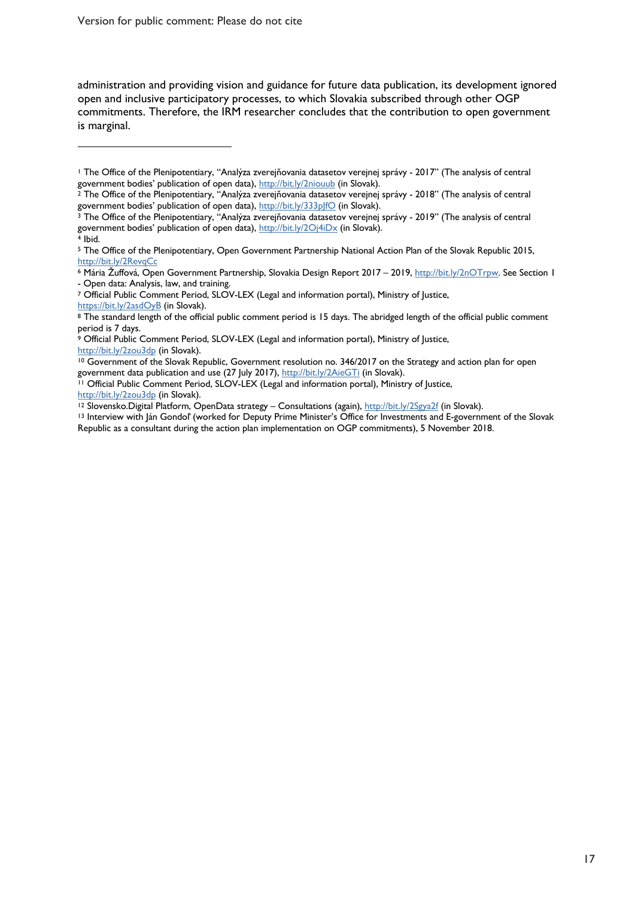Version for public comment: Please do not cite

 $\overline{a}$ 

administration and providing vision and guidance for future data publication, its development ignored open and inclusive participatory processes, to which Slovakia subscribed through other OGP commitments. Therefore, the IRM researcher concludes that the contribution to open government is marginal.

<sup>&</sup>lt;sup>1</sup> The Office of the Plenipotentiary, "Analýza zverejňovania datasetov verejnej správy - 2017" (The analysis of central government bodies' publication of open data), http://bit.ly/2niouub (in Slovak).

 $^2$  The Office of the Plenipotentiary, "Analýza zverejňovania datasetov verejnej správy - 2018" (The analysis of central

government bodies' publication of open data), http://bit.ly/333plfO (in Slovak).<br><sup>3</sup> The Office of the Plenipotentiary, "Analýza zverejňovania datasetov verejnej správy - 2019" (The analysis of central government bodies' publication of open data), http://bit.ly/2Oj4iDx (in Slovak).<br>4 Ibid.

<sup>5</sup> The Office of the Plenipotentiary, Open Government Partnership National Action Plan of the Slovak Republic 2015, http://bit.ly/2RevqCc

<sup>6</sup> Mária Žuffová, Open Government Partnership, Slovakia Design Report 2017 – 2019, http://bit.ly/2nOTrpw. See Section 1 - Open data: Analysis, law, and training.

<sup>7</sup> Official Public Comment Period, SLOV-LEX (Legal and information portal), Ministry of Justice, https://bit.ly/2asdOyB (in Slovak).

<sup>8</sup> The standard length of the official public comment period is 15 days. The abridged length of the official public comment period is 7 days.

<sup>&</sup>lt;sup>9</sup> Official Public Comment Period, SLOV-LEX (Legal and information portal), Ministry of Justice, http://bit.ly/2zou3dp (in Slovak).

<sup>10</sup> Government of the Slovak Republic, Government resolution no. 346/2017 on the Strategy and action plan for open

government data publication and use (27 July 2017), http://bit.ly/2AieGTi (in Slovak).<br><sup>11</sup> Official Public Comment Period, SLOV-LEX (Legal and information portal), Ministry of Justice, http://bit.ly/2zou3dp (in Slovak).

<sup>&</sup>lt;sup>12</sup> Slovensko.Digital Platform, OpenData strategy – Consultations (again), http://bit.ly/2Sgya2f (in Slovak).<br><sup>13</sup> Interview with Ján Gondol' (worked for Deputy Prime Minister's Office for Investments and E-government of Republic as a consultant during the action plan implementation on OGP commitments), 5 November 2018.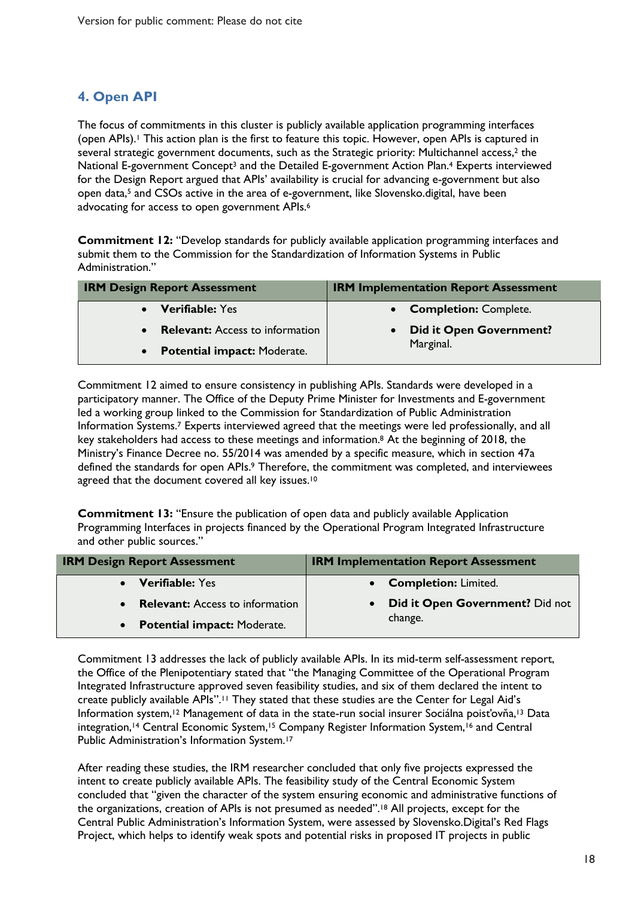### **4. Open API**

The focus of commitments in this cluster is publicly available application programming interfaces (open APIs).1 This action plan is the first to feature this topic. However, open APIs is captured in several strategic government documents, such as the Strategic priority: Multichannel access,<sup>2</sup> the National E-government Concept<sup>3</sup> and the Detailed E-government Action Plan.<sup>4</sup> Experts interviewed for the Design Report argued that APIs' availability is crucial for advancing e-government but also open data,5 and CSOs active in the area of e-government, like Slovensko.digital, have been advocating for access to open government APIs. 6

**Commitment 12:** "Develop standards for publicly available application programming interfaces and submit them to the Commission for the Standardization of Information Systems in Public Administration."

| <b>IRM Design Report Assessment</b>             | <b>IRM Implementation Report Assessment</b> |
|-------------------------------------------------|---------------------------------------------|
| • Verifiable: Yes                               | • Completion: Complete.                     |
| <b>Relevant:</b> Access to information          | <b>Did it Open Government?</b>              |
| <b>Potential impact: Moderate.</b><br>$\bullet$ | Marginal.                                   |

Commitment 12 aimed to ensure consistency in publishing APIs. Standards were developed in a participatory manner. The Office of the Deputy Prime Minister for Investments and E-government led a working group linked to the Commission for Standardization of Public Administration Information Systems. <sup>7</sup> Experts interviewed agreed that the meetings were led professionally, and all key stakeholders had access to these meetings and information. <sup>8</sup> At the beginning of 2018, the Ministry's Finance Decree no. 55/2014 was amended by a specific measure, which in section 47a defined the standards for open APIs.<sup>9</sup> Therefore, the commitment was completed, and interviewees agreed that the document covered all key issues.<sup>10</sup>

**Commitment 13:** "Ensure the publication of open data and publicly available Application Programming Interfaces in projects financed by the Operational Program Integrated Infrastructure and other public sources."

| <b>IRM Design Report Assessment</b> | <b>IRM Implementation Report Assessment</b> |
|-------------------------------------|---------------------------------------------|
| • Verifiable: Yes                   | • Completion: Limited.                      |
| • Relevant: Access to information   | <b>Did it Open Government?</b> Did not      |
| • Potential impact: Moderate.       | change.                                     |

Commitment 13 addresses the lack of publicly available APIs. In its mid-term self-assessment report, the Office of the Plenipotentiary stated that "the Managing Committee of the Operational Program Integrated Infrastructure approved seven feasibility studies, and six of them declared the intent to create publicly available APIs".11 They stated that these studies are the Center for Legal Aid's Information system,<sup>12</sup> Management of data in the state-run social insurer Sociálna poisťovňa,<sup>13</sup> Data integration,<sup>14</sup> Central Economic System,<sup>15</sup> Company Register Information System,<sup>16</sup> and Central Public Administration's Information System.17

After reading these studies, the IRM researcher concluded that only five projects expressed the intent to create publicly available APIs. The feasibility study of the Central Economic System concluded that "given the character of the system ensuring economic and administrative functions of the organizations, creation of APIs is not presumed as needed".18 All projects, except for the Central Public Administration's Information System, were assessed by Slovensko.Digital's Red Flags Project, which helps to identify weak spots and potential risks in proposed IT projects in public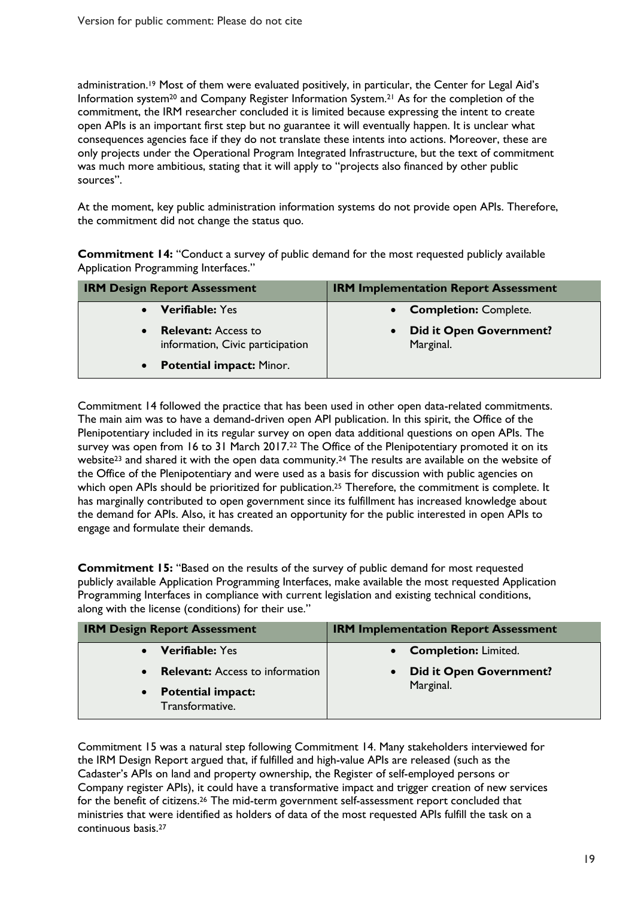administration.<sup>19</sup> Most of them were evaluated positively, in particular, the Center for Legal Aid's Information system20 and Company Register Information System.21 As for the completion of the commitment, the IRM researcher concluded it is limited because expressing the intent to create open APIs is an important first step but no guarantee it will eventually happen. It is unclear what consequences agencies face if they do not translate these intents into actions. Moreover, these are only projects under the Operational Program Integrated Infrastructure, but the text of commitment was much more ambitious, stating that it will apply to "projects also financed by other public sources".

At the moment, key public administration information systems do not provide open APIs. Therefore, the commitment did not change the status quo.

**Commitment 14:** "Conduct a survey of public demand for the most requested publicly available Application Programming Interfaces."

| <b>IRM Design Report Assessment</b>                            | <b>IRM Implementation Report Assessment</b> |
|----------------------------------------------------------------|---------------------------------------------|
| <b>Verifiable: Yes</b>                                         | <b>Completion: Complete.</b>                |
| <b>Relevant:</b> Access to<br>information, Civic participation | <b>Did it Open Government?</b><br>Marginal. |
| • Potential impact: Minor.                                     |                                             |

Commitment 14 followed the practice that has been used in other open data-related commitments. The main aim was to have a demand-driven open API publication. In this spirit, the Office of the Plenipotentiary included in its regular survey on open data additional questions on open APIs. The survey was open from 16 to 31 March 2017.<sup>22</sup> The Office of the Plenipotentiary promoted it on its website<sup>23</sup> and shared it with the open data community.<sup>24</sup> The results are available on the website of the Office of the Plenipotentiary and were used as a basis for discussion with public agencies on which open APIs should be prioritized for publication.<sup>25</sup> Therefore, the commitment is complete. It has marginally contributed to open government since its fulfillment has increased knowledge about the demand for APIs. Also, it has created an opportunity for the public interested in open APIs to engage and formulate their demands.

**Commitment 15:** "Based on the results of the survey of public demand for most requested publicly available Application Programming Interfaces, make available the most requested Application Programming Interfaces in compliance with current legislation and existing technical conditions, along with the license (conditions) for their use."

| <b>IRM Design Report Assessment</b>                      | <b>IRM Implementation Report Assessment</b> |
|----------------------------------------------------------|---------------------------------------------|
| <b>Verifiable: Yes</b>                                   | <b>Completion: Limited.</b>                 |
| <b>Relevant:</b> Access to information<br>$\bullet$      | <b>Did it Open Government?</b>              |
| <b>Potential impact:</b><br>$\bullet$<br>Transformative. | Marginal.                                   |

Commitment 15 was a natural step following Commitment 14. Many stakeholders interviewed for the IRM Design Report argued that, if fulfilled and high-value APIs are released (such as the Cadaster's APIs on land and property ownership, the Register of self-employed persons or Company register APIs), it could have a transformative impact and trigger creation of new services for the benefit of citizens.<sup>26</sup> The mid-term government self-assessment report concluded that ministries that were identified as holders of data of the most requested APIs fulfill the task on a continuous basis.27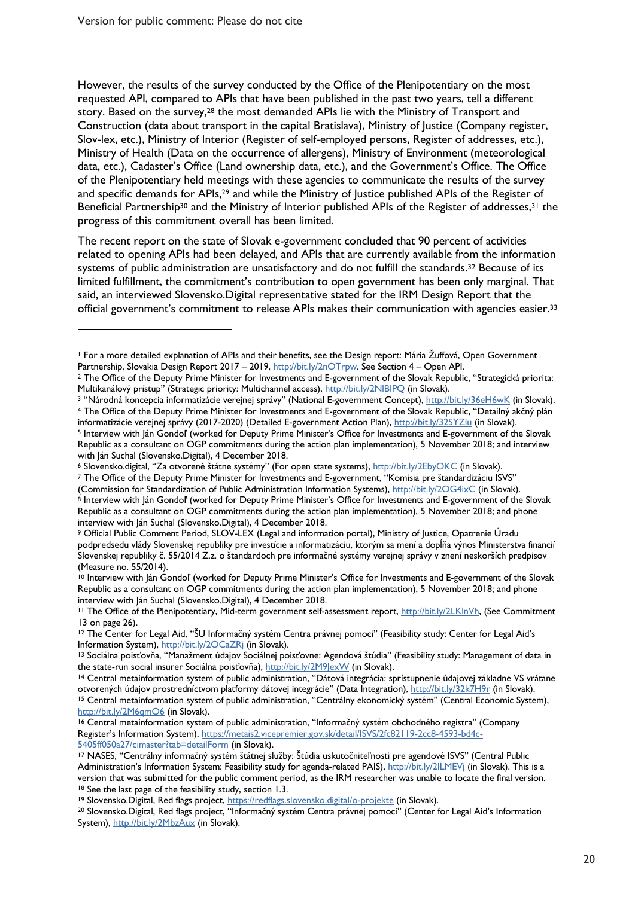$\overline{a}$ 

However, the results of the survey conducted by the Office of the Plenipotentiary on the most requested API, compared to APIs that have been published in the past two years, tell a different story. Based on the survey,<sup>28</sup> the most demanded APIs lie with the Ministry of Transport and Construction (data about transport in the capital Bratislava), Ministry of Justice (Company register, Slov-lex, etc.), Ministry of Interior (Register of self-employed persons, Register of addresses, etc.), Ministry of Health (Data on the occurrence of allergens), Ministry of Environment (meteorological data, etc.), Cadaster's Office (Land ownership data, etc.), and the Government's Office. The Office of the Plenipotentiary held meetings with these agencies to communicate the results of the survey and specific demands for APIs,<sup>29</sup> and while the Ministry of Justice published APIs of the Register of Beneficial Partnership<sup>30</sup> and the Ministry of Interior published APIs of the Register of addresses,<sup>31</sup> the progress of this commitment overall has been limited.

The recent report on the state of Slovak e-government concluded that 90 percent of activities related to opening APIs had been delayed, and APIs that are currently available from the information systems of public administration are unsatisfactory and do not fulfill the standards.<sup>32</sup> Because of its limited fulfillment, the commitment's contribution to open government has been only marginal. That said, an interviewed Slovensko.Digital representative stated for the IRM Design Report that the official government's commitment to release APIs makes their communication with agencies easier.33

<sup>1</sup> For a more detailed explanation of APIs and their benefits, see the Design report: Mária Žuffová, Open Government

Partnership, Slovakia Design Report 2017 – 2019, http://bit.ly/2nOTrpw. See Section 4 – Open API.<br><sup>2</sup> The Office of the Deputy Prime Minister for Investments and E-government of the Slovak Republic, "Strategická priorita:

Multikanálový prístup" (Strategic priority: Multichannel access), http://bit.ly/2NIBIPQ (in Slovak).<br><sup>3</sup> "Národná koncepcia informatizácie verejnej správy" (National E-government Concept), http://bit.ly/36eH6wK (in Slovak)

informatizácie verejnej správy (2017-2020) (Detailed E-government Action Plan), http://bit.ly/32SYZiu (in Slovak).<br><sup>5</sup> Interview with Ján Gondoľ (worked for Deputy Prime Minister's Office for Investments and E-government o Republic as a consultant on OGP commitments during the action plan implementation), 5 November 2018; and interview with Ján Suchal (Slovensko.Digital), 4 December 2018.<br><sup>6</sup> Slovensko.digital, "Za otvorené štátne systémy" (For open state systems), <u>http://bit.ly/2EbyOKC</u> (in Slovak).<br><sup>7</sup> The Office of the Deputy Prime Minister for Inves

<sup>(</sup>Commission for Standardization of Public Administration Information Systems), http://bit.ly/2OG4ixC (in Slovak).<br><sup>8</sup> Interview with Ján Gondol' (worked for Deputy Prime Minister's Office for Investments and E-government o Republic as a consultant on OGP commitments during the action plan implementation), 5 November 2018; and phone interview with Ján Suchal (Slovensko.Digital), 4 December 2018.

<sup>9</sup> Official Public Comment Period, SLOV-LEX (Legal and information portal), Ministry of Justice, Opatrenie Úradu podpredsedu vlády Slovenskej republiky pre investície a informatizáciu, ktorým sa mení a dopĺňa výnos Ministerstva financií Slovenskej republiky č. 55/2014 Z.z. o štandardoch pre informačné systémy verejnej správy v znení neskorších predpisov (Measure no. 55/2014).

<sup>10</sup> Interview with Ján Gondoľ (worked for Deputy Prime Minister's Office for Investments and E-government of the Slovak Republic as a consultant on OGP commitments during the action plan implementation), 5 November 2018; and phone interview with Ján Suchal (Slovensko.Digital), 4 December 2018.

<sup>&</sup>lt;sup>11</sup> The Office of the Plenipotentiary, Mid-term government self-assessment report, http://bit.ly/2LKlnVh, (See Commitment 13 on page 26).

<sup>12</sup> The Center for Legal Aid, "ŠU Informačný systém Centra právnej pomoci" (Feasibility study: Center for Legal Aid's Information System), <u>http://bit.ly/2OCaZRj</u> (in Slovak).<br><sup>13</sup> Sociálna poisťovňa, "Manažment údajov Sociálnej poisťovne: Agendová štúdia" (Feasibility study: Management of data in

the state-run social insurer Sociálna poisťovňa), http://bit.ly/2M9JexW (in Slovak).<br><sup>14</sup> Central metainformation system of public administration, "Dátová integrácia: sprístupnenie údajovej základne VS vrátane otvorených údajov prostredníctvom platformy dátovej integrácie" (Data Integration), http://bit.ly/32k7H9r (in Slovak).<br><sup>15</sup> Central metainformation system of public administration, "Centrálny ekonomický systém" (Central Ec http://bit.ly/2M6qmQ6 (in Slovak).

<sup>16</sup> Central metainformation system of public administration, "Informačný systém obchodného registra" (Company Register's Information System), https://metais2.vicepremier.gov.sk/detail/ISVS/2fc82119-2cc8-4593-bd4c-5405ff050a27/cimaster?tab=detailForm (in Slovak).

<sup>17</sup> NASES, "Centrálny informačný systém štátnej služby: Štúdia uskutočniteľnosti pre agendové ISVS" (Central Public Administration's Information System: Feasibility study for agenda-related PAIS), http://bit.ly/2ILMEVi (in Slovak). This is a version that was submitted for the public comment period, as the IRM researcher was unable to locate the final version.<br><sup>18</sup> See the last page of the feasibility study, section 1.3.<br><sup>19</sup> Slovensko.Digital, Red flags projec

System), http://bit.ly/2MbzAux (in Slovak).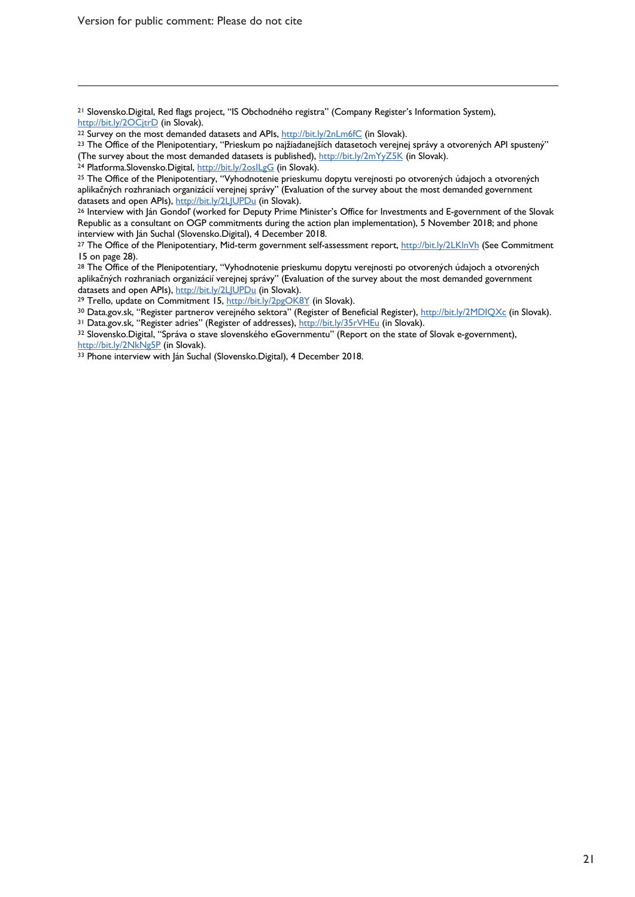Version for public comment: Please do not cite

 $\overline{a}$ 

<sup>21</sup> Slovensko.Digital, Red flags project, "IS Obchodného registra" (Company Register's Information System),

http://bit.ly/2OCjtrD (in Slovak).<br><sup>22</sup> Survey on the most demanded datasets and APIs, <u>http://bit.ly/2nLm6fC</u> (in Slovak).<br><sup>23</sup> The Office of the Plenipotentiary, "Prieskum po najžiadanejších datasetoch verejnej správy a

<sup>24</sup> Platforma.Slovensko.Digital, http://bit.ly/2oslLgG (in Slovak).<br><sup>25</sup> The Office of the Plenipotentiary, "Vyhodnotenie prieskumu dopytu verejnosti po otvorených údajoch a otvorených aplikačných rozhraniach organizácií verejnej správy" (Evaluation of the survey about the most demanded government datasets and open APIs), http://bit.ly/2LJUPDu (in Slovak).<br><sup>26</sup> Interview with Ján Gondoľ (worked for Deputy Prime Minister's Office for Investments and E-government of the Slovak

Republic as a consultant on OGP commitments during the action plan implementation), 5 November 2018; and phone interview with Ján Suchal (Slovensko.Digital), 4 December 2018.

<sup>27</sup> The Office of the Plenipotentiary, Mid-term government self-assessment report, http://bit.ly/2LKlnVh (See Commitment 15 on page 28).

<sup>28</sup> The Office of the Plenipotentiary, "Vyhodnotenie prieskumu dopytu verejnosti po otvorených údajoch a otvorených aplikačných rozhraniach organizácií verejnej správy" (Evaluation of the survey about the most demanded government datasets and open APIs), http://bit.ly/2LJUPDu (in Slovak).

<sup>29</sup> Trello, update on Commitment 15, http://bit.ly/2pgOK8Y (in Slovak).

<sup>30</sup> Data.gov.sk, "Register partnerov verejného sektora" (Register of Beneficial Register), <u>http://bit.ly/2MDIQXc</u> (in Slovak).<br><sup>31</sup> Data.gov.sk, "Register adries" (Register of addresses), <u>http://bit.ly/35rVHEu</u> (in Slov

<sup>32</sup> Slovensko.Digital, "Správa o stave slovenského eGovernmentu" (Report on the state of Slovak e-government), http://bit.ly/2NkNg5P (in Slovak).

33 Phone interview with Ján Suchal (Slovensko.Digital), 4 December 2018.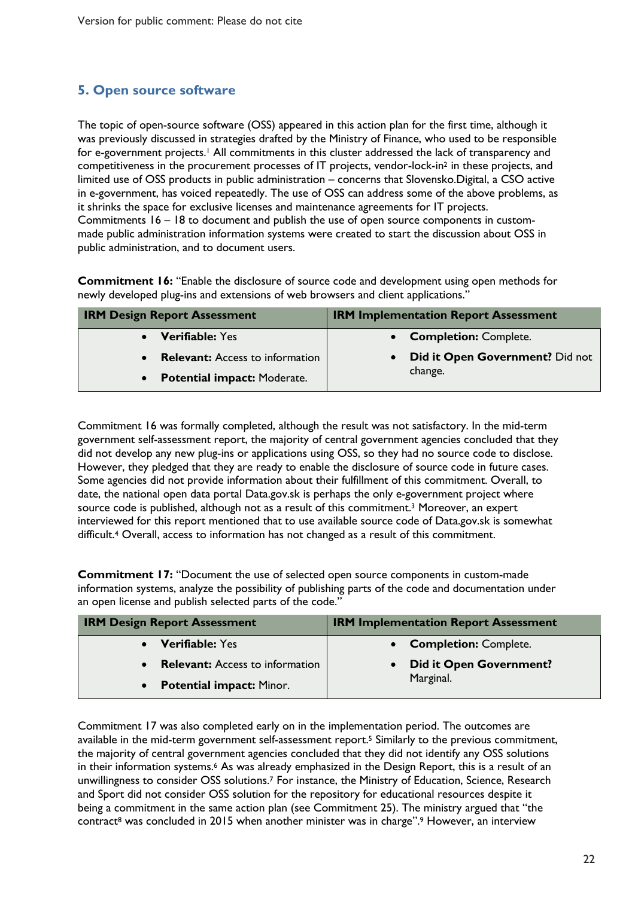#### **5. Open source software**

The topic of open-source software (OSS) appeared in this action plan for the first time, although it was previously discussed in strategies drafted by the Ministry of Finance, who used to be responsible for e-government projects.<sup>1</sup> All commitments in this cluster addressed the lack of transparency and competitiveness in the procurement processes of IT projects, vendor-lock-in2 in these projects, and limited use of OSS products in public administration – concerns that Slovensko.Digital, a CSO active in e-government, has voiced repeatedly. The use of OSS can address some of the above problems, as it shrinks the space for exclusive licenses and maintenance agreements for IT projects. Commitments 16 – 18 to document and publish the use of open source components in custommade public administration information systems were created to start the discussion about OSS in public administration, and to document users.

**Commitment 16:** "Enable the disclosure of source code and development using open methods for newly developed plug-ins and extensions of web browsers and client applications."

| <b>IRM Design Report Assessment</b>    | <b>IRM Implementation Report Assessment</b> |
|----------------------------------------|---------------------------------------------|
| • Verifiable: Yes                      | • Completion: Complete.                     |
| <b>Relevant:</b> Access to information | Did it Open Government? Did not             |
| • Potential impact: Moderate.          | change.                                     |

Commitment 16 was formally completed, although the result was not satisfactory. In the mid-term government self-assessment report, the majority of central government agencies concluded that they did not develop any new plug-ins or applications using OSS, so they had no source code to disclose. However, they pledged that they are ready to enable the disclosure of source code in future cases. Some agencies did not provide information about their fulfillment of this commitment. Overall, to date, the national open data portal Data.gov.sk is perhaps the only e-government project where source code is published, although not as a result of this commitment. <sup>3</sup> Moreover, an expert interviewed for this report mentioned that to use available source code of Data.gov.sk is somewhat difficult.4 Overall, access to information has not changed as a result of this commitment.

**Commitment 17:** "Document the use of selected open source components in custom-made information systems, analyze the possibility of publishing parts of the code and documentation under an open license and publish selected parts of the code."

| <b>IRM Design Report Assessment</b>                 | <b>IRM Implementation Report Assessment</b> |
|-----------------------------------------------------|---------------------------------------------|
| • Verifiable: Yes                                   | • Completion: Complete.                     |
| <b>Relevant:</b> Access to information<br>$\bullet$ | <b>Did it Open Government?</b>              |
| • Potential impact: Minor.                          | Marginal.                                   |

Commitment 17 was also completed early on in the implementation period. The outcomes are available in the mid-term government self-assessment report. <sup>5</sup> Similarly to the previous commitment, the majority of central government agencies concluded that they did not identify any OSS solutions in their information systems. <sup>6</sup> As was already emphasized in the Design Report, this is a result of an unwillingness to consider OSS solutions.<sup>7</sup> For instance, the Ministry of Education, Science, Research and Sport did not consider OSS solution for the repository for educational resources despite it being a commitment in the same action plan (see Commitment 25). The ministry argued that "the contract<sup>8</sup> was concluded in 2015 when another minister was in charge".<sup>9</sup> However, an interview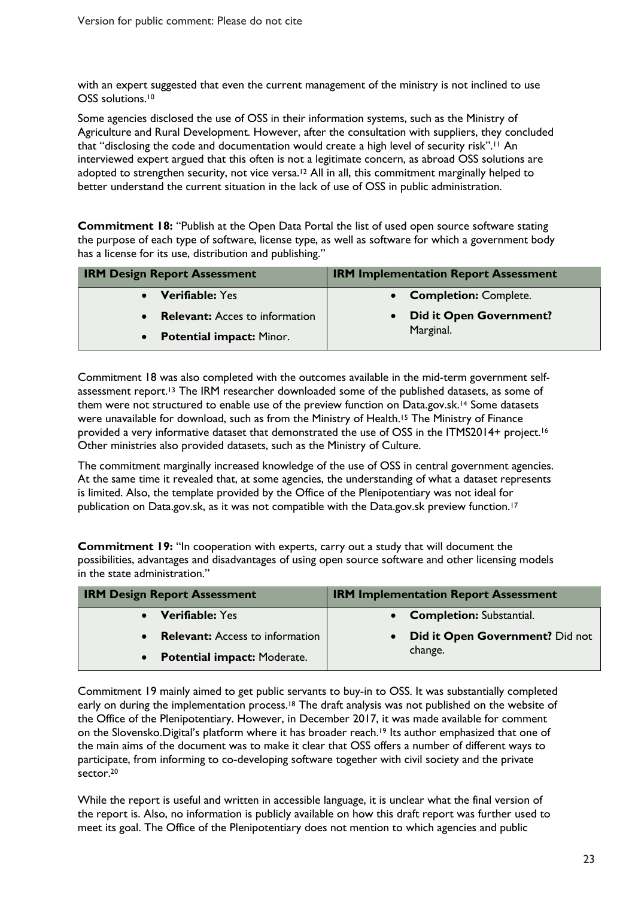with an expert suggested that even the current management of the ministry is not inclined to use OSS solutions.<sup>10</sup>

Some agencies disclosed the use of OSS in their information systems, such as the Ministry of Agriculture and Rural Development. However, after the consultation with suppliers, they concluded that "disclosing the code and documentation would create a high level of security risk".<sup>11</sup> An interviewed expert argued that this often is not a legitimate concern, as abroad OSS solutions are adopted to strengthen security, not vice versa. <sup>12</sup> All in all, this commitment marginally helped to better understand the current situation in the lack of use of OSS in public administration.

**Commitment 18:** "Publish at the Open Data Portal the list of used open source software stating the purpose of each type of software, license type, as well as software for which a government body has a license for its use, distribution and publishing."

| <b>IRM Design Report Assessment</b>   | <b>IRM Implementation Report Assessment</b> |
|---------------------------------------|---------------------------------------------|
| • Verifiable: Yes                     | • Completion: Complete.                     |
| <b>Relevant:</b> Acces to information | <b>Did it Open Government?</b>              |
| <b>Potential impact: Minor.</b>       | Marginal.                                   |

Commitment 18 was also completed with the outcomes available in the mid-term government selfassessment report.13 The IRM researcher downloaded some of the published datasets, as some of them were not structured to enable use of the preview function on Data.gov.sk.<sup>14</sup> Some datasets were unavailable for download, such as from the Ministry of Health.15 The Ministry of Finance provided a very informative dataset that demonstrated the use of OSS in the ITMS2014+ project.<sup>16</sup> Other ministries also provided datasets, such as the Ministry of Culture.

The commitment marginally increased knowledge of the use of OSS in central government agencies. At the same time it revealed that, at some agencies, the understanding of what a dataset represents is limited. Also, the template provided by the Office of the Plenipotentiary was not ideal for publication on Data.gov.sk, as it was not compatible with the Data.gov.sk preview function.<sup>17</sup>

**Commitment 19:** "In cooperation with experts, carry out a study that will document the possibilities, advantages and disadvantages of using open source software and other licensing models in the state administration."

| <b>IRM Design Report Assessment</b> | <b>IRM Implementation Report Assessment</b> |
|-------------------------------------|---------------------------------------------|
| • Verifiable: Yes                   | • Completion: Substantial.                  |
| • Relevant: Access to information   | Did it Open Government? Did not             |
| • Potential impact: Moderate.       | change.                                     |

Commitment 19 mainly aimed to get public servants to buy-in to OSS. It was substantially completed early on during the implementation process.<sup>18</sup> The draft analysis was not published on the website of the Office of the Plenipotentiary. However, in December 2017, it was made available for comment on the Slovensko.Digital's platform where it has broader reach. <sup>19</sup> Its author emphasized that one of the main aims of the document was to make it clear that OSS offers a number of different ways to participate, from informing to co-developing software together with civil society and the private sector. 20

While the report is useful and written in accessible language, it is unclear what the final version of the report is. Also, no information is publicly available on how this draft report was further used to meet its goal. The Office of the Plenipotentiary does not mention to which agencies and public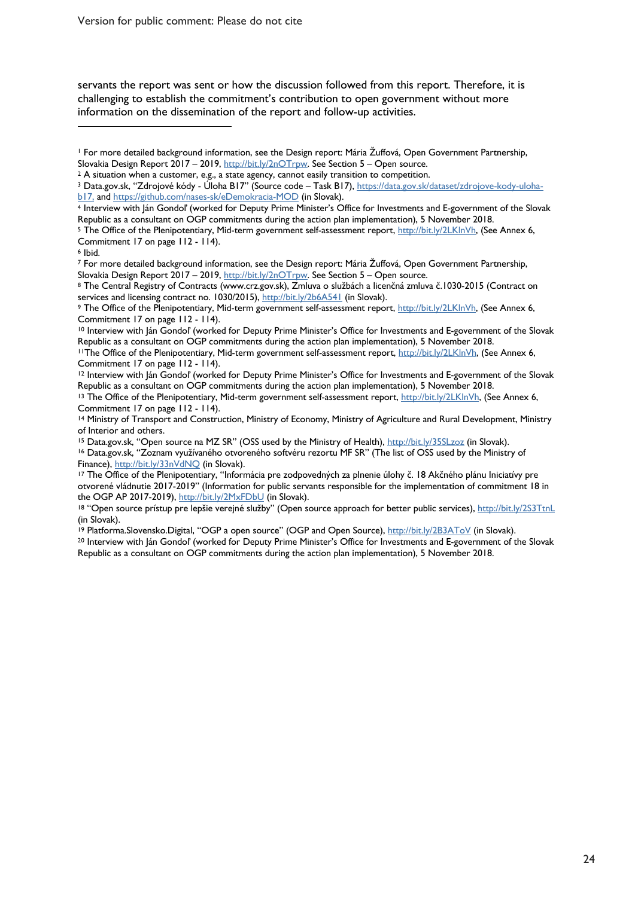Version for public comment: Please do not cite

servants the report was sent or how the discussion followed from this report. Therefore, it is challenging to establish the commitment's contribution to open government without more information on the dissemination of the report and follow-up activities.

<sup>1</sup> For more detailed background information, see the Design report: Mária Žuffová, Open Government Partnership,

b17, and https://github.com/nases-sk/eDemokracia-MOD (in Slovak).<br>4 Interview with Ján Gondoľ (worked for Deputy Prime Minister's Office for Investments and E-government of the Slovak

Republic as a consultant on OGP commitments during the action plan implementation), 5 November 2018.

<sup>6</sup> Ibid.

 $\overline{a}$ 

7 For more detailed background information, see the Design report: Mária Žuffová, Open Government Partnership,<br>Slovakia Design Report 2017 – 2019, http://bit.ly/2nOTrpw. See Section 5 – Open source.

<sup>8</sup> The Central Registry of Contracts (www.crz.gov.sk), Zmluva o službách a licenčná zmluva č.1030-2015 (Contract on services and licensing contract no. 1030/2015), http://bit.ly/2b6A541 (in Slovak).

9 The Office of the Plenipotentiary, Mid-term government self-assessment report, http://bit.ly/2LKlnVh, (See Annex 6, Commitment 17 on page 112 - 114).

<sup>10</sup> Interview with Ján Gondoľ (worked for Deputy Prime Minister's Office for Investments and E-government of the Slovak Republic as a consultant on OGP commitments during the action plan implementation), 5 November 2018.

<sup>12</sup> Interview with Ján Gondoľ (worked for Deputy Prime Minister's Office for Investments and E-government of the Slovak Republic as a consultant on OGP commitments during the action plan implementation), 5 November 2018.

<sup>13</sup> The Office of the Plenipotentiary, Mid-term government self-assessment report, http://bit.ly/2LKlnVh, (See Annex 6, Commitment 17 on page 112 - 114).

<sup>14</sup> Ministry of Transport and Construction, Ministry of Economy, Ministry of Agriculture and Rural Development, Ministry of Interior and others.

<sup>15</sup> Data.gov.sk, "Open source na MZ SR" (OSS used by the Ministry of Health), http://bit.ly/35SLzoz (in Slovak).

<sup>16</sup> Data.gov.sk, "Zoznam využívaného otvoreného softvéru rezortu MF SR" (The list of OSS used by the Ministry of Finance), http://bit.ly/33nVdNQ (in Slovak).<br><sup>17</sup> The Office of the Plenipotentiary, "Informácia pre zodpovedných za plnenie úlohy č. 18 Akčného plánu Iniciatívy pre

otvorené vládnutie 2017-2019" (Information for public servants responsible for the implementation of commitment 18 in the OGP AP 2017-2019), http://bit.ly/2MxFDbU (in Slovak).

<sup>20</sup> Interview with Ján Gondol' (worked for Deputy Prime Minister's Office for Investments and E-government of the Slovak Republic as a consultant on OGP commitments during the action plan implementation), 5 November 2018.

Slovakia Design Report 2017 – 2019, <u>http://bit.ly/2nOTrpw</u>. See Section 5 – Open source.<br><sup>2</sup> A situation when a customer, e.g., a state agency, cannot easily transition to competition.<br><sup>3</sup> Data.gov.sk, "Zdrojové kódy - Úl

<sup>5</sup> The Office of the Plenipotentiary, Mid-term government self-assessment report, http://bit.ly/2LKlnVh, (See Annex 6, Commitment 17 on page 112 - 114).

<sup>&</sup>lt;sup>11</sup>The Office of the Plenipotentiary, Mid-term government self-assessment report, http://bit.ly/2LKlnVh, (See Annex 6, Commitment 17 on page 112 - 114).

<sup>&</sup>lt;sup>18</sup> "Open source prístup pre lepšie verejné služby" (Open source approach for better public services), http://bit.ly/2S3TtnL (in Slovak).<br><sup>19</sup> Platforma.Slovensko.Digital, "OGP a open source" (OGP and Open Source), <u>http://bit.ly/2B3AToV</u> (in Slovak).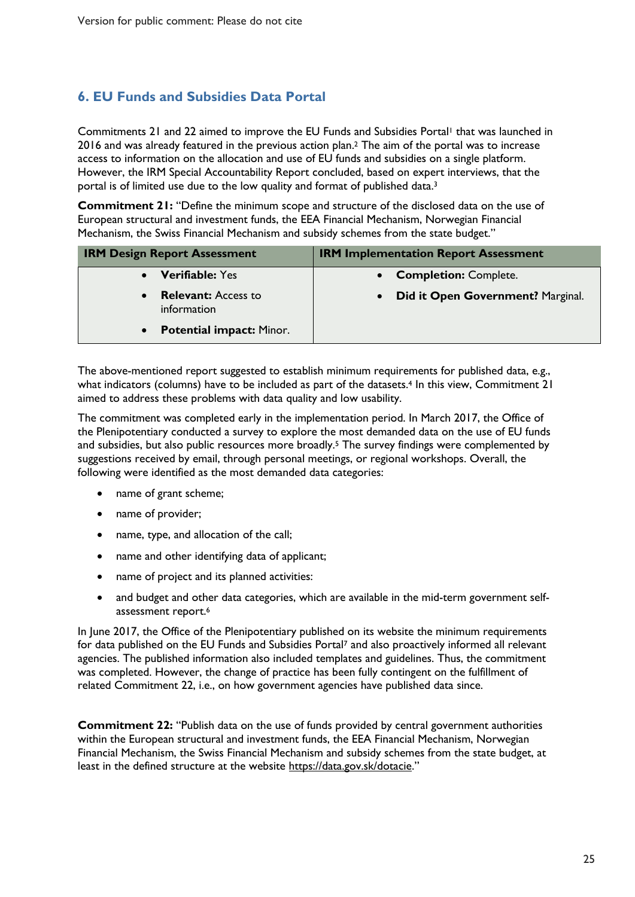## **6. EU Funds and Subsidies Data Portal**

Commitments 21 and 22 aimed to improve the EU Funds and Subsidies Portal<sup>1</sup> that was launched in 2016 and was already featured in the previous action plan.2 The aim of the portal was to increase access to information on the allocation and use of EU funds and subsidies on a single platform. However, the IRM Special Accountability Report concluded, based on expert interviews, that the portal is of limited use due to the low quality and format of published data.3

**Commitment 21:** "Define the minimum scope and structure of the disclosed data on the use of European structural and investment funds, the EEA Financial Mechanism, Norwegian Financial Mechanism, the Swiss Financial Mechanism and subsidy schemes from the state budget."

| <b>IRM Design Report Assessment</b>          | <b>IRM Implementation Report Assessment</b>    |
|----------------------------------------------|------------------------------------------------|
| <b>Verifiable: Yes</b>                       | <b>Completion: Complete.</b>                   |
| <b>Relevant:</b> Access to<br>information    | Did it Open Government? Marginal.<br>$\bullet$ |
| <b>Potential impact: Minor.</b><br>$\bullet$ |                                                |

The above-mentioned report suggested to establish minimum requirements for published data, e.g., what indicators (columns) have to be included as part of the datasets.<sup>4</sup> In this view, Commitment 21 aimed to address these problems with data quality and low usability.

The commitment was completed early in the implementation period. In March 2017, the Office of the Plenipotentiary conducted a survey to explore the most demanded data on the use of EU funds and subsidies, but also public resources more broadly.5 The survey findings were complemented by suggestions received by email, through personal meetings, or regional workshops. Overall, the following were identified as the most demanded data categories:

- name of grant scheme;
- name of provider;
- name, type, and allocation of the call;
- name and other identifying data of applicant;
- name of project and its planned activities:
- and budget and other data categories, which are available in the mid-term government selfassessment report.6

In June 2017, the Office of the Plenipotentiary published on its website the minimum requirements for data published on the EU Funds and Subsidies Portal<sup>7</sup> and also proactively informed all relevant agencies. The published information also included templates and guidelines. Thus, the commitment was completed. However, the change of practice has been fully contingent on the fulfillment of related Commitment 22, i.e., on how government agencies have published data since.

**Commitment 22:** "Publish data on the use of funds provided by central government authorities within the European structural and investment funds, the EEA Financial Mechanism, Norwegian Financial Mechanism, the Swiss Financial Mechanism and subsidy schemes from the state budget, at least in the defined structure at the website https://data.gov.sk/dotacie."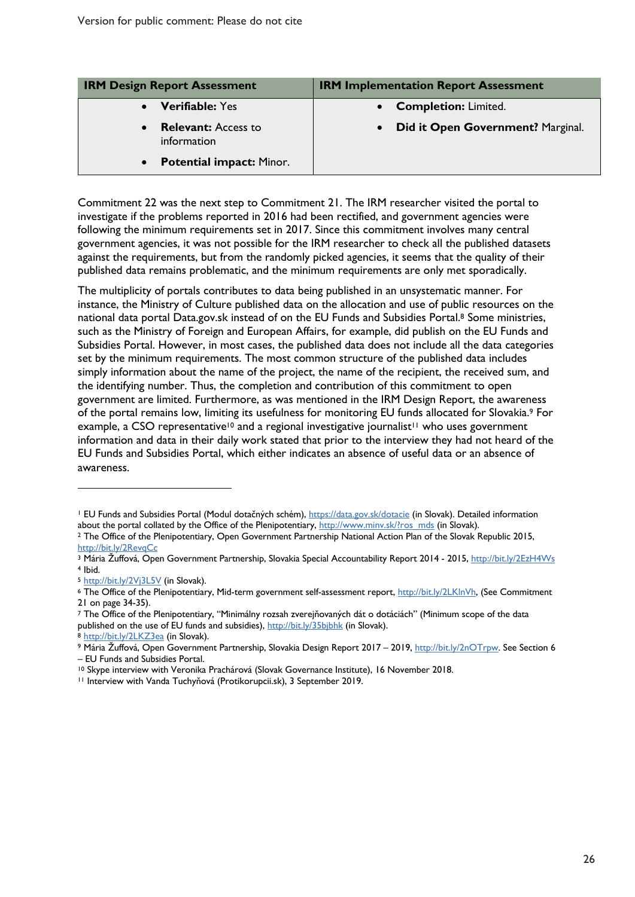| <b>IRM Design Report Assessment</b>          | <b>IRM Implementation Report Assessment</b> |
|----------------------------------------------|---------------------------------------------|
| <b>Verifiable: Yes</b>                       | <b>Completion: Limited.</b>                 |
| <b>Relevant:</b> Access to<br>information    | Did it Open Government? Marginal.           |
| <b>Potential impact: Minor.</b><br>$\bullet$ |                                             |

Commitment 22 was the next step to Commitment 21. The IRM researcher visited the portal to investigate if the problems reported in 2016 had been rectified, and government agencies were following the minimum requirements set in 2017. Since this commitment involves many central government agencies, it was not possible for the IRM researcher to check all the published datasets against the requirements, but from the randomly picked agencies, it seems that the quality of their published data remains problematic, and the minimum requirements are only met sporadically.

The multiplicity of portals contributes to data being published in an unsystematic manner. For instance, the Ministry of Culture published data on the allocation and use of public resources on the national data portal Data.gov.sk instead of on the EU Funds and Subsidies Portal. <sup>8</sup> Some ministries, such as the Ministry of Foreign and European Affairs, for example, did publish on the EU Funds and Subsidies Portal. However, in most cases, the published data does not include all the data categories set by the minimum requirements. The most common structure of the published data includes simply information about the name of the project, the name of the recipient, the received sum, and the identifying number. Thus, the completion and contribution of this commitment to open government are limited. Furthermore, as was mentioned in the IRM Design Report, the awareness of the portal remains low, limiting its usefulness for monitoring EU funds allocated for Slovakia.9 For example, a CSO representative<sup>10</sup> and a regional investigative journalist<sup>11</sup> who uses government information and data in their daily work stated that prior to the interview they had not heard of the EU Funds and Subsidies Portal, which either indicates an absence of useful data or an absence of awareness.

 $\overline{a}$ 

<sup>7</sup> The Office of the Plenipotentiary, "Minimálny rozsah zverejňovaných dát o dotáciách" (Minimum scope of the data published on the use of EU funds and subsidies), http://bit.ly/35bibhk (in Slovak).

8 <u>http://bit.ly/2LKZ3ea</u> (in Slovak).<br>9 Mária Žuffová, Open Government Partnership, Slovakia Design Report 2017 – 2019, <u>http://bit.ly/2nOTrpw</u>. See Section 6 – EU Funds and Subsidies Portal.

<sup>&</sup>lt;sup>1</sup> EU Funds and Subsidies Portal (Modul dotačných schém), https://data.gov.sk/dotacie (in Slovak). Detailed information about the portal collated by the Office of the Plenipotentiary, http://www.minv.sk/?ros\_mds (in Slovak). 2 The Office of the Plenipotentiary, Open Government Partnership National Action Plan of the Slovak Republic 2015,

http://bit.ly/2RevqCc

<sup>3</sup> Mária Žuffová, Open Government Partnership, Slovakia Special Accountability Report 2014 - 2015, http://bit.ly/2EzH4Ws <sup>4</sup> Ibid.

<sup>&</sup>lt;sup>5</sup> http://bit.ly/2Vj3L5V (in Slovak).<br><sup>6</sup> The Office of the Plenipotentiary, Mid-term government self-assessment report, http://bit.ly/2LKlnVh, (See Commitment 21 on page 34-35).

<sup>10</sup> Skype interview with Veronika Prachárová (Slovak Governance Institute), 16 November 2018. 11 Interview with Vanda Tuchyňová (Protikorupcii.sk), 3 September 2019.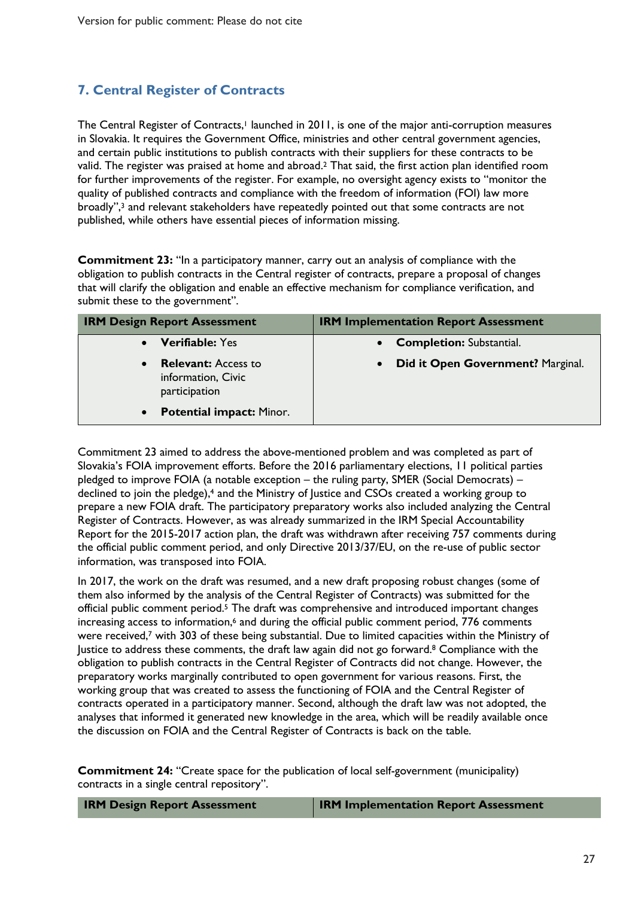# **7. Central Register of Contracts**

The Central Register of Contracts,<sup>1</sup> launched in 2011, is one of the major anti-corruption measures in Slovakia. It requires the Government Office, ministries and other central government agencies, and certain public institutions to publish contracts with their suppliers for these contracts to be valid. The register was praised at home and abroad. <sup>2</sup> That said, the first action plan identified room for further improvements of the register. For example, no oversight agency exists to "monitor the quality of published contracts and compliance with the freedom of information (FOI) law more broadly",<sup>3</sup> and relevant stakeholders have repeatedly pointed out that some contracts are not published, while others have essential pieces of information missing.

**Commitment 23:** "In a participatory manner, carry out an analysis of compliance with the obligation to publish contracts in the Central register of contracts, prepare a proposal of changes that will clarify the obligation and enable an effective mechanism for compliance verification, and submit these to the government".

| <b>IRM Design Report Assessment</b>                                            | <b>IRM Implementation Report Assessment</b>    |
|--------------------------------------------------------------------------------|------------------------------------------------|
| <b>Verifiable: Yes</b>                                                         | <b>Completion: Substantial.</b>                |
| <b>Relevant:</b> Access to<br>$\bullet$<br>information, Civic<br>participation | Did it Open Government? Marginal.<br>$\bullet$ |
| <b>Potential impact: Minor.</b><br>$\bullet$                                   |                                                |

Commitment 23 aimed to address the above-mentioned problem and was completed as part of Slovakia's FOIA improvement efforts. Before the 2016 parliamentary elections, 11 political parties pledged to improve FOIA (a notable exception – the ruling party, SMER (Social Democrats) – declined to join the pledge), <sup>4</sup> and the Ministry of Justice and CSOs created a working group to prepare a new FOIA draft. The participatory preparatory works also included analyzing the Central Register of Contracts. However, as was already summarized in the IRM Special Accountability Report for the 2015-2017 action plan, the draft was withdrawn after receiving 757 comments during the official public comment period, and only Directive 2013/37/EU, on the re-use of public sector information, was transposed into FOIA.

In 2017, the work on the draft was resumed, and a new draft proposing robust changes (some of them also informed by the analysis of the Central Register of Contracts) was submitted for the official public comment period.<sup>5</sup> The draft was comprehensive and introduced important changes increasing access to information,<sup>6</sup> and during the official public comment period, 776 comments were received, <sup>7</sup> with 303 of these being substantial. Due to limited capacities within the Ministry of Justice to address these comments, the draft law again did not go forward. <sup>8</sup> Compliance with the obligation to publish contracts in the Central Register of Contracts did not change. However, the preparatory works marginally contributed to open government for various reasons. First, the working group that was created to assess the functioning of FOIA and the Central Register of contracts operated in a participatory manner. Second, although the draft law was not adopted, the analyses that informed it generated new knowledge in the area, which will be readily available once the discussion on FOIA and the Central Register of Contracts is back on the table.

**Commitment 24:** "Create space for the publication of local self-government (municipality) contracts in a single central repository".

| <b>IRM Design Report Assessment</b> | <b>IRM Implementation Report Assessment</b> |
|-------------------------------------|---------------------------------------------|
|-------------------------------------|---------------------------------------------|

27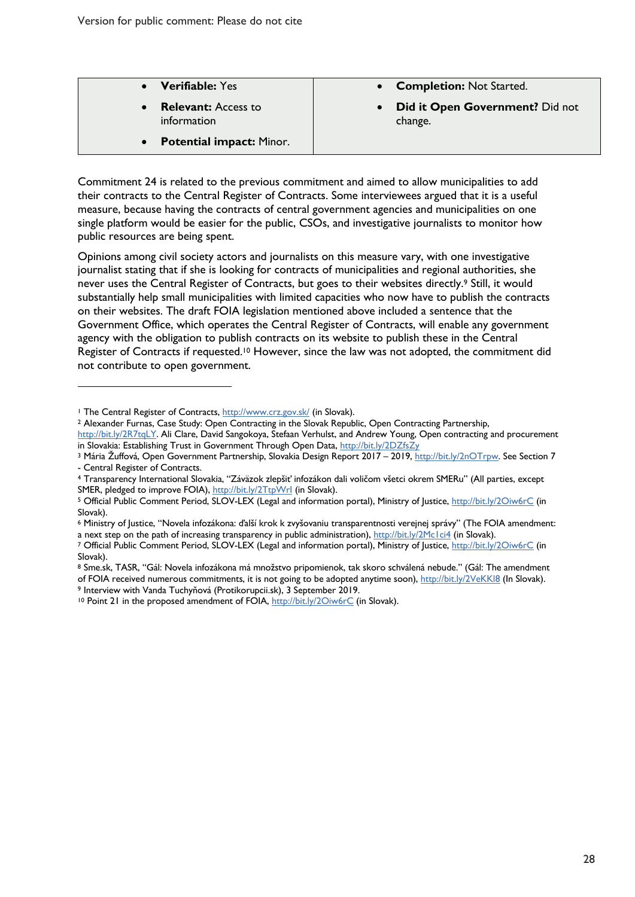| <b>Verifiable: Yes</b>                       | • Completion: Not Started.                 |
|----------------------------------------------|--------------------------------------------|
| <b>Relevant:</b> Access to<br>information    | Did it Open Government? Did not<br>change. |
| <b>Potential impact: Minor.</b><br>$\bullet$ |                                            |

Commitment 24 is related to the previous commitment and aimed to allow municipalities to add their contracts to the Central Register of Contracts. Some interviewees argued that it is a useful measure, because having the contracts of central government agencies and municipalities on one single platform would be easier for the public, CSOs, and investigative journalists to monitor how public resources are being spent.

Opinions among civil society actors and journalists on this measure vary, with one investigative journalist stating that if she is looking for contracts of municipalities and regional authorities, she never uses the Central Register of Contracts, but goes to their websites directly.9 Still, it would substantially help small municipalities with limited capacities who now have to publish the contracts on their websites. The draft FOIA legislation mentioned above included a sentence that the Government Office, which operates the Central Register of Contracts, will enable any government agency with the obligation to publish contracts on its website to publish these in the Central Register of Contracts if requested.<sup>10</sup> However, since the law was not adopted, the commitment did not contribute to open government.

 $\overline{a}$ 

<sup>&</sup>lt;sup>1</sup> The Central Register of Contracts, http://www.crz.gov.sk/ (in Slovak).

<sup>2</sup> Alexander Furnas, Case Study: Open Contracting in the Slovak Republic, Open Contracting Partnership, http://bit.ly/2R7tqLY. Ali Clare, David Sangokoya, Stefaan Verhulst, and Andrew Young, Open contracting and procurement in Slovakia: Establishing Trust in Government Through Open Data, http://bit.ly/2DZfsZy

<sup>3</sup> Mária Žuffová, Open Government Partnership, Slovakia Design Report 2017 – 2019, http://bit.ly/2nOTrpw. See Section 7 - Central Register of Contracts.

<sup>4</sup> Transparency International Slovakia, "Záväzok zlepšiť infozákon dali voličom všetci okrem SMERu" (All parties, except

SMER, pledged to improve FOIA), http://bit.ly/2TtpWrI (in Slovak).<br><sup>5</sup> Official Public Comment Period, SLOV-LEX (Legal and information portal), Ministry of Justice, http://bit.ly/2Oiw6rC (in Slovak).

<sup>6</sup> Ministry of Justice, "Novela infozákona: ďalší krok k zvyšovaniu transparentnosti verejnej správy" (The FOIA amendment: a next step on the path of increasing transparency in public administration), http://bit.ly/2Mc1ci4 (in Slovak).<br>7 Official Public Comment Period, SLOV-LEX (Legal and information portal), Ministry of Justice, http://bit.ly

Slovak).

<sup>8</sup> Sme.sk, TASR, "Gál: Novela infozákona má množstvo pripomienok, tak skoro schválená nebude." (Gál: The amendment of FOIA received numerous commitments, it is not going to be adopted anytime soon), http://bit.ly/2VeKKl8 (In Slovak). 9 Interview with Vanda Tuchyňová (Protikorupcii.sk), 3 September 2019.

<sup>10</sup> Point 21 in the proposed amendment of FOIA, http://bit.ly/2Oiw6rC (in Slovak).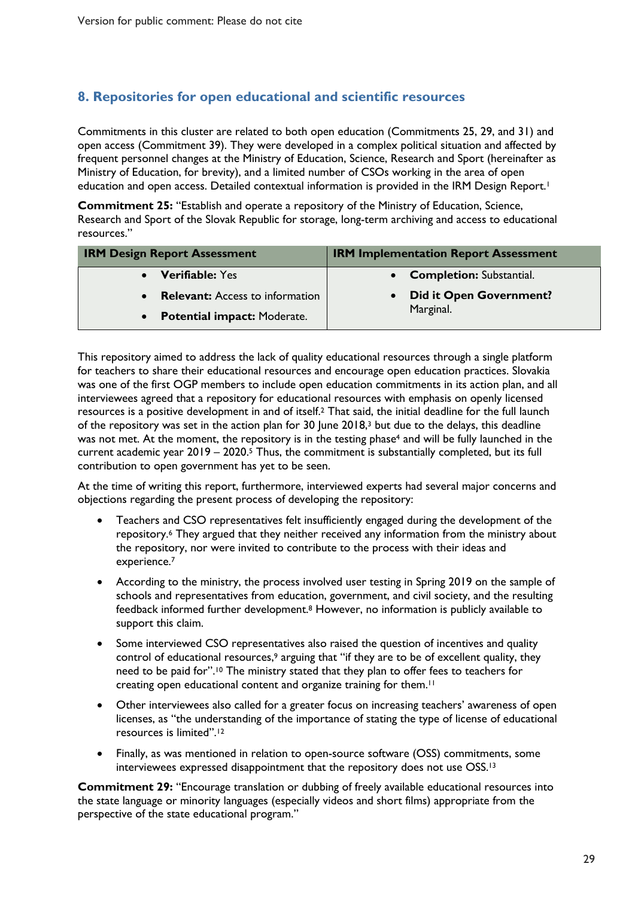### **8. Repositories for open educational and scientific resources**

Commitments in this cluster are related to both open education (Commitments 25, 29, and 31) and open access (Commitment 39). They were developed in a complex political situation and affected by frequent personnel changes at the Ministry of Education, Science, Research and Sport (hereinafter as Ministry of Education, for brevity), and a limited number of CSOs working in the area of open education and open access. Detailed contextual information is provided in the IRM Design Report.<sup>1</sup>

**Commitment 25:** "Establish and operate a repository of the Ministry of Education, Science, Research and Sport of the Slovak Republic for storage, long-term archiving and access to educational resources."

| <b>IRM Design Report Assessment</b>                 | <b>IRM Implementation Report Assessment</b> |
|-----------------------------------------------------|---------------------------------------------|
| <b>Verifiable: Yes</b>                              | • Completion: Substantial.                  |
| <b>Relevant:</b> Access to information<br>$\bullet$ | <b>Did it Open Government?</b>              |
| <b>Potential impact: Moderate.</b><br>$\bullet$     | Marginal.                                   |

This repository aimed to address the lack of quality educational resources through a single platform for teachers to share their educational resources and encourage open education practices. Slovakia was one of the first OGP members to include open education commitments in its action plan, and all interviewees agreed that a repository for educational resources with emphasis on openly licensed resources is a positive development in and of itself.2 That said, the initial deadline for the full launch of the repository was set in the action plan for 30 June 2018,<sup>3</sup> but due to the delays, this deadline was not met. At the moment, the repository is in the testing phase<sup>4</sup> and will be fully launched in the current academic year 2019 – 2020.<sup>5</sup> Thus, the commitment is substantially completed, but its full contribution to open government has yet to be seen.

At the time of writing this report, furthermore, interviewed experts had several major concerns and objections regarding the present process of developing the repository:

- Teachers and CSO representatives felt insufficiently engaged during the development of the repository.6 They argued that they neither received any information from the ministry about the repository, nor were invited to contribute to the process with their ideas and experience.7
- According to the ministry, the process involved user testing in Spring 2019 on the sample of schools and representatives from education, government, and civil society, and the resulting feedback informed further development.8 However, no information is publicly available to support this claim.
- Some interviewed CSO representatives also raised the question of incentives and quality control of educational resources,<sup>9</sup> arguing that "if they are to be of excellent quality, they need to be paid for".<sup>10</sup> The ministry stated that they plan to offer fees to teachers for creating open educational content and organize training for them.11
- Other interviewees also called for a greater focus on increasing teachers' awareness of open licenses, as "the understanding of the importance of stating the type of license of educational resources is limited".12
- Finally, as was mentioned in relation to open-source software (OSS) commitments, some interviewees expressed disappointment that the repository does not use OSS. 13

**Commitment 29:** "Encourage translation or dubbing of freely available educational resources into the state language or minority languages (especially videos and short films) appropriate from the perspective of the state educational program."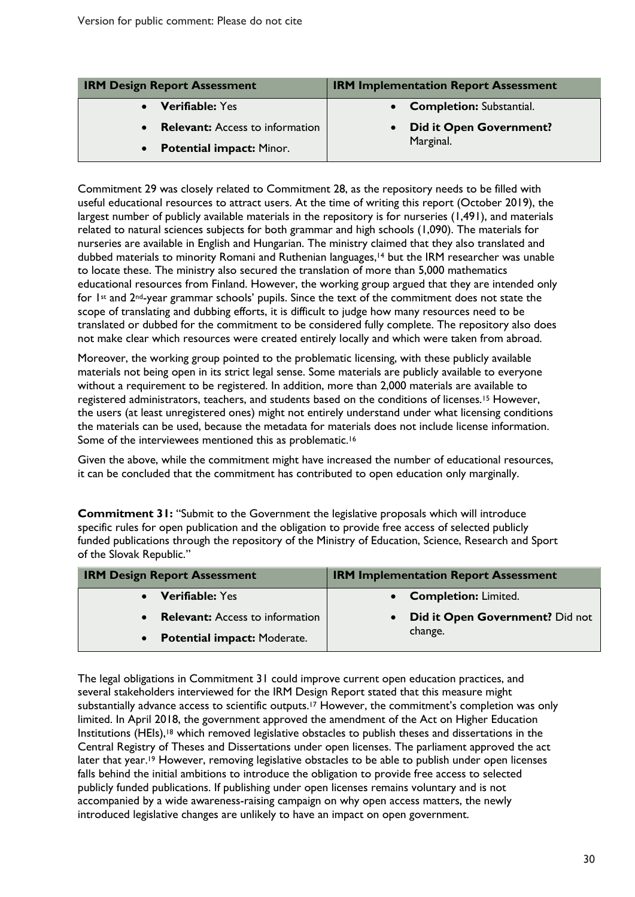| <b>IRM Design Report Assessment</b>                 | <b>IRM Implementation Report Assessment</b> |
|-----------------------------------------------------|---------------------------------------------|
| <b>Verifiable:</b> Yes                              | • Completion: Substantial.                  |
| <b>Relevant:</b> Access to information<br>$\bullet$ | <b>Did it Open Government?</b>              |
| • Potential impact: Minor.                          | Marginal.                                   |

Commitment 29 was closely related to Commitment 28, as the repository needs to be filled with useful educational resources to attract users. At the time of writing this report (October 2019), the largest number of publicly available materials in the repository is for nurseries (1,491), and materials related to natural sciences subjects for both grammar and high schools (1,090). The materials for nurseries are available in English and Hungarian. The ministry claimed that they also translated and dubbed materials to minority Romani and Ruthenian languages, <sup>14</sup> but the IRM researcher was unable to locate these. The ministry also secured the translation of more than 5,000 mathematics educational resources from Finland. However, the working group argued that they are intended only for  $1$ <sup>st</sup> and  $2^{nd}$ -year grammar schools' pupils. Since the text of the commitment does not state the scope of translating and dubbing efforts, it is difficult to judge how many resources need to be translated or dubbed for the commitment to be considered fully complete. The repository also does not make clear which resources were created entirely locally and which were taken from abroad.

Moreover, the working group pointed to the problematic licensing, with these publicly available materials not being open in its strict legal sense. Some materials are publicly available to everyone without a requirement to be registered. In addition, more than 2,000 materials are available to registered administrators, teachers, and students based on the conditions of licenses.15 However, the users (at least unregistered ones) might not entirely understand under what licensing conditions the materials can be used, because the metadata for materials does not include license information. Some of the interviewees mentioned this as problematic.<sup>16</sup>

Given the above, while the commitment might have increased the number of educational resources, it can be concluded that the commitment has contributed to open education only marginally.

**Commitment 31:** "Submit to the Government the legislative proposals which will introduce specific rules for open publication and the obligation to provide free access of selected publicly funded publications through the repository of the Ministry of Education, Science, Research and Sport of the Slovak Republic."

| <b>IRM Design Report Assessment</b> | <b>IRM Implementation Report Assessment</b> |
|-------------------------------------|---------------------------------------------|
| • Verifiable: Yes                   | • Completion: Limited.                      |
| • Relevant: Access to information   | <b>Did it Open Government?</b> Did not      |
| • Potential impact: Moderate.       | change.                                     |

The legal obligations in Commitment 31 could improve current open education practices, and several stakeholders interviewed for the IRM Design Report stated that this measure might substantially advance access to scientific outputs.<sup>17</sup> However, the commitment's completion was only limited. In April 2018, the government approved the amendment of the Act on Higher Education Institutions (HEIs),<sup>18</sup> which removed legislative obstacles to publish theses and dissertations in the Central Registry of Theses and Dissertations under open licenses. The parliament approved the act later that year.<sup>19</sup> However, removing legislative obstacles to be able to publish under open licenses falls behind the initial ambitions to introduce the obligation to provide free access to selected publicly funded publications. If publishing under open licenses remains voluntary and is not accompanied by a wide awareness-raising campaign on why open access matters, the newly introduced legislative changes are unlikely to have an impact on open government.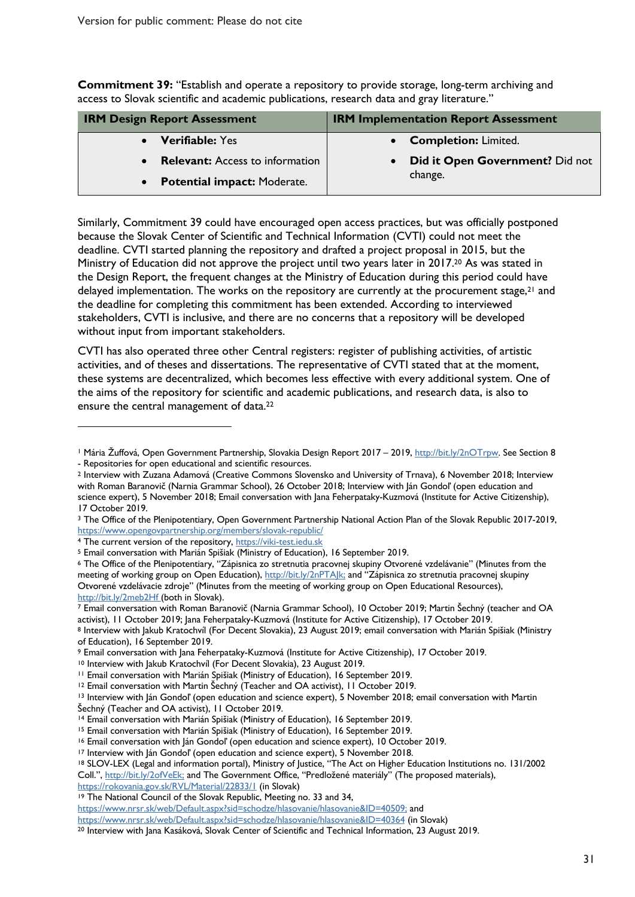**Commitment 39:** "Establish and operate a repository to provide storage, long-term archiving and access to Slovak scientific and academic publications, research data and gray literature."

| <b>IRM Design Report Assessment</b>             | <b>IRM Implementation Report Assessment</b> |
|-------------------------------------------------|---------------------------------------------|
| • Verifiable: Yes                               | • Completion: Limited.                      |
| <b>Relevant:</b> Access to information          | Did it Open Government? Did not             |
| <b>Potential impact: Moderate.</b><br>$\bullet$ | change.                                     |

Similarly, Commitment 39 could have encouraged open access practices, but was officially postponed because the Slovak Center of Scientific and Technical Information (CVTI) could not meet the deadline. CVTI started planning the repository and drafted a project proposal in 2015, but the Ministry of Education did not approve the project until two years later in 2017. <sup>20</sup> As was stated in the Design Report, the frequent changes at the Ministry of Education during this period could have delayed implementation. The works on the repository are currently at the procurement stage,<sup>21</sup> and the deadline for completing this commitment has been extended. According to interviewed stakeholders, CVTI is inclusive, and there are no concerns that a repository will be developed without input from important stakeholders.

CVTI has also operated three other Central registers: register of publishing activities, of artistic activities, and of theses and dissertations. The representative of CVTI stated that at the moment, these systems are decentralized, which becomes less effective with every additional system. One of the aims of the repository for scientific and academic publications, and research data, is also to ensure the central management of data.<sup>22</sup>

 $\overline{a}$ 

https://rokovania.gov.sk/RVL/Material/22833/1 (in Slovak)

https://www.nrsr.sk/web/Default.aspx?sid=schodze/hlasovanie/hlasovanie&ID=40509; and

https://www.nrsr.sk/web/Default.aspx?sid=schodze/hlasovanie/hlasovanie&ID=40364 (in Slovak)

<sup>&</sup>lt;sup>1</sup> Mária Žuffová, Open Government Partnership, Slovakia Design Report 2017 – 2019, http://bit.ly/2nOTrpw. See Section 8 - Repositories for open educational and scientific resources.

<sup>2</sup> Interview with Zuzana Adamová (Creative Commons Slovensko and University of Trnava), 6 November 2018; Interview with Roman Baranovič (Narnia Grammar School), 26 October 2018; Interview with Ján Gondoľ (open education and science expert), 5 November 2018; Email conversation with Jana Feherpataky-Kuzmová (Institute for Active Citizenship), 17 October 2019.

<sup>3</sup> The Office of the Plenipotentiary, Open Government Partnership National Action Plan of the Slovak Republic 2017-2019, https://www.opengovpartnership.org/members/slovak-republic/

<sup>&</sup>lt;sup>4</sup> The current version of the repository, https://viki-test.iedu.sk<br>
<sup>5</sup> Email conversation with Marián Spišiak (Ministry of Education), 16 September 2019.<br>
<sup>6</sup> The Office of the Plenipotentiary, "Zápisnica zo stretnutia meeting of working group on Open Education), http://bit.ly/2nPTAJk; and "Zápisnica zo stretnutia pracovnej skupiny Otvorené vzdelávacie zdroje" (Minutes from the meeting of working group on Open Educational Resources), http://bit.ly/2meb2Hf (both in Slovak).<br>7 Email conversation with Roman Baranovič (Narnia Grammar School), 10 October 2019; Martin Šechný (teacher and OA

activist), II October 2019; Jana Feherpataky-Kuzmová (Institute for Active Citizenship), 17 October 2019.<br><sup>8</sup> Interview with Jakub Kratochvíl (For Decent Slovakia), 23 August 2019; email conversation with Marián Spišiak (M

of Education), 16 September 2019.

<sup>9</sup> Email conversation with Jana Feherpataky-Kuzmová (Institute for Active Citizenship), 17 October 2019.<br><sup>10</sup> Interview with Jakub Kratochvíl (For Decent Slovakia), 23 August 2019.

<sup>&</sup>lt;sup>11</sup> Email conversation with Marián Spišiak (Ministry of Education), 16 September 2019.<br><sup>12</sup> Email conversation with Martin Šechný (Teacher and OA activist), 11 October 2019.<br><sup>13</sup> Interview with Ján Gondol' (open education Šechný (Teacher and OA activist), 11 October 2019.<br><sup>14</sup> Email conversation with Marián Spišiak (Ministry of Education), 16 September 2019.<br><sup>15</sup> Email conversation with Marián Spišiak (Ministry of Education), 16 September 2

<sup>18</sup> SLOV-LEX (Legal and information portal), Ministry of Justice, "The Act on Higher Education Institutions no. 131/2002 Coll.", http://bit.ly/2ofVeEk; and The Government Office, "Predložené materiály" (The proposed materials),

<sup>19</sup> The National Council of the Slovak Republic, Meeting no. 33 and 34,

<sup>20</sup> Interview with Jana Kasáková, Slovak Center of Scientific and Technical Information, 23 August 2019.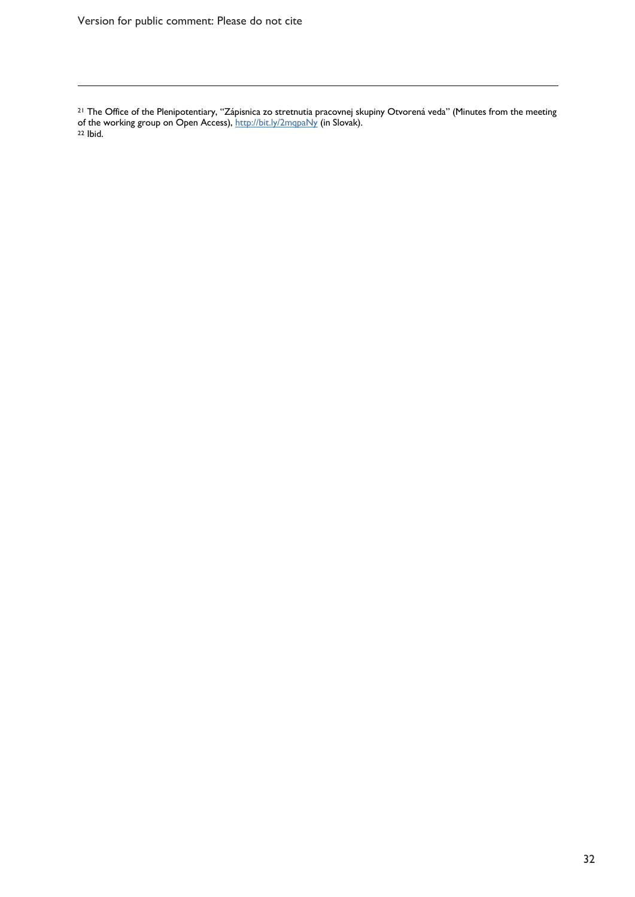$\overline{a}$ 

<sup>21</sup> The Office of the Plenipotentiary, "Zápisnica zo stretnutia pracovnej skupiny Otvorená veda" (Minutes from the meeting of the working group on Open Access), <u>http://bit.ly/2mqpaNy</u> (in Slovak).<br><sup>22</sup> Ibid.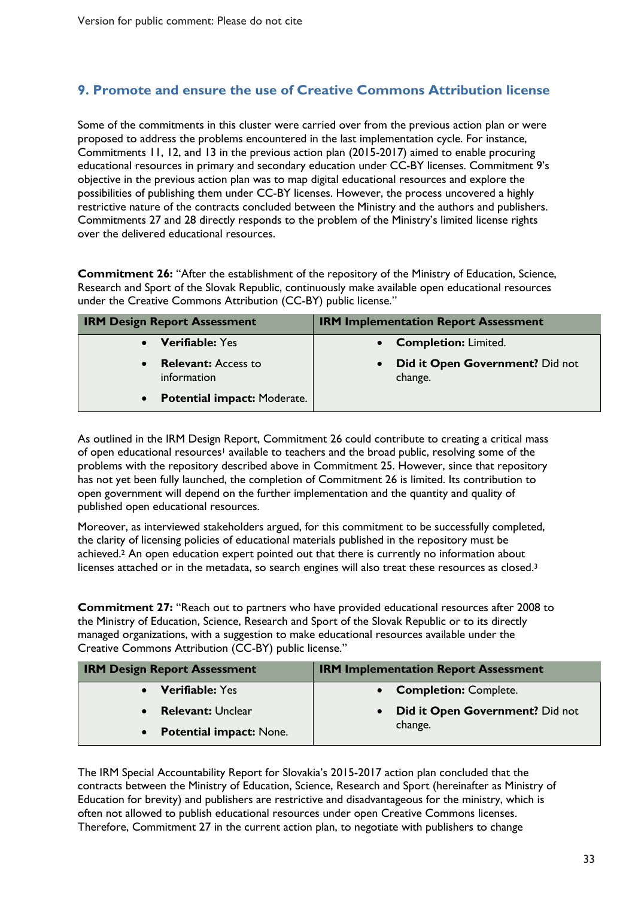### **9. Promote and ensure the use of Creative Commons Attribution license**

Some of the commitments in this cluster were carried over from the previous action plan or were proposed to address the problems encountered in the last implementation cycle. For instance, Commitments 11, 12, and 13 in the previous action plan (2015-2017) aimed to enable procuring educational resources in primary and secondary education under CC-BY licenses. Commitment 9's objective in the previous action plan was to map digital educational resources and explore the possibilities of publishing them under CC-BY licenses. However, the process uncovered a highly restrictive nature of the contracts concluded between the Ministry and the authors and publishers. Commitments 27 and 28 directly responds to the problem of the Ministry's limited license rights over the delivered educational resources.

**Commitment 26:** "After the establishment of the repository of the Ministry of Education, Science, Research and Sport of the Slovak Republic, continuously make available open educational resources under the Creative Commons Attribution (CC-BY) public license."

| <b>IRM Design Report Assessment</b>                    | <b>IRM Implementation Report Assessment</b> |
|--------------------------------------------------------|---------------------------------------------|
| <b>Verifiable: Yes</b>                                 | <b>Completion: Limited.</b>                 |
| <b>Relevant:</b> Access to<br>$\bullet$<br>information | Did it Open Government? Did not<br>change.  |
| <b>Potential impact: Moderate.</b><br>$\bullet$        |                                             |

As outlined in the IRM Design Report, Commitment 26 could contribute to creating a critical mass of open educational resources<sup>1</sup> available to teachers and the broad public, resolving some of the problems with the repository described above in Commitment 25. However, since that repository has not yet been fully launched, the completion of Commitment 26 is limited. Its contribution to open government will depend on the further implementation and the quantity and quality of published open educational resources.

Moreover, as interviewed stakeholders argued, for this commitment to be successfully completed, the clarity of licensing policies of educational materials published in the repository must be achieved.<sup>2</sup> An open education expert pointed out that there is currently no information about licenses attached or in the metadata, so search engines will also treat these resources as closed.<sup>3</sup>

**Commitment 27:** "Reach out to partners who have provided educational resources after 2008 to the Ministry of Education, Science, Research and Sport of the Slovak Republic or to its directly managed organizations, with a suggestion to make educational resources available under the Creative Commons Attribution (CC-BY) public license."

| <b>IRM Design Report Assessment</b> | <b>IRM Implementation Report Assessment</b>  |
|-------------------------------------|----------------------------------------------|
| <b>Verifiable: Yes</b>              | • Completion: Complete.                      |
| <b>Relevant: Unclear</b>            | Did it Open Government? Did not<br>$\bullet$ |
| • Potential impact: None.           | change.                                      |

The IRM Special Accountability Report for Slovakia's 2015-2017 action plan concluded that the contracts between the Ministry of Education, Science, Research and Sport (hereinafter as Ministry of Education for brevity) and publishers are restrictive and disadvantageous for the ministry, which is often not allowed to publish educational resources under open Creative Commons licenses. Therefore, Commitment 27 in the current action plan, to negotiate with publishers to change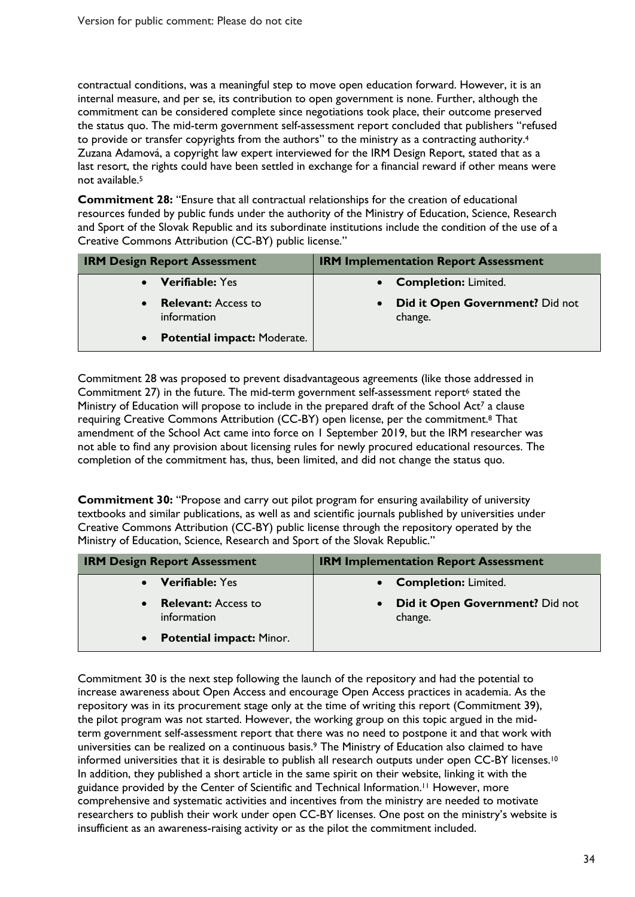contractual conditions, was a meaningful step to move open education forward. However, it is an internal measure, and per se, its contribution to open government is none. Further, although the commitment can be considered complete since negotiations took place, their outcome preserved the status quo. The mid-term government self-assessment report concluded that publishers "refused to provide or transfer copyrights from the authors" to the ministry as a contracting authority.<sup>4</sup> Zuzana Adamová, a copyright law expert interviewed for the IRM Design Report, stated that as a last resort, the rights could have been settled in exchange for a financial reward if other means were not available.5

**Commitment 28:** "Ensure that all contractual relationships for the creation of educational resources funded by public funds under the authority of the Ministry of Education, Science, Research and Sport of the Slovak Republic and its subordinate institutions include the condition of the use of a Creative Commons Attribution (CC-BY) public license."

| <b>IRM Design Report Assessment</b>                    | <b>IRM Implementation Report Assessment</b> |
|--------------------------------------------------------|---------------------------------------------|
| <b>Verifiable: Yes</b><br>$\bullet$                    | <b>Completion: Limited.</b>                 |
| <b>Relevant:</b> Access to<br>$\bullet$<br>information | Did it Open Government? Did not<br>change.  |
| <b>Potential impact: Moderate.</b><br>$\bullet$        |                                             |

Commitment 28 was proposed to prevent disadvantageous agreements (like those addressed in Commitment 27) in the future. The mid-term government self-assessment report<sup>6</sup> stated the Ministry of Education will propose to include in the prepared draft of the School Act<sup>7</sup> a clause requiring Creative Commons Attribution (CC-BY) open license, per the commitment.8 That amendment of the School Act came into force on 1 September 2019, but the IRM researcher was not able to find any provision about licensing rules for newly procured educational resources. The completion of the commitment has, thus, been limited, and did not change the status quo.

**Commitment 30:** "Propose and carry out pilot program for ensuring availability of university textbooks and similar publications, as well as and scientific journals published by universities under Creative Commons Attribution (CC-BY) public license through the repository operated by the Ministry of Education, Science, Research and Sport of the Slovak Republic."

| <b>IRM Design Report Assessment</b>                    | <b>IRM Implementation Report Assessment</b>             |
|--------------------------------------------------------|---------------------------------------------------------|
| <b>Verifiable: Yes</b>                                 | • Completion: Limited.                                  |
| <b>Relevant:</b> Access to<br>$\bullet$<br>information | Did it Open Government? Did not<br>$\bullet$<br>change. |
| <b>Potential impact: Minor.</b><br>$\bullet$           |                                                         |

Commitment 30 is the next step following the launch of the repository and had the potential to increase awareness about Open Access and encourage Open Access practices in academia. As the repository was in its procurement stage only at the time of writing this report (Commitment 39), the pilot program was not started. However, the working group on this topic argued in the midterm government self-assessment report that there was no need to postpone it and that work with universities can be realized on a continuous basis. <sup>9</sup> The Ministry of Education also claimed to have informed universities that it is desirable to publish all research outputs under open CC-BY licenses. 10 In addition, they published a short article in the same spirit on their website, linking it with the guidance provided by the Center of Scientific and Technical Information. <sup>11</sup> However, more comprehensive and systematic activities and incentives from the ministry are needed to motivate researchers to publish their work under open CC-BY licenses. One post on the ministry's website is insufficient as an awareness-raising activity or as the pilot the commitment included.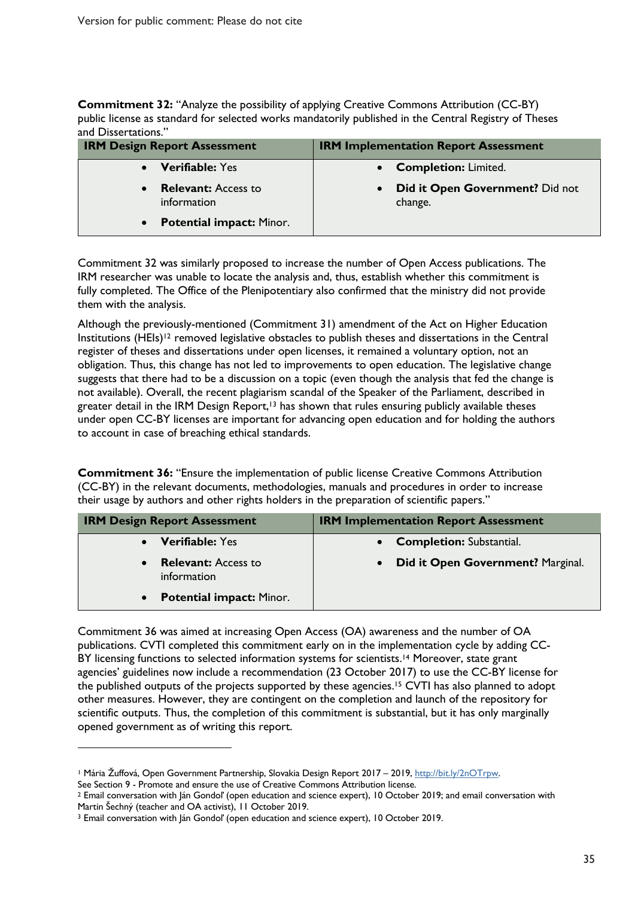**Commitment 32:** "Analyze the possibility of applying Creative Commons Attribution (CC-BY) public license as standard for selected works mandatorily published in the Central Registry of Theses and Dissertations."

| <b>IRM Design Report Assessment</b>                    | <b>IRM Implementation Report Assessment</b>             |
|--------------------------------------------------------|---------------------------------------------------------|
| <b>Verifiable: Yes</b>                                 | <b>Completion: Limited.</b><br>$\bullet$                |
| <b>Relevant:</b> Access to<br>$\bullet$<br>information | Did it Open Government? Did not<br>$\bullet$<br>change. |
| • Potential impact: Minor.                             |                                                         |

Commitment 32 was similarly proposed to increase the number of Open Access publications. The IRM researcher was unable to locate the analysis and, thus, establish whether this commitment is fully completed. The Office of the Plenipotentiary also confirmed that the ministry did not provide them with the analysis.

Although the previously-mentioned (Commitment 31) amendment of the Act on Higher Education Institutions (HEIs)12 removed legislative obstacles to publish theses and dissertations in the Central register of theses and dissertations under open licenses, it remained a voluntary option, not an obligation. Thus, this change has not led to improvements to open education. The legislative change suggests that there had to be a discussion on a topic (even though the analysis that fed the change is not available). Overall, the recent plagiarism scandal of the Speaker of the Parliament, described in greater detail in the IRM Design Report,<sup>13</sup> has shown that rules ensuring publicly available theses under open CC-BY licenses are important for advancing open education and for holding the authors to account in case of breaching ethical standards.

**Commitment 36:** "Ensure the implementation of public license Creative Commons Attribution (CC-BY) in the relevant documents, methodologies, manuals and procedures in order to increase their usage by authors and other rights holders in the preparation of scientific papers."

| <b>IRM Design Report Assessment</b>                    | <b>IRM Implementation Report Assessment</b>    |
|--------------------------------------------------------|------------------------------------------------|
| <b>Verifiable: Yes</b>                                 | <b>Completion: Substantial.</b>                |
| <b>Relevant:</b> Access to<br>$\bullet$<br>information | Did it Open Government? Marginal.<br>$\bullet$ |
| <b>Potential impact: Minor.</b><br>$\bullet$           |                                                |

Commitment 36 was aimed at increasing Open Access (OA) awareness and the number of OA publications. CVTI completed this commitment early on in the implementation cycle by adding CC-BY licensing functions to selected information systems for scientists.<sup>14</sup> Moreover, state grant agencies' guidelines now include a recommendation (23 October 2017) to use the CC-BY license for the published outputs of the projects supported by these agencies.15 CVTI has also planned to adopt other measures. However, they are contingent on the completion and launch of the repository for scientific outputs. Thus, the completion of this commitment is substantial, but it has only marginally opened government as of writing this report.

 $\overline{a}$ 

<sup>1</sup> Mária Žuffová, Open Government Partnership, Slovakia Design Report 2017 – 2019, http://bit.ly/2nOTrpw.

See Section 9 - Promote and ensure the use of Creative Commons Attribution license.<br><sup>2</sup> Email conversation with Ján Gondoľ (open education and science expert), 10 October 2019; and email conversation with Martin Šechný (teacher and OA activist), 11 October 2019.<br><sup>3</sup> Email conversation with Ján Gondoľ (open education and science expert), 10 October 2019.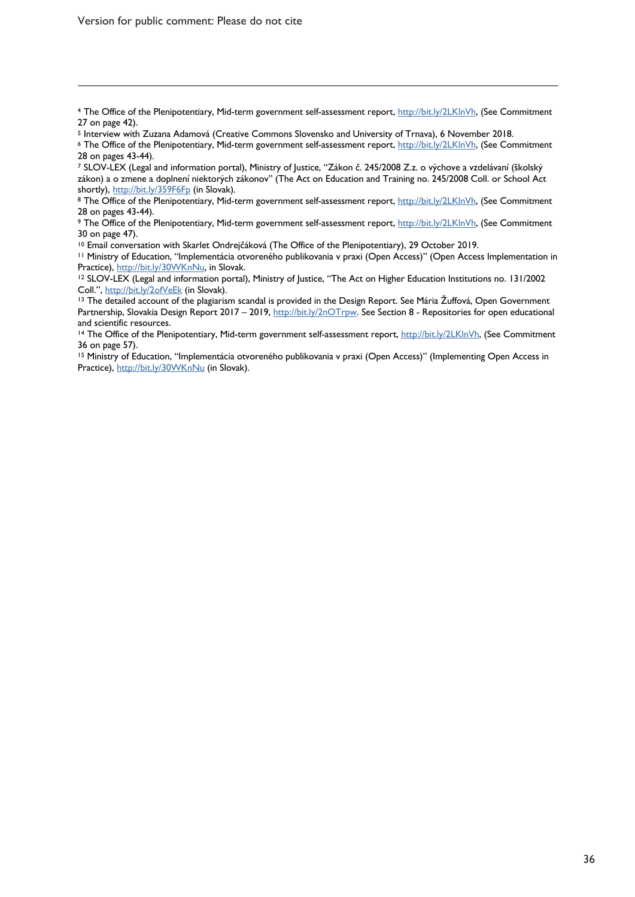$\overline{a}$ 

<sup>4</sup> The Office of the Plenipotentiary, Mid-term government self-assessment report, http://bit.ly/2LKlnVh, (See Commitment 27 on page 42).

<sup>7</sup> SLOV-LEX (Legal and information portal), Ministry of Justice, "Zákon č. 245/2008 Z.z. o výchove a vzdelávaní (školský zákon) a o zmene a doplnení niektorých zákonov" (The Act on Education and Training no. 245/2008 Coll. or School Act shortly), http://bit.ly/359F6Fp (in Slovak).

9 The Office of the Plenipotentiary, Mid-term government self-assessment report, http://bit.ly/2LKlnVh, (See Commitment 30 on page 47).

<sup>10</sup> Email conversation with Skarlet Ondrejčáková (The Office of the Plenipotentiary), 29 October 2019.<br><sup>11</sup> Ministry of Education, "Implementácia otvoreného publikovania v praxi (Open Access)" (Open Access Implementation

<sup>12</sup> SLOV-LEX (Legal and information portal), Ministry of Justice, "The Act on Higher Education Institutions no. 131/2002 Coll.", http://bit.ly/2ofVeEk (in Slovak).<br><sup>13</sup> The detailed account of the plagiarism scandal is provided in the Design Report. See Mária Žuffová, Open Government

Partnership, Slovakia Design Report 2017 – 2019, http://bit.ly/2nOTrpw. See Section 8 - Repositories for open educational and scientific resources.

<sup>14</sup> The Office of the Plenipotentiary, Mid-term government self-assessment report, http://bit.ly/2LKlnVh, (See Commitment 36 on page 57).

<sup>15</sup> Ministry of Education, "Implementácia otvoreného publikovania v praxi (Open Access)" (Implementing Open Access in Practice), http://bit.ly/30WKnNu (in Slovak).

<sup>&</sup>lt;sup>5</sup> Interview with Zuzana Adamová (Creative Commons Slovensko and University of Trnava), 6 November 2018.<br><sup>6</sup> The Office of the Plenipotentiary, Mid-term government self-assessment report, http://bit.ly/2LKlnVh, (See Commi 28 on pages 43-44).

<sup>&</sup>lt;sup>8</sup> The Office of the Plenipotentiary, Mid-term government self-assessment report, http://bit.ly/2LKlnVh, (See Commitment 28 on pages 43-44).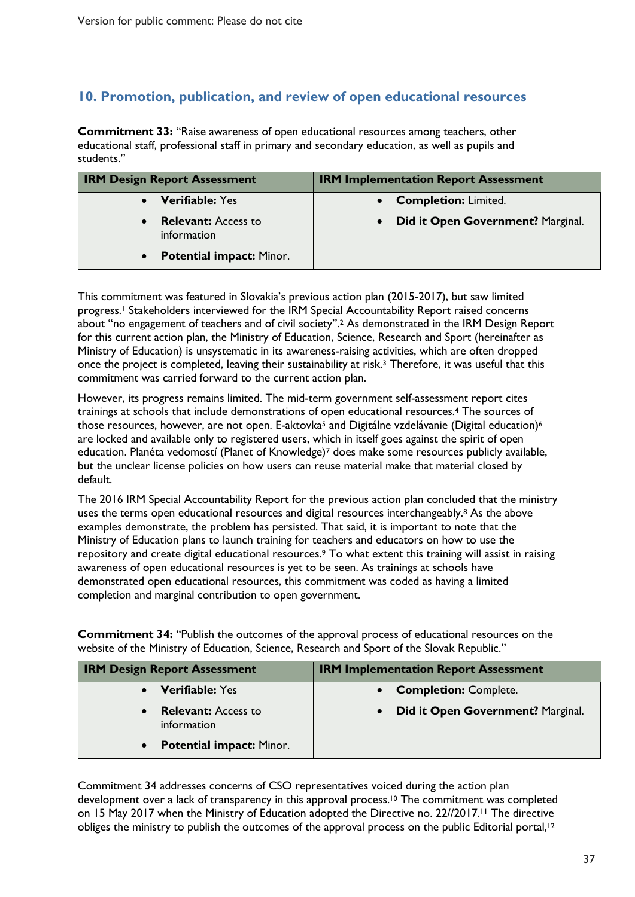### **10. Promotion, publication, and review of open educational resources**

**Commitment 33:** "Raise awareness of open educational resources among teachers, other educational staff, professional staff in primary and secondary education, as well as pupils and students."

| <b>IRM Design Report Assessment</b>          | <b>IRM Implementation Report Assessment</b>    |
|----------------------------------------------|------------------------------------------------|
| <b>Verifiable: Yes</b>                       | • Completion: Limited.                         |
| <b>Relevant:</b> Access to<br>information    | Did it Open Government? Marginal.<br>$\bullet$ |
| <b>Potential impact: Minor.</b><br>$\bullet$ |                                                |

This commitment was featured in Slovakia's previous action plan (2015-2017), but saw limited progress.<sup>1</sup> Stakeholders interviewed for the IRM Special Accountability Report raised concerns about "no engagement of teachers and of civil society".2 As demonstrated in the IRM Design Report for this current action plan, the Ministry of Education, Science, Research and Sport (hereinafter as Ministry of Education) is unsystematic in its awareness-raising activities, which are often dropped once the project is completed, leaving their sustainability at risk.3 Therefore, it was useful that this commitment was carried forward to the current action plan.

However, its progress remains limited. The mid-term government self-assessment report cites trainings at schools that include demonstrations of open educational resources.4 The sources of those resources, however, are not open. E-aktovka<sup>5</sup> and Digitálne vzdelávanie (Digital education)<sup>6</sup> are locked and available only to registered users, which in itself goes against the spirit of open education. Planéta vedomostí (Planet of Knowledge)7 does make some resources publicly available, but the unclear license policies on how users can reuse material make that material closed by default.

The 2016 IRM Special Accountability Report for the previous action plan concluded that the ministry uses the terms open educational resources and digital resources interchangeably.<sup>8</sup> As the above examples demonstrate, the problem has persisted. That said, it is important to note that the Ministry of Education plans to launch training for teachers and educators on how to use the repository and create digital educational resources.9 To what extent this training will assist in raising awareness of open educational resources is yet to be seen. As trainings at schools have demonstrated open educational resources, this commitment was coded as having a limited completion and marginal contribution to open government.

**Commitment 34:** "Publish the outcomes of the approval process of educational resources on the website of the Ministry of Education, Science, Research and Sport of the Slovak Republic."

| <b>IRM Design Report Assessment</b>          | <b>IRM Implementation Report Assessment</b>    |
|----------------------------------------------|------------------------------------------------|
| <b>Verifiable: Yes</b>                       | • Completion: Complete.                        |
| <b>Relevant:</b> Access to<br>information    | Did it Open Government? Marginal.<br>$\bullet$ |
| <b>Potential impact: Minor.</b><br>$\bullet$ |                                                |

Commitment 34 addresses concerns of CSO representatives voiced during the action plan development over a lack of transparency in this approval process. <sup>10</sup> The commitment was completed on 15 May 2017 when the Ministry of Education adopted the Directive no. 22//2017.11 The directive obliges the ministry to publish the outcomes of the approval process on the public Editorial portal,<sup>12</sup>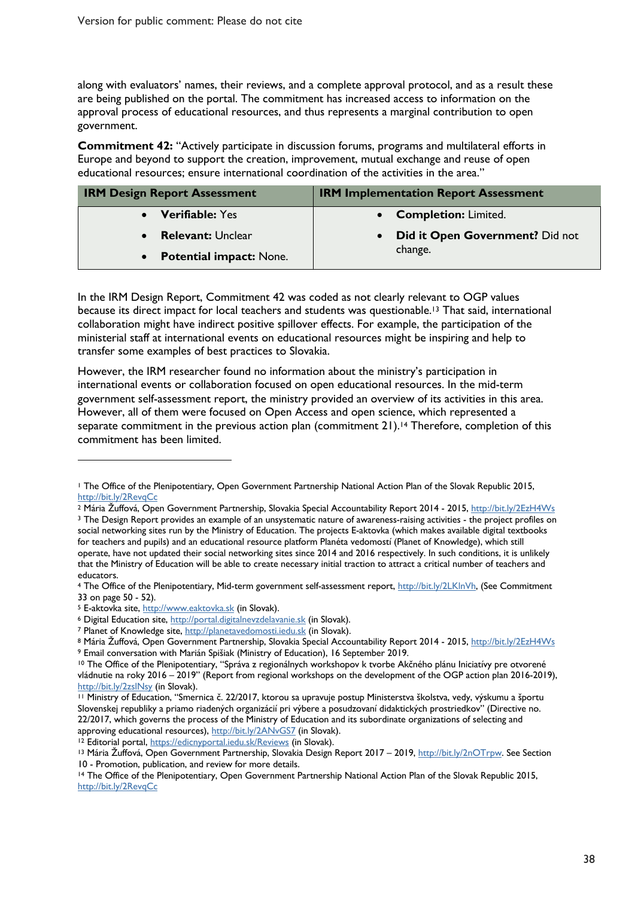along with evaluators' names, their reviews, and a complete approval protocol, and as a result these are being published on the portal. The commitment has increased access to information on the approval process of educational resources, and thus represents a marginal contribution to open government.

**Commitment 42:** "Actively participate in discussion forums, programs and multilateral efforts in Europe and beyond to support the creation, improvement, mutual exchange and reuse of open educational resources; ensure international coordination of the activities in the area."

| <b>IRM Design Report Assessment</b> | <b>IRM Implementation Report Assessment</b>  |
|-------------------------------------|----------------------------------------------|
| • Verifiable: Yes                   | • Completion: Limited.                       |
| <b>Relevant: Unclear</b>            | Did it Open Government? Did not<br>$\bullet$ |
| • Potential impact: None.           | change.                                      |

In the IRM Design Report, Commitment 42 was coded as not clearly relevant to OGP values because its direct impact for local teachers and students was questionable.<sup>13</sup> That said, international collaboration might have indirect positive spillover effects. For example, the participation of the ministerial staff at international events on educational resources might be inspiring and help to transfer some examples of best practices to Slovakia.

However, the IRM researcher found no information about the ministry's participation in international events or collaboration focused on open educational resources. In the mid-term government self-assessment report, the ministry provided an overview of its activities in this area. However, all of them were focused on Open Access and open science, which represented a separate commitment in the previous action plan (commitment 21).<sup>14</sup> Therefore, completion of this commitment has been limited.

 $\overline{a}$ 

<sup>1</sup> The Office of the Plenipotentiary, Open Government Partnership National Action Plan of the Slovak Republic 2015, http://bit.ly/2RevqCc

<sup>2</sup> Mária Žuffová, Open Government Partnership, Slovakia Special Accountability Report 2014 - 2015, http://bit.ly/2EzH4Ws <sup>3</sup> The Design Report provides an example of an unsystematic nature of awareness-raising activities - the project profiles on social networking sites run by the Ministry of Education. The projects E-aktovka (which makes available digital textbooks for teachers and pupils) and an educational resource platform Planéta vedomostí (Planet of Knowledge), which still operate, have not updated their social networking sites since 2014 and 2016 respectively. In such conditions, it is unlikely that the Ministry of Education will be able to create necessary initial traction to attract a critical number of teachers and educators.

<sup>4</sup> The Office of the Plenipotentiary, Mid-term government self-assessment report, http://bit.ly/2LKlnVh, (See Commitment 33 on page 50 - 52).

<sup>&</sup>lt;sup>5</sup> E-aktovka site, http://www.eaktovka.sk (in Slovak).

<sup>&</sup>lt;sup>6</sup> Digital Education site, http://portal.digitalnevzdelavanie.sk (in Slovak).

<sup>7</sup> Planet of Knowledge site, http://planetavedomosti.iedu.sk (in Slovak).

<sup>&</sup>lt;sup>8</sup> Mária Žuffová, Open Government Partnership, Slovakia Special Accountability Report 2014 - 2015, <u>http://bit.ly/2EzH4Ws</u><br>9 Email conversation with Marián Spišiak (Ministry of Education), 16 September 2019.

<sup>&</sup>lt;sup>10</sup> The Office of the Plenipotentiary, "Správa z regionálnych workshopov k tvorbe Akčného plánu Iniciatívy pre otvorené vládnutie na roky 2016 – 2019" (Report from regional workshops on the development of the OGP action plan 2016-2019), http://bit.ly/2zslNsy (in Slovak).

<sup>11</sup> Ministry of Education, "Smernica č. 22/2017, ktorou sa upravuje postup Ministerstva školstva, vedy, výskumu a športu Slovenskej republiky a priamo riadených organizácií pri výbere a posudzovaní didaktických prostriedkov" (Directive no. 22/2017, which governs the process of the Ministry of Education and its subordinate organizations of selecting and approving educational resources), http://bit.ly/2ANvGS7 (in Slovak).<br><sup>12</sup> Editorial portal, https://edicnyportal.iedu.sk/Reviews (in Slovak).

<sup>13</sup> Mária Žuffová, Open Government Partnership, Slovakia Design Report 2017 – 2019, http://bit.ly/2nOTrpw. See Section 10 - Promotion, publication, and review for more details.<br><sup>14</sup> The Office of the Plenipotentiary, Open Government Partnership National Action Plan of the Slovak Republic 2015,

http://bit.ly/2RevqCc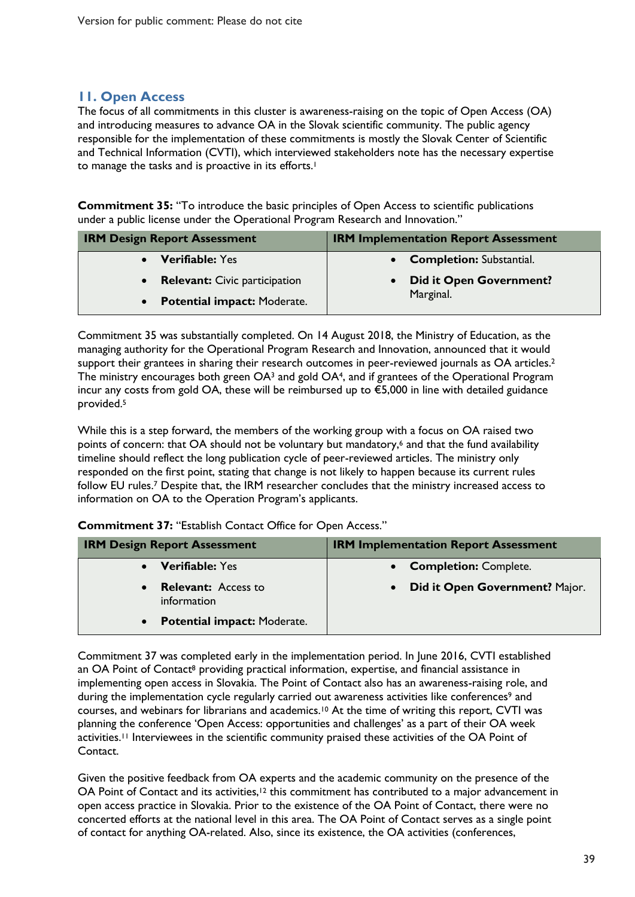#### **11. Open Access**

The focus of all commitments in this cluster is awareness-raising on the topic of Open Access (OA) and introducing measures to advance OA in the Slovak scientific community. The public agency responsible for the implementation of these commitments is mostly the Slovak Center of Scientific and Technical Information (CVTI), which interviewed stakeholders note has the necessary expertise to manage the tasks and is proactive in its efforts.<sup>1</sup>

**Commitment 35:** "To introduce the basic principles of Open Access to scientific publications under a public license under the Operational Program Research and Innovation."

| <b>IRM Design Report Assessment</b> | <b>IRM Implementation Report Assessment</b> |
|-------------------------------------|---------------------------------------------|
| • Verifiable: Yes                   | • Completion: Substantial.                  |
| • Relevant: Civic participation     | <b>Did it Open Government?</b>              |
| • Potential impact: Moderate.       | Marginal.                                   |

Commitment 35 was substantially completed. On 14 August 2018, the Ministry of Education, as the managing authority for the Operational Program Research and Innovation, announced that it would support their grantees in sharing their research outcomes in peer-reviewed journals as OA articles.<sup>2</sup> The ministry encourages both green OA<sup>3</sup> and gold OA<sup>4</sup>, and if grantees of the Operational Program incur any costs from gold OA, these will be reimbursed up to €5,000 in line with detailed guidance provided. 5

While this is a step forward, the members of the working group with a focus on OA raised two points of concern: that OA should not be voluntary but mandatory, <sup>6</sup> and that the fund availability timeline should reflect the long publication cycle of peer-reviewed articles. The ministry only responded on the first point, stating that change is not likely to happen because its current rules follow EU rules.<sup>7</sup> Despite that, the IRM researcher concludes that the ministry increased access to information on OA to the Operation Program's applicants.

**Commitment 37:** "Establish Contact Office for Open Access."

| <b>IRM Design Report Assessment</b>                    | <b>IRM Implementation Report Assessment</b> |
|--------------------------------------------------------|---------------------------------------------|
| <b>Verifiable: Yes</b>                                 | <b>Completion: Complete.</b>                |
| <b>Relevant:</b> Access to<br>$\bullet$<br>information | Did it Open Government? Major.              |
| <b>Potential impact: Moderate.</b><br>$\bullet$        |                                             |

Commitment 37 was completed early in the implementation period. In June 2016, CVTI established an OA Point of Contact<sup>8</sup> providing practical information, expertise, and financial assistance in implementing open access in Slovakia. The Point of Contact also has an awareness-raising role, and during the implementation cycle regularly carried out awareness activities like conferences<sup>9</sup> and courses, and webinars for librarians and academics.10 At the time of writing this report, CVTI was planning the conference 'Open Access: opportunities and challenges' as a part of their OA week activities.<sup>11</sup> Interviewees in the scientific community praised these activities of the OA Point of Contact.

Given the positive feedback from OA experts and the academic community on the presence of the OA Point of Contact and its activities,<sup>12</sup> this commitment has contributed to a major advancement in open access practice in Slovakia. Prior to the existence of the OA Point of Contact, there were no concerted efforts at the national level in this area. The OA Point of Contact serves as a single point of contact for anything OA-related. Also, since its existence, the OA activities (conferences,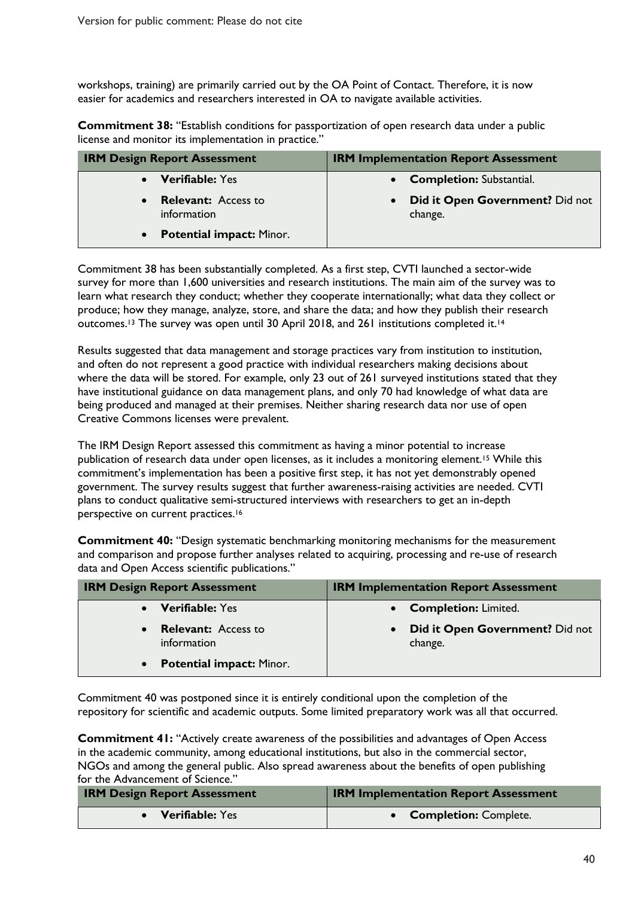workshops, training) are primarily carried out by the OA Point of Contact. Therefore, it is now easier for academics and researchers interested in OA to navigate available activities.

**Commitment 38:** "Establish conditions for passportization of open research data under a public license and monitor its implementation in practice."

| <b>IRM Design Report Assessment</b>                    | <b>IRM Implementation Report Assessment</b>       |
|--------------------------------------------------------|---------------------------------------------------|
| • Verifiable: Yes                                      | <b>Completion: Substantial.</b>                   |
| <b>Relevant:</b> Access to<br>$\bullet$<br>information | <b>Did it Open Government?</b> Did not<br>change. |
| • Potential impact: Minor.                             |                                                   |

Commitment 38 has been substantially completed. As a first step, CVTI launched a sector-wide survey for more than 1,600 universities and research institutions. The main aim of the survey was to learn what research they conduct; whether they cooperate internationally; what data they collect or produce; how they manage, analyze, store, and share the data; and how they publish their research outcomes.<sup>13</sup> The survey was open until 30 April 2018, and 261 institutions completed it.<sup>14</sup>

Results suggested that data management and storage practices vary from institution to institution, and often do not represent a good practice with individual researchers making decisions about where the data will be stored. For example, only 23 out of 261 surveyed institutions stated that they have institutional guidance on data management plans, and only 70 had knowledge of what data are being produced and managed at their premises. Neither sharing research data nor use of open Creative Commons licenses were prevalent.

The IRM Design Report assessed this commitment as having a minor potential to increase publication of research data under open licenses, as it includes a monitoring element.<sup>15</sup> While this commitment's implementation has been a positive first step, it has not yet demonstrably opened government. The survey results suggest that further awareness-raising activities are needed. CVTI plans to conduct qualitative semi-structured interviews with researchers to get an in-depth perspective on current practices.<sup>16</sup>

**Commitment 40:** "Design systematic benchmarking monitoring mechanisms for the measurement and comparison and propose further analyses related to acquiring, processing and re-use of research data and Open Access scientific publications."

| <b>IRM Design Report Assessment</b>          | <b>IRM Implementation Report Assessment</b> |
|----------------------------------------------|---------------------------------------------|
| <b>Verifiable: Yes</b>                       | <b>Completion: Limited.</b>                 |
| <b>Relevant:</b> Access to<br>information    | Did it Open Government? Did not<br>change.  |
| <b>Potential impact: Minor.</b><br>$\bullet$ |                                             |

Commitment 40 was postponed since it is entirely conditional upon the completion of the repository for scientific and academic outputs. Some limited preparatory work was all that occurred.

**Commitment 41:** "Actively create awareness of the possibilities and advantages of Open Access in the academic community, among educational institutions, but also in the commercial sector, NGOs and among the general public. Also spread awareness about the benefits of open publishing for the Advancement of Science."

| <b>IRM Design Report Assessment</b> | <b>IRM Implementation Report Assessment</b> |
|-------------------------------------|---------------------------------------------|
| Verifiable: Yes                     | • Completion: Complete.                     |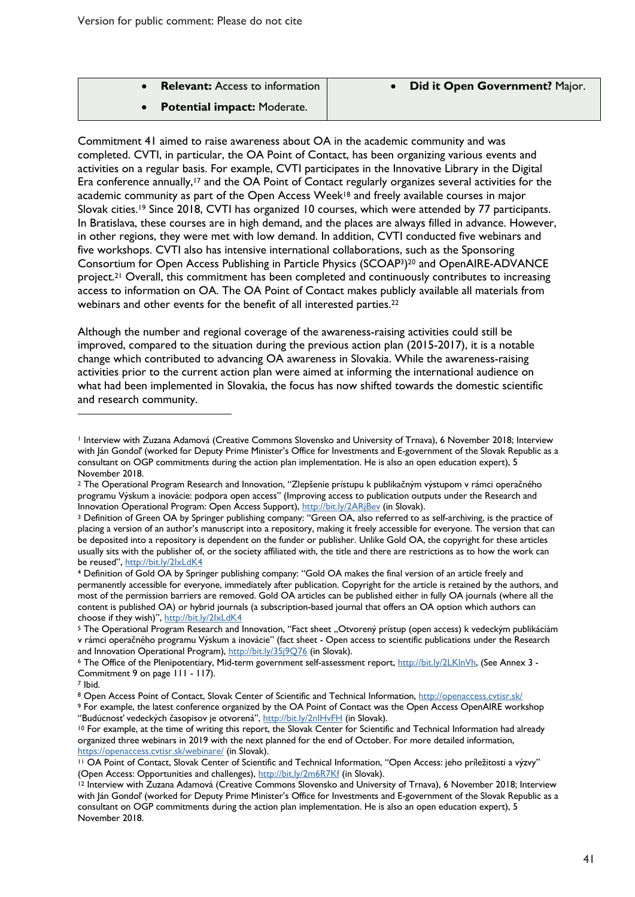| <b>Relevant:</b> Access to information |
|----------------------------------------|
|                                        |

• **Potential impact:** Moderate.

Commitment 41 aimed to raise awareness about OA in the academic community and was completed. CVTI, in particular, the OA Point of Contact, has been organizing various events and activities on a regular basis. For example, CVTI participates in the Innovative Library in the Digital Era conference annually,<sup>17</sup> and the OA Point of Contact regularly organizes several activities for the academic community as part of the Open Access Week<sup>18</sup> and freely available courses in major Slovak cities.19 Since 2018, CVTI has organized 10 courses, which were attended by 77 participants. In Bratislava, these courses are in high demand, and the places are always filled in advance. However, in other regions, they were met with low demand. In addition, CVTI conducted five webinars and five workshops. CVTI also has intensive international collaborations, such as the Sponsoring Consortium for Open Access Publishing in Particle Physics (SCOAP3)20 and OpenAIRE-ADVANCE project.21 Overall, this commitment has been completed and continuously contributes to increasing access to information on OA. The OA Point of Contact makes publicly available all materials from webinars and other events for the benefit of all interested parties.<sup>22</sup>

Although the number and regional coverage of the awareness-raising activities could still be improved, compared to the situation during the previous action plan (2015-2017), it is a notable change which contributed to advancing OA awareness in Slovakia. While the awareness-raising activities prior to the current action plan were aimed at informing the international audience on what had been implemented in Slovakia, the focus has now shifted towards the domestic scientific and research community.

 $\overline{a}$ 

<sup>1</sup> Interview with Zuzana Adamová (Creative Commons Slovensko and University of Trnava), 6 November 2018; Interview with Ján Gondoľ (worked for Deputy Prime Minister's Office for Investments and E-government of the Slovak Republic as a consultant on OGP commitments during the action plan implementation. He is also an open education expert), 5 November 2018.

<sup>2</sup> The Operational Program Research and Innovation, "Zlepšenie prístupu k publikačným výstupom v rámci operačného programu Výskum a inovácie: podpora open access" (Improving access to publication outputs under the Research and<br>Innovation Operational Program: Open Access Support), http://bit.ly/2ARjBev (in Slovak).

<sup>&</sup>lt;sup>3</sup> Definition of Green OA by Springer publishing company: "Green OA, also referred to as self-archiving, is the practice of placing a version of an author's manuscript into a repository, making it freely accessible for everyone. The version that can be deposited into a repository is dependent on the funder or publisher. Unlike Gold OA, the copyright for these articles usually sits with the publisher of, or the society affiliated with, the title and there are restrictions as to how the work can

be reused", http://bit.ly/2lxLdK4<br>4 Definition of Gold OA by Springer publishing company: "Gold OA makes the final version of an article freely and permanently accessible for everyone, immediately after publication. Copyright for the article is retained by the authors, and most of the permission barriers are removed. Gold OA articles can be published either in fully OA journals (where all the content is published OA) or hybrid journals (a subscription-based journal that offers an OA option which authors can choose if they wish)", http://bit.ly/2IxLdK4

<sup>&</sup>lt;sup>5</sup> The Operational Program Research and Innovation, "Fact sheet "Otvorený prístup (open access) k vedeckým publikáciám v rámci operačného programu Výskum a inovácie" (fact sheet - Open access to scientific publications under the Research and Innovation Operational Program), http://bit.ly/35j9Q76 (in Slovak).<br>6 The Office of the Plenipotentiary, Mid-term government self-assessment report, http://bit.ly/2LKlnVh, (See Annex 3 -

Commitment 9 on page 111 - 117).

<sup>7</sup> Ibid.

<sup>8</sup> Open Access Point of Contact, Slovak Center of Scientific and Technical Information, http://openaccess.cvtisr.sk/

<sup>9</sup> For example, the latest conference organized by the OA Point of Contact was the Open Access OpenAIRE workshop "Budúcnost' vedeckých časopisov je otvorená", http://bit.ly/2nlHvFH (in Slovak).

<sup>&</sup>lt;sup>10</sup> For example, at the time of writing this report, the Slovak Center for Scientific and Technical Information had already organized three webinars in 2019 with the next planned for the end of October. For more detailed information, https://openaccess.cvtisr.sk/webinare/ (in Slovak).<br><sup>11</sup> OA Point of Contact, Slovak Center of Scientific and Technical Information, "Open Access: jeho príležitosti a výzvy"

<sup>(</sup>Open Access: Opportunities and challenges), http://bit.ly/2m6R7Kf (in Slovak).<br><sup>12</sup> Interview with Zuzana Adamová (Creative Commons Slovensko and University of Trnava), 6 November 2018; Interview with Ján Gondoľ (worked for Deputy Prime Minister's Office for Investments and E-government of the Slovak Republic as a consultant on OGP commitments during the action plan implementation. He is also an open education expert), 5 November 2018.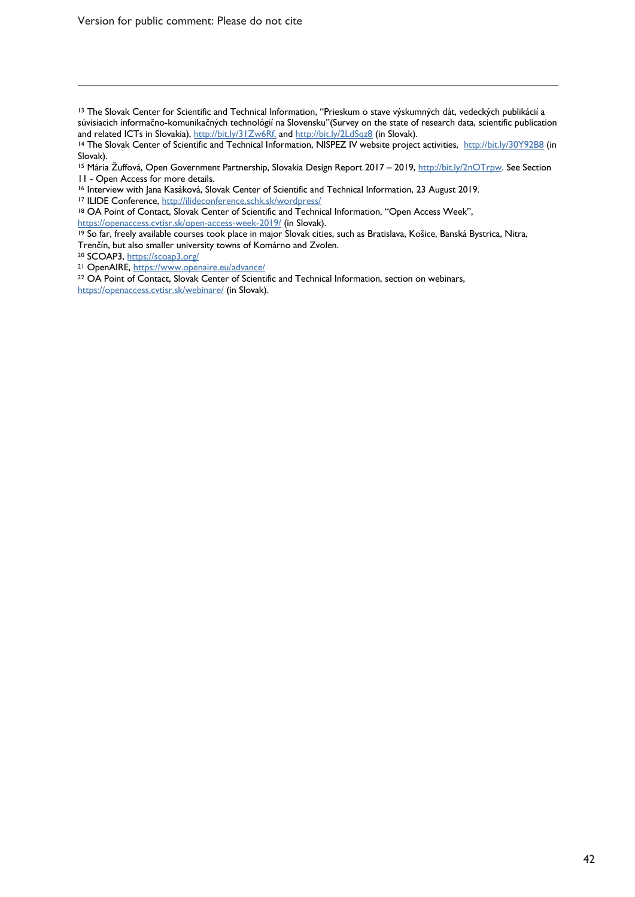Version for public comment: Please do not cite

<sup>13</sup> The Slovak Center for Scientific and Technical Information, "Prieskum o stave výskumných dát, vedeckých publikácií a súvisiacich informačno-komunikačných technológií na Slovensku"(Survey on the state of research data, scientific publication and related ICTs in Slovakia), http://bit.ly/31Zw6Rf, and http://bit.ly/2LdSqz8 (in Slovak).

14 The Slovak Center of Scientific and Technical Information, NISPEZ IV website project activities, http://bit.ly/30Y92B8 (in Slovak).

<sup>18</sup> OA Point of Contact, Slovak Center of Scientific and Technical Information, "Open Access Week",

https://openaccess.cvtisr.sk/open-access-week-2019/ (in Slovak).

<sup>19</sup> So far, freely available courses took place in major Slovak cities, such as Bratislava, Košice, Banská Bystrica, Nitra, Trenčín, but also smaller university towns of Komárno and Zvolen.

<sup>20</sup> SCOAP3, https://scoap3.org/

 $\overline{a}$ 

<sup>21</sup> OpenAIRE, https://www.openaire.eu/advance/

<sup>22</sup> OA Point of Contact, Slovak Center of Scientific and Technical Information, section on webinars, https://openaccess.cvtisr.sk/webinare/ (in Slovak).

<sup>15</sup> Mária Žuffová, Open Government Partnership, Slovakia Design Report 2017 – 2019, http://bit.ly/2nOTrpw. See Section 11 - Open Access for more details.<br><sup>16</sup> Interview with Jana Kasáková, Slovak Center of Scientific and Technical Information, 23 August 2019.<br><sup>17</sup> ILIDE Conference, http://ilideconference.schk.sk/wordpress/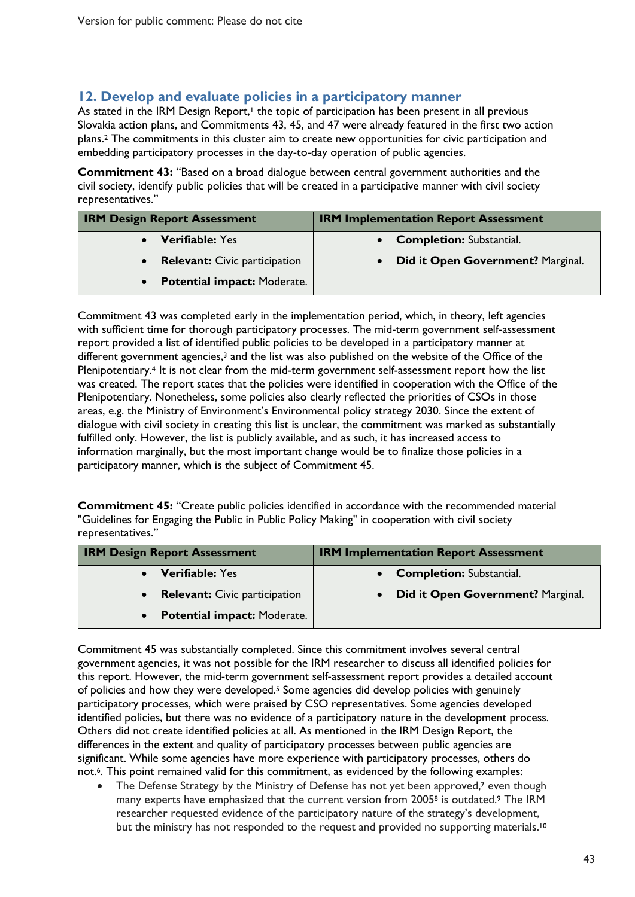#### **12. Develop and evaluate policies in a participatory manner**

As stated in the IRM Design Report,<sup>1</sup> the topic of participation has been present in all previous Slovakia action plans, and Commitments 43, 45, and 47 were already featured in the first two action plans.2 The commitments in this cluster aim to create new opportunities for civic participation and embedding participatory processes in the day-to-day operation of public agencies.

**Commitment 43:** "Based on a broad dialogue between central government authorities and the civil society, identify public policies that will be created in a participative manner with civil society representatives."

| <b>IRM Design Report Assessment</b> | <b>IRM Implementation Report Assessment</b>           |
|-------------------------------------|-------------------------------------------------------|
| <b>Verifiable: Yes</b>              | • Completion: Substantial.                            |
| • Relevant: Civic participation     | <b>Did it Open Government? Marginal.</b><br>$\bullet$ |
| • Potential impact: Moderate.       |                                                       |

Commitment 43 was completed early in the implementation period, which, in theory, left agencies with sufficient time for thorough participatory processes. The mid-term government self-assessment report provided a list of identified public policies to be developed in a participatory manner at different government agencies,<sup>3</sup> and the list was also published on the website of the Office of the Plenipotentiary.4 It is not clear from the mid-term government self-assessment report how the list was created. The report states that the policies were identified in cooperation with the Office of the Plenipotentiary. Nonetheless, some policies also clearly reflected the priorities of CSOs in those areas, e.g. the Ministry of Environment's Environmental policy strategy 2030. Since the extent of dialogue with civil society in creating this list is unclear, the commitment was marked as substantially fulfilled only. However, the list is publicly available, and as such, it has increased access to information marginally, but the most important change would be to finalize those policies in a participatory manner, which is the subject of Commitment 45.

**Commitment 45:** "Create public policies identified in accordance with the recommended material "Guidelines for Engaging the Public in Public Policy Making" in cooperation with civil society representatives."

| <b>IRM Design Report Assessment</b>               | <b>IRM Implementation Report Assessment</b>    |
|---------------------------------------------------|------------------------------------------------|
| <b>Verifiable: Yes</b>                            | <b>Completion: Substantial.</b>                |
| <b>Relevant:</b> Civic participation<br>$\bullet$ | Did it Open Government? Marginal.<br>$\bullet$ |
| <b>Potential impact: Moderate.</b><br>$\bullet$   |                                                |

Commitment 45 was substantially completed. Since this commitment involves several central government agencies, it was not possible for the IRM researcher to discuss all identified policies for this report. However, the mid-term government self-assessment report provides a detailed account of policies and how they were developed.<sup>5</sup> Some agencies did develop policies with genuinely participatory processes, which were praised by CSO representatives. Some agencies developed identified policies, but there was no evidence of a participatory nature in the development process. Others did not create identified policies at all. As mentioned in the IRM Design Report, the differences in the extent and quality of participatory processes between public agencies are significant. While some agencies have more experience with participatory processes, others do not.6. This point remained valid for this commitment, as evidenced by the following examples:

• The Defense Strategy by the Ministry of Defense has not yet been approved,<sup>7</sup> even though many experts have emphasized that the current version from 2005<sup>8</sup> is outdated.<sup>9</sup> The IRM researcher requested evidence of the participatory nature of the strategy's development, but the ministry has not responded to the request and provided no supporting materials.<sup>10</sup>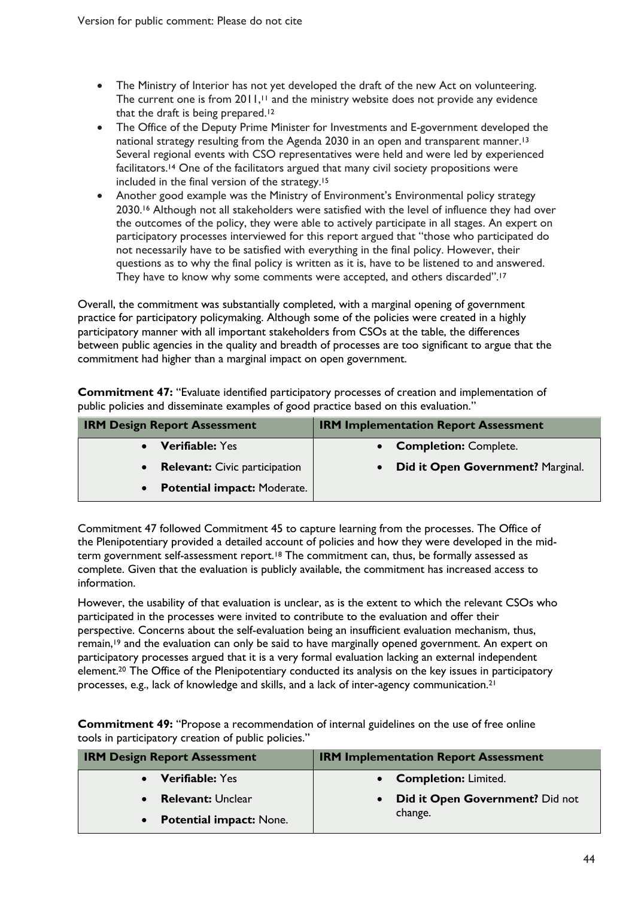- The Ministry of Interior has not yet developed the draft of the new Act on volunteering. The current one is from 2011,<sup>11</sup> and the ministry website does not provide any evidence that the draft is being prepared.<sup>12</sup>
- The Office of the Deputy Prime Minister for Investments and E-government developed the national strategy resulting from the Agenda 2030 in an open and transparent manner.<sup>13</sup> Several regional events with CSO representatives were held and were led by experienced facilitators. <sup>14</sup> One of the facilitators argued that many civil society propositions were included in the final version of the strategy.<sup>15</sup>
- Another good example was the Ministry of Environment's Environmental policy strategy 2030.<sup>16</sup> Although not all stakeholders were satisfied with the level of influence they had over the outcomes of the policy, they were able to actively participate in all stages. An expert on participatory processes interviewed for this report argued that "those who participated do not necessarily have to be satisfied with everything in the final policy. However, their questions as to why the final policy is written as it is, have to be listened to and answered. They have to know why some comments were accepted, and others discarded".<sup>17</sup>

Overall, the commitment was substantially completed, with a marginal opening of government practice for participatory policymaking. Although some of the policies were created in a highly participatory manner with all important stakeholders from CSOs at the table, the differences between public agencies in the quality and breadth of processes are too significant to argue that the commitment had higher than a marginal impact on open government.

**Commitment 47:** "Evaluate identified participatory processes of creation and implementation of public policies and disseminate examples of good practice based on this evaluation."

| <b>IRM Design Report Assessment</b> | <b>IRM Implementation Report Assessment</b> |
|-------------------------------------|---------------------------------------------|
| <b>Verifiable: Yes</b>              | • Completion: Complete.                     |
| • Relevant: Civic participation     | • Did it Open Government? Marginal.         |
| • Potential impact: Moderate.       |                                             |

Commitment 47 followed Commitment 45 to capture learning from the processes. The Office of the Plenipotentiary provided a detailed account of policies and how they were developed in the midterm government self-assessment report.<sup>18</sup> The commitment can, thus, be formally assessed as complete. Given that the evaluation is publicly available, the commitment has increased access to information.

However, the usability of that evaluation is unclear, as is the extent to which the relevant CSOs who participated in the processes were invited to contribute to the evaluation and offer their perspective. Concerns about the self-evaluation being an insufficient evaluation mechanism, thus, remain,19 and the evaluation can only be said to have marginally opened government. An expert on participatory processes argued that it is a very formal evaluation lacking an external independent element. <sup>20</sup> The Office of the Plenipotentiary conducted its analysis on the key issues in participatory processes, e.g., lack of knowledge and skills, and a lack of inter-agency communication.21

**Commitment 49:** "Propose a recommendation of internal guidelines on the use of free online tools in participatory creation of public policies."

| <b>IRM Design Report Assessment</b>         | <b>IRM Implementation Report Assessment</b>  |
|---------------------------------------------|----------------------------------------------|
| <b>Verifiable:</b> Yes                      | • Completion: Limited.                       |
| <b>Relevant: Unclear</b>                    | Did it Open Government? Did not<br>$\bullet$ |
| <b>Potential impact: None.</b><br>$\bullet$ | change.                                      |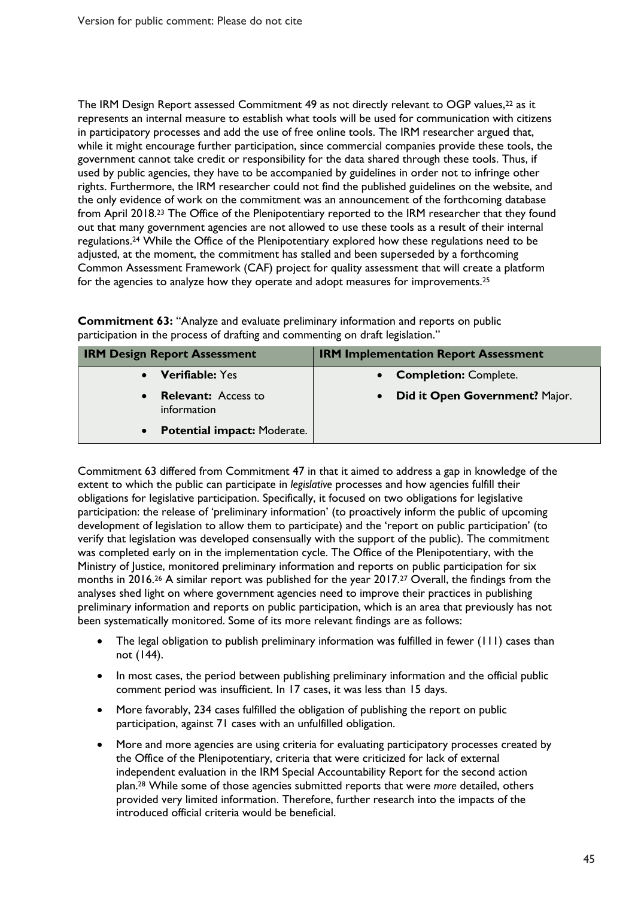The IRM Design Report assessed Commitment 49 as not directly relevant to OGP values,<sup>22</sup> as it represents an internal measure to establish what tools will be used for communication with citizens in participatory processes and add the use of free online tools. The IRM researcher argued that, while it might encourage further participation, since commercial companies provide these tools, the government cannot take credit or responsibility for the data shared through these tools. Thus, if used by public agencies, they have to be accompanied by guidelines in order not to infringe other rights. Furthermore, the IRM researcher could not find the published guidelines on the website, and the only evidence of work on the commitment was an announcement of the forthcoming database from April 2018.<sup>23</sup> The Office of the Plenipotentiary reported to the IRM researcher that they found out that many government agencies are not allowed to use these tools as a result of their internal regulations. <sup>24</sup> While the Office of the Plenipotentiary explored how these regulations need to be adjusted, at the moment, the commitment has stalled and been superseded by a forthcoming Common Assessment Framework (CAF) project for quality assessment that will create a platform for the agencies to analyze how they operate and adopt measures for improvements.25

**Commitment 63:** "Analyze and evaluate preliminary information and reports on public participation in the process of drafting and commenting on draft legislation."

| <b>IRM Design Report Assessment</b>             | <b>IRM Implementation Report Assessment</b> |
|-------------------------------------------------|---------------------------------------------|
| <b>Verifiable: Yes</b>                          | <b>Completion: Complete.</b>                |
| <b>Relevant:</b> Access to<br>information       | Did it Open Government? Major.              |
| <b>Potential impact: Moderate.</b><br>$\bullet$ |                                             |

Commitment 63 differed from Commitment 47 in that it aimed to address a gap in knowledge of the extent to which the public can participate in *legislative* processes and how agencies fulfill their obligations for legislative participation. Specifically, it focused on two obligations for legislative participation: the release of 'preliminary information' (to proactively inform the public of upcoming development of legislation to allow them to participate) and the 'report on public participation' (to verify that legislation was developed consensually with the support of the public). The commitment was completed early on in the implementation cycle. The Office of the Plenipotentiary, with the Ministry of Justice, monitored preliminary information and reports on public participation for six months in 2016.26 A similar report was published for the year 2017.27 Overall, the findings from the analyses shed light on where government agencies need to improve their practices in publishing preliminary information and reports on public participation, which is an area that previously has not been systematically monitored. Some of its more relevant findings are as follows:

- The legal obligation to publish preliminary information was fulfilled in fewer (111) cases than not (144).
- In most cases, the period between publishing preliminary information and the official public comment period was insufficient. In 17 cases, it was less than 15 days.
- More favorably, 234 cases fulfilled the obligation of publishing the report on public participation, against 71 cases with an unfulfilled obligation.
- More and more agencies are using criteria for evaluating participatory processes created by the Office of the Plenipotentiary, criteria that were criticized for lack of external independent evaluation in the IRM Special Accountability Report for the second action plan. <sup>28</sup> While some of those agencies submitted reports that were *more* detailed, others provided very limited information. Therefore, further research into the impacts of the introduced official criteria would be beneficial.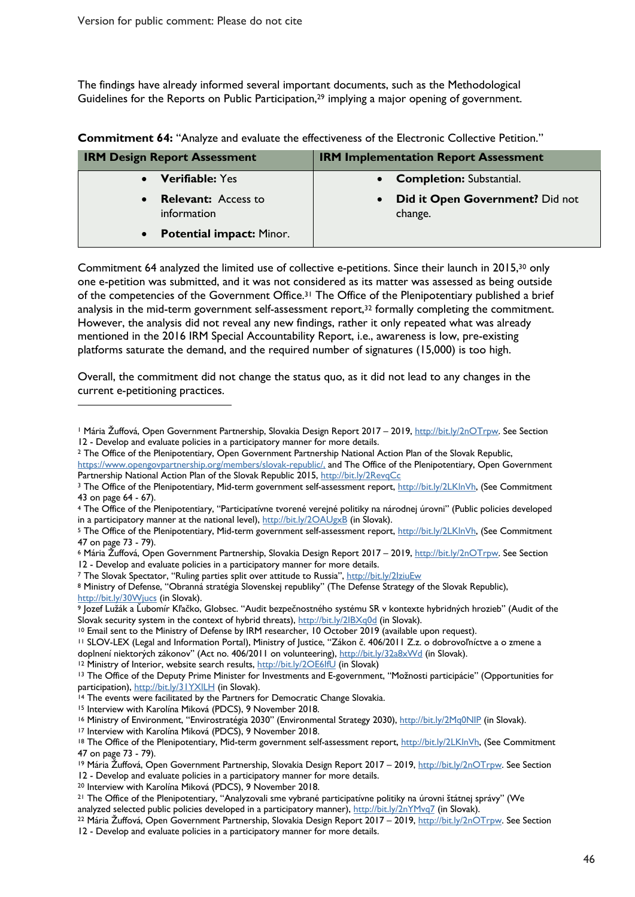The findings have already informed several important documents, such as the Methodological Guidelines for the Reports on Public Participation,<sup>29</sup> implying a major opening of government.

| <b>IRM Design Report Assessment</b>                    | <b>IRM Implementation Report Assessment</b>             |
|--------------------------------------------------------|---------------------------------------------------------|
| Verifiable: Yes<br>$\bullet$                           | <b>Completion: Substantial.</b><br>$\bullet$            |
| <b>Relevant:</b> Access to<br>$\bullet$<br>information | Did it Open Government? Did not<br>$\bullet$<br>change. |
| <b>Potential impact: Minor.</b><br>$\bullet$           |                                                         |

**Commitment 64:** "Analyze and evaluate the effectiveness of the Electronic Collective Petition."

Commitment 64 analyzed the limited use of collective e-petitions. Since their launch in 2015,30 only one e-petition was submitted, and it was not considered as its matter was assessed as being outside of the competencies of the Government Office.<sup>31</sup> The Office of the Plenipotentiary published a brief analysis in the mid-term government self-assessment report,<sup>32</sup> formally completing the commitment. However, the analysis did not reveal any new findings, rather it only repeated what was already mentioned in the 2016 IRM Special Accountability Report, i.e., awareness is low, pre-existing platforms saturate the demand, and the required number of signatures (15,000) is too high.

Overall, the commitment did not change the status quo, as it did not lead to any changes in the current e-petitioning practices.

https://www.opengovpartnership.org/members/slovak-republic/, and The Office of the Plenipotentiary, Open Government Partnership National Action Plan of the Slovak Republic 2015, http://bit.ly/2RevqCc

- in a participatory manner at the national level), http://bit.ly/2OAUgxB (in Slovak). 5 The Office of the Plenipotentiary, Mid-term government self-assessment report, http://bit.ly/2LKlnVh, (See Commitment
- 47 on page 73 79).
- <sup>6</sup> Mária Žuffová, Open Government Partnership, Slovakia Design Report 2017 2019, http://bit.ly/2nOTrpw. See Section 12 - Develop and evaluate policies in a participatory manner for more details.<br>7 The Slovak Spectator, "Ruling parties split over attitude to Russia", http://bit.ly/2IziuEw

<sup>8</sup> Ministry of Defense, "Obranná stratégia Slovenskej republiky" (The Defense Strategy of the Slovak Republic),

http://bit.ly/30Wjucs (in Slovak).<br>9 Jozef Lužák a Ľubomír Kľačko, Globsec. "Audit bezpečnostného systému SR v kontexte hybridných hrozieb" (Audit of the Slovak security system in the context of hybrid threats), http://bit.ly/2IBXq0d (in Slovak).<br><sup>10</sup> Email sent to the Ministry of Defense by IRM researcher, 10 October 2019 (available upon request).

<sup>13</sup> The Office of the Deputy Prime Minister for Investments and E-government, "Možnosti participácie" (Opportunities for participation), http://bit.ly/31YXILH (in Slovak).<br><sup>14</sup> The events were facilitated by the Partners for Democratic Change Slovakia.

<sup>15</sup> Interview with Karolína Miková (PDCS), 9 November 2018.

 $\overline{a}$ 

<sup>16</sup> Ministry of Environment, "Envirostratégia 2030" (Environmental Strategy 2030), http://bit.ly/2Mq0NIP (in Slovak).<br><sup>17</sup> Interview with Karolína Miková (PDCS), 9 November 2018.

18 The Office of the Plenipotentiary, Mid-term government self-assessment report, http://bit.ly/2LKlnVh, (See Commitment 47 on page 73 - 79).

<sup>19</sup> Mária Žuffová, Open Government Partnership, Slovakia Design Report 2017 – 2019, http://bit.ly/2nOTrpw. See Section 12 - Develop and evaluate policies in a participatory manner for more details. 20 Interview with Karolína Miková (PDCS), 9 November 2018.

12 - Develop and evaluate policies in a participatory manner for more details.

<sup>1</sup> Mária Žuffová, Open Government Partnership, Slovakia Design Report 2017 – 2019, http://bit.ly/2nOTrpw. See Section 12 - Develop and evaluate policies in a participatory manner for more details.<br><sup>2</sup> The Office of the Plenipotentiary, Open Government Partnership National Action Plan of the Slovak Republic,

<sup>&</sup>lt;sup>3</sup> The Office of the Plenipotentiary, Mid-term government self-assessment report, http://bit.ly/2LKlnVh, (See Commitment 43 on page 64 - 67).<br>4 The Office of the Plenipotentiary, "Participatívne tvorené verejné politiky na národnej úrovni" (Public policies developed

<sup>11</sup> SLOV-LEX (Legal and Information Portal), Ministry of Justice, "Zákon č. 406/2011 Z.z. o dobrovoľníctve a o zmene a doplnení niektorých zákonov" (Act no. 406/2011 on volunteering), http://bit.ly/32a8xWd (in Slovak). 12 Ministry of Interior, website search results, http://bit.ly/2OE6IfU (in Slovak)

<sup>21</sup> The Office of the Plenipotentiary, "Analyzovali sme vybrané participatívne politiky na úrovni štátnej správy" (We analyzed selected public policies developed in a participatory manner), http://bit.ly/2nYMvq7 (in Slovak).<br><sup>22</sup> Mária Žuffová, Open Government Partnership, Slovakia Design Report 2017 – 2019, http://bit.ly/2nOTrpw. See Sec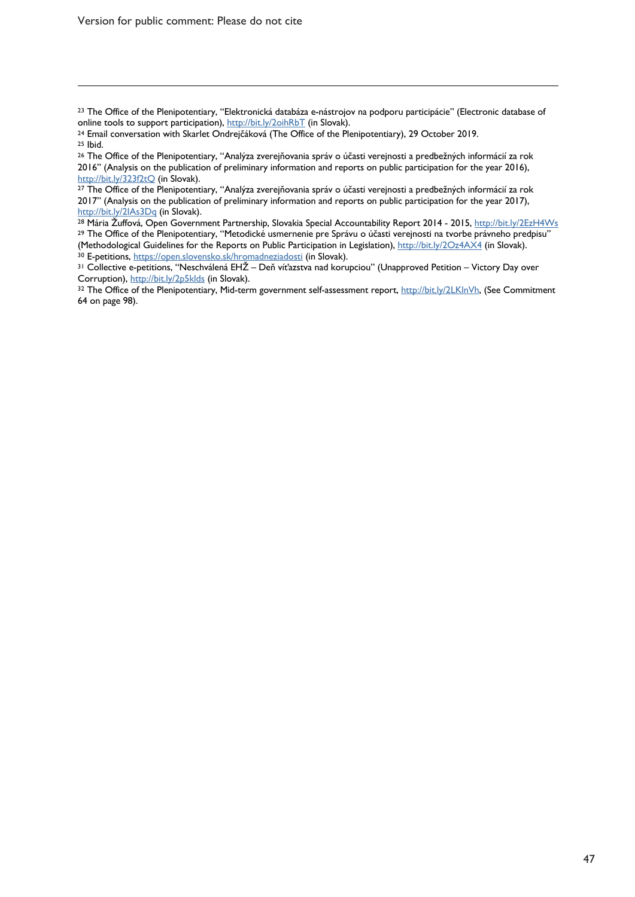Version for public comment: Please do not cite

 $\overline{a}$ 

http://bit.ly/2IAs3Dq (in Slovak).<br><sup>28</sup> Mária Žuffová, Open Government Partnership, Slovakia Special Accountability Report 2014 - 2015, http://bit.ly/2EzH4Ws <sup>29</sup> The Office of the Plenipotentiary, "Metodické usmernenie pre Správu o účasti verejnosti na tvorbe právneho predpisu"<br>(Methodological Guidelines for the Reports on Public Participation in Legislation), http://bit.ly/2O

<sup>&</sup>lt;sup>23</sup> The Office of the Plenipotentiary, "Elektronická databáza e-nástrojov na podporu participácie" (Electronic database of online tools to support participation), http://bit.ly/20ihRbT (in Slovak).

<sup>&</sup>lt;sup>24</sup> Email conversation with Skarlet Ondrejčáková (The Office of the Plenipotentiary), 29 October 2019.<br><sup>25</sup> Ibid.<br><sup>26</sup> The Office of the Plenipotentiary, "Analýza zverejňovania správ o účasti verejnosti a predbežných info

<sup>2016&</sup>quot; (Analysis on the publication of preliminary information and reports on public participation for the year 2016),  $\frac{http://bit.ly/323f2tQ}{}$  (in Slovak).

<sup>&</sup>lt;sup>27</sup> The Office of the Plenipotentiary, "Analýza zverejňovania správ o účasti verejnosti a predbežných informácií za rok 2017" (Analysis on the publication of preliminary information and reports on public participation for the year 2017),

<sup>&</sup>lt;sup>30</sup> E-petitions, <u>https://open.slovensko.sk/hromadneziadosti</u> (in Slovak).<br><sup>31</sup> Collective e-petitions, "Neschválená EHŽ – Deň víťazstva nad korupciou" (Unapproved Petition – Victory Day over<br>Corruption), http://bit.ly/2p

<sup>32</sup> The Office of the Plenipotentiary, Mid-term government self-assessment report, http://bit.ly/2LKlnVh, (See Commitment 64 on page 98).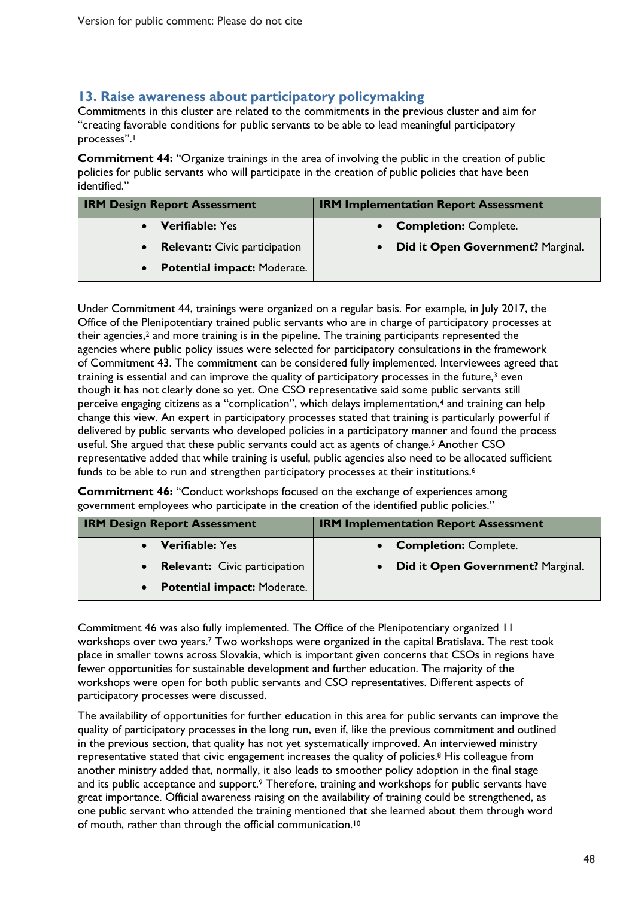#### **13. Raise awareness about participatory policymaking**

Commitments in this cluster are related to the commitments in the previous cluster and aim for "creating favorable conditions for public servants to be able to lead meaningful participatory processes".1

**Commitment 44:** "Organize trainings in the area of involving the public in the creation of public policies for public servants who will participate in the creation of public policies that have been identified."

| <b>IRM Design Report Assessment</b> | <b>IRM Implementation Report Assessment</b> |
|-------------------------------------|---------------------------------------------|
| • Verifiable: Yes                   | • Completion: Complete.                     |
| • Relevant: Civic participation     | Did it Open Government? Marginal.           |
| • Potential impact: Moderate.       |                                             |

Under Commitment 44, trainings were organized on a regular basis. For example, in July 2017, the Office of the Plenipotentiary trained public servants who are in charge of participatory processes at their agencies,<sup>2</sup> and more training is in the pipeline. The training participants represented the agencies where public policy issues were selected for participatory consultations in the framework of Commitment 43. The commitment can be considered fully implemented. Interviewees agreed that training is essential and can improve the quality of participatory processes in the future,<sup>3</sup> even though it has not clearly done so yet. One CSO representative said some public servants still perceive engaging citizens as a "complication", which delays implementation, <sup>4</sup> and training can help change this view. An expert in participatory processes stated that training is particularly powerful if delivered by public servants who developed policies in a participatory manner and found the process useful. She argued that these public servants could act as agents of change. <sup>5</sup> Another CSO representative added that while training is useful, public agencies also need to be allocated sufficient funds to be able to run and strengthen participatory processes at their institutions.<sup>6</sup>

**Commitment 46:** "Conduct workshops focused on the exchange of experiences among government employees who participate in the creation of the identified public policies."

| <b>IRM Design Report Assessment</b> | <b>IRM Implementation Report Assessment</b> |
|-------------------------------------|---------------------------------------------|
| • Verifiable: Yes                   | • Completion: Complete.                     |
| • Relevant: Civic participation     | • Did it Open Government? Marginal.         |
| • Potential impact: Moderate.       |                                             |

Commitment 46 was also fully implemented. The Office of the Plenipotentiary organized 11 workshops over two years. <sup>7</sup> Two workshops were organized in the capital Bratislava. The rest took place in smaller towns across Slovakia, which is important given concerns that CSOs in regions have fewer opportunities for sustainable development and further education. The majority of the workshops were open for both public servants and CSO representatives. Different aspects of participatory processes were discussed.

The availability of opportunities for further education in this area for public servants can improve the quality of participatory processes in the long run, even if, like the previous commitment and outlined in the previous section, that quality has not yet systematically improved. An interviewed ministry representative stated that civic engagement increases the quality of policies. <sup>8</sup> His colleague from another ministry added that, normally, it also leads to smoother policy adoption in the final stage and its public acceptance and support.<sup>9</sup> Therefore, training and workshops for public servants have great importance. Official awareness raising on the availability of training could be strengthened, as one public servant who attended the training mentioned that she learned about them through word of mouth, rather than through the official communication.10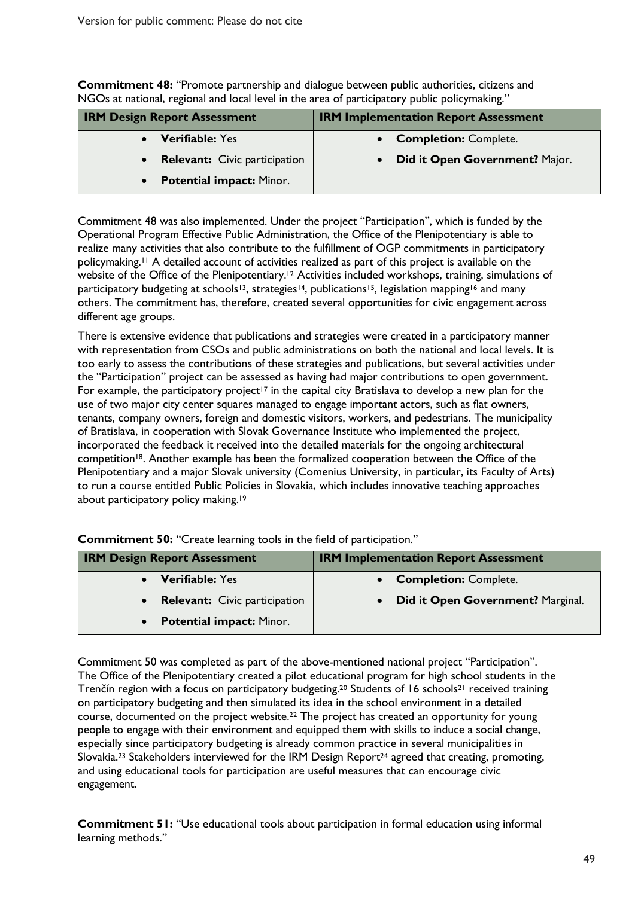**Commitment 48:** "Promote partnership and dialogue between public authorities, citizens and NGOs at national, regional and local level in the area of participatory public policymaking."

| <b>IRM Design Report Assessment</b>               | <b>IRM Implementation Report Assessment</b> |
|---------------------------------------------------|---------------------------------------------|
| <b>Verifiable: Yes</b>                            | <b>Completion: Complete.</b>                |
| <b>Relevant:</b> Civic participation<br>$\bullet$ | Did it Open Government? Major.              |
| <b>Potential impact: Minor.</b><br>$\bullet$      |                                             |

Commitment 48 was also implemented. Under the project "Participation", which is funded by the Operational Program Effective Public Administration, the Office of the Plenipotentiary is able to realize many activities that also contribute to the fulfillment of OGP commitments in participatory policymaking.11 A detailed account of activities realized as part of this project is available on the website of the Office of the Plenipotentiary.<sup>12</sup> Activities included workshops, training, simulations of participatory budgeting at schools<sup>13</sup>, strategies<sup>14</sup>, publications<sup>15</sup>, legislation mapping<sup>16</sup> and many others. The commitment has, therefore, created several opportunities for civic engagement across different age groups.

There is extensive evidence that publications and strategies were created in a participatory manner with representation from CSOs and public administrations on both the national and local levels. It is too early to assess the contributions of these strategies and publications, but several activities under the "Participation" project can be assessed as having had major contributions to open government. For example, the participatory project<sup>17</sup> in the capital city Bratislava to develop a new plan for the use of two major city center squares managed to engage important actors, such as flat owners, tenants, company owners, foreign and domestic visitors, workers, and pedestrians. The municipality of Bratislava, in cooperation with Slovak Governance Institute who implemented the project, incorporated the feedback it received into the detailed materials for the ongoing architectural competition<sup>18</sup>. Another example has been the formalized cooperation between the Office of the Plenipotentiary and a major Slovak university (Comenius University, in particular, its Faculty of Arts) to run a course entitled Public Policies in Slovakia, which includes innovative teaching approaches about participatory policy making.19

| <b>IRM Design Report Assessment</b> | <b>IRM Implementation Report Assessment</b> |
|-------------------------------------|---------------------------------------------|
| • Verifiable: Yes                   | • Completion: Complete.                     |
| • Relevant: Civic participation     | • Did it Open Government? Marginal.         |
| • Potential impact: Minor.          |                                             |

**Commitment 50:** "Create learning tools in the field of participation."

Commitment 50 was completed as part of the above-mentioned national project "Participation". The Office of the Plenipotentiary created a pilot educational program for high school students in the Trenčín region with a focus on participatory budgeting.<sup>20</sup> Students of 16 schools<sup>21</sup> received training on participatory budgeting and then simulated its idea in the school environment in a detailed course, documented on the project website.22 The project has created an opportunity for young people to engage with their environment and equipped them with skills to induce a social change, especially since participatory budgeting is already common practice in several municipalities in Slovakia.<sup>23</sup> Stakeholders interviewed for the IRM Design Report<sup>24</sup> agreed that creating, promoting, and using educational tools for participation are useful measures that can encourage civic engagement.

**Commitment 51:** "Use educational tools about participation in formal education using informal learning methods."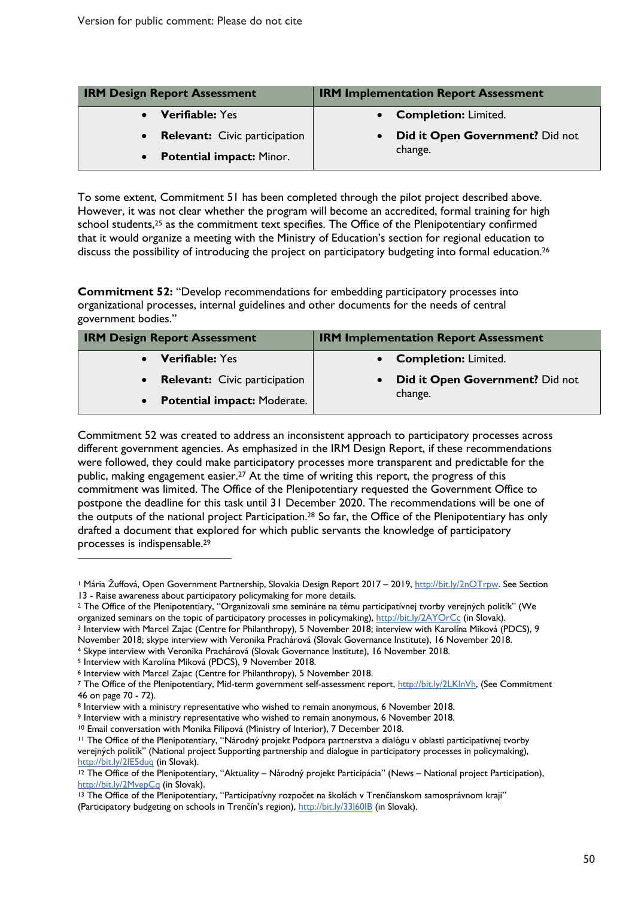| <b>IRM Design Report Assessment</b>               | <b>IRM Implementation Report Assessment</b> |
|---------------------------------------------------|---------------------------------------------|
| <b>Verifiable: Yes</b>                            | • Completion: Limited.                      |
| <b>Relevant:</b> Civic participation<br>$\bullet$ | Did it Open Government? Did not             |
| <b>Potential impact: Minor.</b><br>$\bullet$      | change.                                     |

To some extent, Commitment 51 has been completed through the pilot project described above. However, it was not clear whether the program will become an accredited, formal training for high school students,<sup>25</sup> as the commitment text specifies. The Office of the Plenipotentiary confirmed that it would organize a meeting with the Ministry of Education's section for regional education to discuss the possibility of introducing the project on participatory budgeting into formal education.<sup>26</sup>

**Commitment 52:** "Develop recommendations for embedding participatory processes into organizational processes, internal guidelines and other documents for the needs of central government bodies."

| <b>IRM Design Report Assessment</b> | <b>IRM Implementation Report Assessment</b> |
|-------------------------------------|---------------------------------------------|
| • Verifiable: Yes                   | • Completion: Limited.                      |
| • Relevant: Civic participation     | Did it Open Government? Did not             |
| • Potential impact: Moderate.       | change.                                     |

Commitment 52 was created to address an inconsistent approach to participatory processes across different government agencies. As emphasized in the IRM Design Report, if these recommendations were followed, they could make participatory processes more transparent and predictable for the public, making engagement easier.27 At the time of writing this report, the progress of this commitment was limited. The Office of the Plenipotentiary requested the Government Office to postpone the deadline for this task until 31 December 2020. The recommendations will be one of the outputs of the national project Participation. <sup>28</sup> So far, the Office of the Plenipotentiary has only drafted a document that explored for which public servants the knowledge of participatory processes is indispensable. 29

 $\overline{a}$ 

<sup>&</sup>lt;sup>1</sup> Mária Žuffová, Open Government Partnership, Slovakia Design Report 2017 – 2019, <u>http://bit.ly/2nOTrpw</u>. See Section<br>13 - Raise awareness about participatory policymaking for more details.

<sup>&</sup>lt;sup>2</sup> The Office of the Plenipotentiary, "Organizovali sme semináre na tému participatívnej tvorby verejných politík" (We organized seminars on the topic of participatory processes in policymaking), http://bit.ly/2AYOrCc (i

<sup>&</sup>lt;sup>3</sup> Interview with Marcel Zajac (Centre for Philanthropy), 5 November 2018; interview with Karolína Miková (PDCS), 9

November 2018; skype interview with Veronika Prachárová (Slovak Governance Institute), 16 November 2018. 4 Skype interview with Veronika Prachárová (Slovak Governance Institute), 16 November 2018.

<sup>5</sup> Interview with Karolína Miková (PDCS), 9 November 2018.

<sup>6</sup> Interview with Marcel Zajac (Centre for Philanthropy), 5 November 2018.

<sup>7</sup> The Office of the Plenipotentiary, Mid-term government self-assessment report, http://bit.ly/2LKlnVh, (See Commitment 46 on page 70 - 72).

<sup>&</sup>lt;sup>8</sup> Interview with a ministry representative who wished to remain anonymous, 6 November 2018. 9 Interview with a ministry representative who wished to remain anonymous, 6 November 2018.

<sup>&</sup>lt;sup>10</sup> Email conversation with Monika Filipová (Ministry of Interior), 7 December 2018.<br><sup>11</sup> The Office of the Plenipotentiary, "Národný projekt Podpora partnerstva a dialógu v oblasti participatívnej tvorby verejných politík" (National project Supporting partnership and dialogue in participatory processes in policymaking),

http://bit.ly/2IE5duq (in Slovak).<br><sup>12</sup> The Office of the Plenipotentiary, "Aktuality – Národný projekt Participácia" (News – National project Participation),<br>http://bit.ly/2MvepCq (in Slovak).

<sup>&</sup>lt;sup>13</sup> The Office of the Plenipotentiary, "Participatívny rozpočet na školách v Trenčianskom samosprávnom kraji" (Participatory budgeting on schools in Trenčín's region), http://bit.ly/33160IB (in Slovak).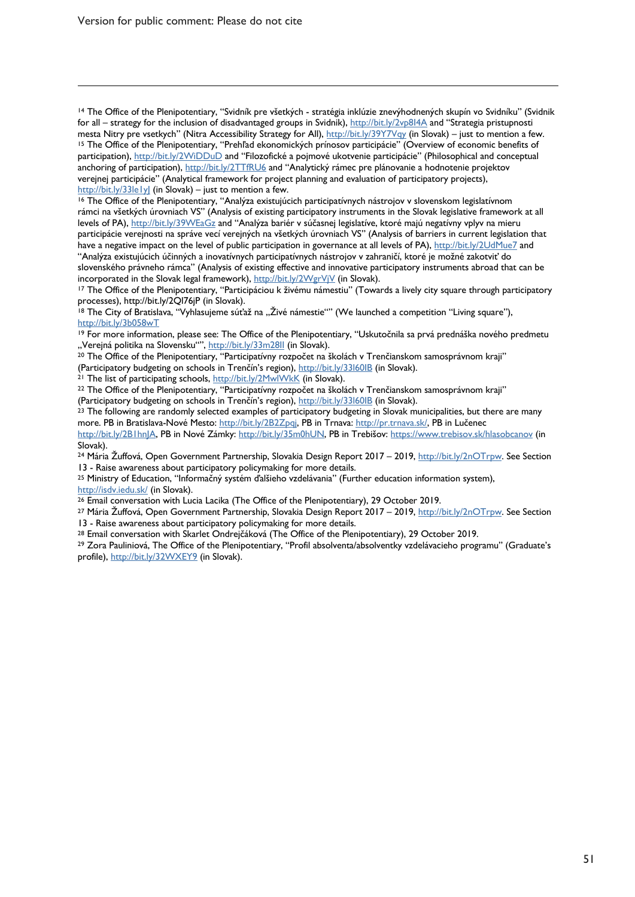$\overline{a}$ 

<sup>14</sup> The Office of the Plenipotentiary, "Svidník pre všetkých - stratégia inklúzie znevýhodnených skupín vo Svidníku" (Svidnik for all – strategy for the inclusion of disadvantaged groups in Svidnik), http://bit.ly/2vp8I4A and "Strategia pristupnosti mesta Nitry pre vsetkych" (Nitra Accessibility Strategy for All), http://bit.ly/39Y7Vqy (in Slovak) – just to mention a few. <sup>15</sup> The Office of the Plenipotentiary, "Prehľad ekonomických prínosov participácie" (Overview of economic benefits of participation), http://bit.ly/2WiDDuD and "Filozofické a pojmové ukotvenie participácie" (Philosophical and conceptual anchoring of participation), http://bit.ly/2TTfRU6 and "Analytický rámec pre plánovanie a hodnotenie projektov verejnej participácie" (Analytical framework for project planning and evaluation of participatory projects),  $\frac{h t t p!}{b^2}$  (in Slovak) – just to mention a few.

 $16$  The Office of the Plenipotentiary, "Analýza existujúcich participatívnych nástrojov v slovenskom legislatívnom rámci na všetkých úrovniach VS" (Analysis of existing participatory instruments in the Slovak legislative framework at all levels of PA), http://bit.ly/39WEaGz and "Analýza bariér v súčasnej legislatíve, ktoré majú negatívny vplyv na mieru participácie verejnosti na správe vecí verejných na všetkých úrovniach VS" (Analysis of barriers in current legislation that have a negative impact on the level of public participation in governance at all levels of PA), http://bit.ly/2UdMue7 and "Analýza existujúcich účinných a inovatívnych participatívnych nástrojov v zahraničí, ktoré je možné zakotviť do slovenského právneho rámca" (Analysis of existing effective and innovative participatory instruments abroad that can be

incorporated in the Slovak legal framework), http://bit.ly/2WgrVjV (in Slovak). 17 The Office of the Plenipotentiary, "Participáciou k živému námestiu" (Towards a lively city square through participatory

processes), http://bit.ly/2Ql76jP (in Slovak).<br><sup>18</sup> The City of Bratislava, "Vyhlasujeme súťaž na "Živé námestie"" (We launched a competition "Living square"), http://bit.ly/3b058wT

<sup>19</sup> For more information, please see: The Office of the Plenipotentiary, "Uskutočnila sa prvá prednáška nového predmetu "Verejná politika na Slovensku"", http://bit.ly/33m28II (in Slovak).

<sup>20</sup> The Office of the Plenipotentiary, "Participatívny rozpočet na školách v Trenčianskom samosprávnom kraji"

(Participatory budgeting on schools in Trenčín's region), http://bit.ly/331601B (in Slovak).<br><sup>21</sup> The list of participating schools, http://bit.ly/2MwlWkK (in Slovak).<br><sup>22</sup> The Office of the Plenipotentiary, "Participatívn (Participatory budgeting on schools in Trenčín's region), http://bit.ly/33l60IB (in Slovak).

<sup>23</sup> The following are randomly selected examples of participatory budgeting in Slovak municipalities, but there are many more. PB in Bratislava-Nové Mesto: http://bit.ly/2B2Zpqj, PB in Trnava: http://pr.trnava.sk/, PB in Lučenec http://bit.ly/2B1hnJA, PB in Nové Zámky: http://bit.ly/35m0hUN, PB in Trebišov: https://www.trebisov.sk/hlasobcanov (in Slovak).

<sup>24</sup> Mária Žuffová, Open Government Partnership, Slovakia Design Report 2017 – 2019, http://bit.ly/2nOTrpw. See Section 13 - Raise awareness about participatory policymaking for more details.<br><sup>25</sup> Ministry of Education, "Informačný systém ďalšieho vzdelávania" (Further education information system),

http://isdv.iedu.sk/ (in Slovak).<br><sup>26</sup> Email conversation with Lucia Lacika (The Office of the Plenipotentiary), 29 October 2019.

<sup>27</sup> Mária Žuffová, Open Government Partnership, Slovakia Design Report 2017 – 2019, http://bit.ly/2nOTrpw. See Section 13 - Raise awareness about participatory policymaking for more details.<br><sup>28</sup> Email conversation with Skarlet Ondrejčáková (The Office of the Plenipotentiary), 29 October 2019.<br><sup>29</sup> Zora Pauliniová, The Office of the Plenip

profile), http://bit.ly/32WXEY9 (in Slovak).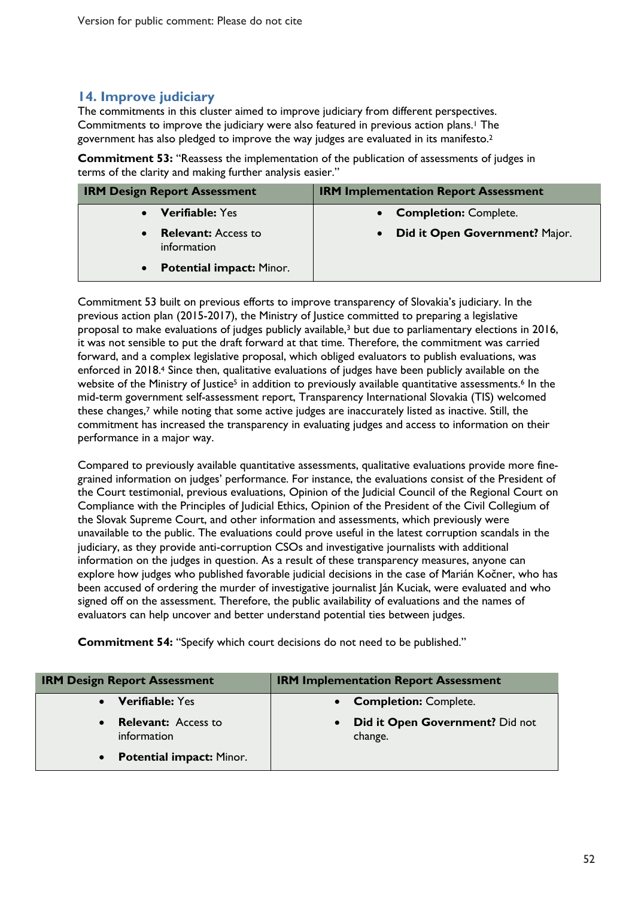#### **14. Improve judiciary**

The commitments in this cluster aimed to improve judiciary from different perspectives. Commitments to improve the judiciary were also featured in previous action plans.<sup>1</sup> The government has also pledged to improve the way judges are evaluated in its manifesto.2

**Commitment 53:** "Reassess the implementation of the publication of assessments of judges in terms of the clarity and making further analysis easier."

| <b>IRM Design Report Assessment</b>          | <b>IRM Implementation Report Assessment</b> |
|----------------------------------------------|---------------------------------------------|
| <b>Verifiable:</b> Yes                       | <b>Completion: Complete.</b>                |
| <b>Relevant:</b> Access to<br>information    | Did it Open Government? Major.<br>$\bullet$ |
| <b>Potential impact: Minor.</b><br>$\bullet$ |                                             |

Commitment 53 built on previous efforts to improve transparency of Slovakia's judiciary. In the previous action plan (2015-2017), the Ministry of Justice committed to preparing a legislative proposal to make evaluations of judges publicly available,3 but due to parliamentary elections in 2016, it was not sensible to put the draft forward at that time. Therefore, the commitment was carried forward, and a complex legislative proposal, which obliged evaluators to publish evaluations, was enforced in 2018.<sup>4</sup> Since then, qualitative evaluations of judges have been publicly available on the website of the Ministry of Justice<sup>5</sup> in addition to previously available quantitative assessments.<sup>6</sup> In the mid-term government self-assessment report, Transparency International Slovakia (TIS) welcomed these changes, <sup>7</sup> while noting that some active judges are inaccurately listed as inactive. Still, the commitment has increased the transparency in evaluating judges and access to information on their performance in a major way.

Compared to previously available quantitative assessments, qualitative evaluations provide more finegrained information on judges' performance. For instance, the evaluations consist of the President of the Court testimonial, previous evaluations, Opinion of the Judicial Council of the Regional Court on Compliance with the Principles of Judicial Ethics, Opinion of the President of the Civil Collegium of the Slovak Supreme Court, and other information and assessments, which previously were unavailable to the public. The evaluations could prove useful in the latest corruption scandals in the judiciary, as they provide anti-corruption CSOs and investigative journalists with additional information on the judges in question. As a result of these transparency measures, anyone can explore how judges who published favorable judicial decisions in the case of Marián Kočner, who has been accused of ordering the murder of investigative journalist Ján Kuciak, were evaluated and who signed off on the assessment. Therefore, the public availability of evaluations and the names of evaluators can help uncover and better understand potential ties between judges.

**Commitment 54:** "Specify which court decisions do not need to be published."

| <b>IRM Design Report Assessment</b>                    | <b>IRM Implementation Report Assessment</b> |
|--------------------------------------------------------|---------------------------------------------|
| <b>Verifiable: Yes</b>                                 | • Completion: Complete.                     |
| <b>Relevant:</b> Access to<br>$\bullet$<br>information | Did it Open Government? Did not<br>change.  |
| <b>Potential impact: Minor.</b><br>$\bullet$           |                                             |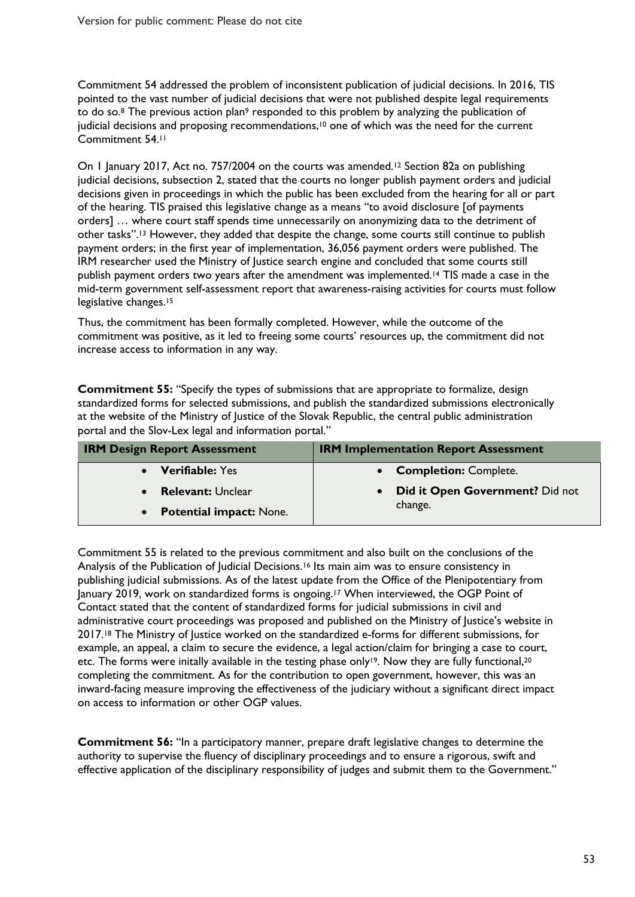Commitment 54 addressed the problem of inconsistent publication of judicial decisions. In 2016, TIS pointed to the vast number of judicial decisions that were not published despite legal requirements to do so.8 The previous action plan9 responded to this problem by analyzing the publication of judicial decisions and proposing recommendations,<sup>10</sup> one of which was the need for the current Commitment 54.11

On 1 January 2017, Act no. 757/2004 on the courts was amended.<sup>12</sup> Section 82a on publishing judicial decisions, subsection 2, stated that the courts no longer publish payment orders and judicial decisions given in proceedings in which the public has been excluded from the hearing for all or part of the hearing. TIS praised this legislative change as a means "to avoid disclosure [of payments orders] … where court staff spends time unnecessarily on anonymizing data to the detriment of other tasks".13 However, they added that despite the change, some courts still continue to publish payment orders; in the first year of implementation, 36,056 payment orders were published. The IRM researcher used the Ministry of Justice search engine and concluded that some courts still publish payment orders two years after the amendment was implemented.14 TIS made a case in the mid-term government self-assessment report that awareness-raising activities for courts must follow legislative changes.<sup>15</sup>

Thus, the commitment has been formally completed. However, while the outcome of the commitment was positive, as it led to freeing some courts' resources up, the commitment did not increase access to information in any way.

**Commitment 55:** "Specify the types of submissions that are appropriate to formalize, design standardized forms for selected submissions, and publish the standardized submissions electronically at the website of the Ministry of Justice of the Slovak Republic, the central public administration portal and the Slov-Lex legal and information portal."

| <b>IRM Design Report Assessment</b> | <b>IRM Implementation Report Assessment</b> |
|-------------------------------------|---------------------------------------------|
| • Verifiable: Yes                   | • Completion: Complete.                     |
| <b>Relevant:</b> Unclear            | Did it Open Government? Did not             |
| • Potential impact: None.           | change.                                     |

Commitment 55 is related to the previous commitment and also built on the conclusions of the Analysis of the Publication of Judicial Decisions.16 Its main aim was to ensure consistency in publishing judicial submissions. As of the latest update from the Office of the Plenipotentiary from January 2019, work on standardized forms is ongoing.17 When interviewed, the OGP Point of Contact stated that the content of standardized forms for judicial submissions in civil and administrative court proceedings was proposed and published on the Ministry of Justice's website in 2017.18 The Ministry of Justice worked on the standardized e-forms for different submissions, for example, an appeal, a claim to secure the evidence, a legal action/claim for bringing a case to court, etc. The forms were initally available in the testing phase only<sup>19</sup>. Now they are fully functional,<sup>20</sup> completing the commitment. As for the contribution to open government, however, this was an inward-facing measure improving the effectiveness of the judiciary without a significant direct impact on access to information or other OGP values.

**Commitment 56:** "In a participatory manner, prepare draft legislative changes to determine the authority to supervise the fluency of disciplinary proceedings and to ensure a rigorous, swift and effective application of the disciplinary responsibility of judges and submit them to the Government."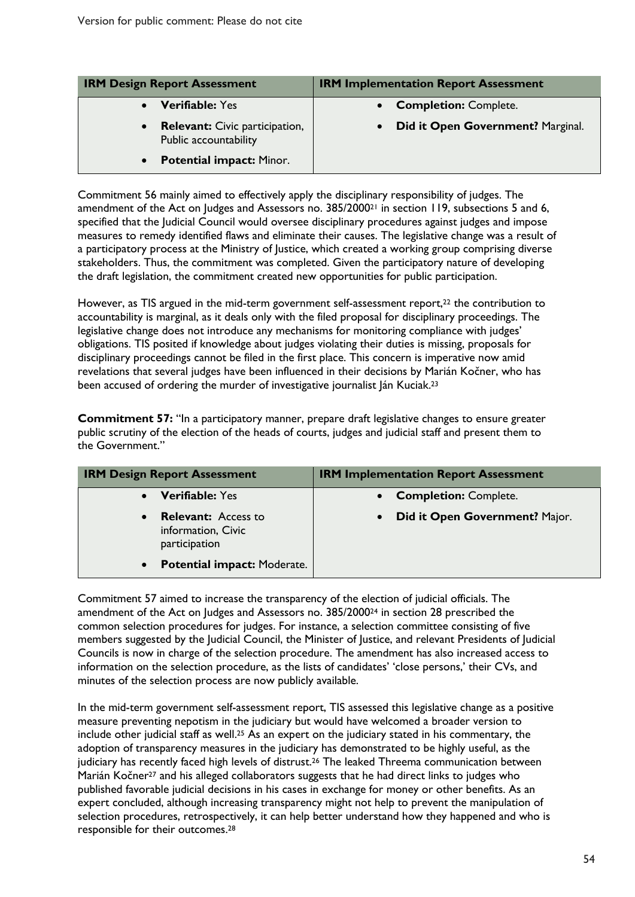| <b>IRM Design Report Assessment</b>                                         | <b>IRM Implementation Report Assessment</b> |
|-----------------------------------------------------------------------------|---------------------------------------------|
| <b>Verifiable: Yes</b><br>$\bullet$                                         | <b>Completion: Complete.</b>                |
| <b>Relevant:</b> Civic participation,<br>$\bullet$<br>Public accountability | Did it Open Government? Marginal.           |
| <b>Potential impact: Minor.</b><br>$\bullet$                                |                                             |

Commitment 56 mainly aimed to effectively apply the disciplinary responsibility of judges. The amendment of the Act on Judges and Assessors no. 385/2000<sup>21</sup> in section 119, subsections 5 and 6, specified that the Judicial Council would oversee disciplinary procedures against judges and impose measures to remedy identified flaws and eliminate their causes. The legislative change was a result of a participatory process at the Ministry of Justice, which created a working group comprising diverse stakeholders. Thus, the commitment was completed. Given the participatory nature of developing the draft legislation, the commitment created new opportunities for public participation.

However, as TIS argued in the mid-term government self-assessment report,<sup>22</sup> the contribution to accountability is marginal, as it deals only with the filed proposal for disciplinary proceedings. The legislative change does not introduce any mechanisms for monitoring compliance with judges' obligations. TIS posited if knowledge about judges violating their duties is missing, proposals for disciplinary proceedings cannot be filed in the first place. This concern is imperative now amid revelations that several judges have been influenced in their decisions by Marián Kočner, who has been accused of ordering the murder of investigative journalist Ján Kuciak.<sup>23</sup>

**Commitment 57:** "In a participatory manner, prepare draft legislative changes to ensure greater public scrutiny of the election of the heads of courts, judges and judicial staff and present them to the Government."

| <b>IRM Design Report Assessment</b>                                            | <b>IRM Implementation Report Assessment</b> |
|--------------------------------------------------------------------------------|---------------------------------------------|
| <b>Verifiable: Yes</b>                                                         | <b>Completion: Complete.</b>                |
| <b>Relevant:</b> Access to<br>$\bullet$<br>information, Civic<br>participation | Did it Open Government? Major.<br>$\bullet$ |
| <b>Potential impact: Moderate.</b><br>$\bullet$                                |                                             |

Commitment 57 aimed to increase the transparency of the election of judicial officials. The amendment of the Act on Judges and Assessors no. 385/200024 in section 28 prescribed the common selection procedures for judges. For instance, a selection committee consisting of five members suggested by the Judicial Council, the Minister of Justice, and relevant Presidents of Judicial Councils is now in charge of the selection procedure. The amendment has also increased access to information on the selection procedure, as the lists of candidates' 'close persons,' their CVs, and minutes of the selection process are now publicly available.

In the mid-term government self-assessment report, TIS assessed this legislative change as a positive measure preventing nepotism in the judiciary but would have welcomed a broader version to include other judicial staff as well. <sup>25</sup> As an expert on the judiciary stated in his commentary, the adoption of transparency measures in the judiciary has demonstrated to be highly useful, as the judiciary has recently faced high levels of distrust.<sup>26</sup> The leaked Threema communication between Marián Kočner27 and his alleged collaborators suggests that he had direct links to judges who published favorable judicial decisions in his cases in exchange for money or other benefits. As an expert concluded, although increasing transparency might not help to prevent the manipulation of selection procedures, retrospectively, it can help better understand how they happened and who is responsible for their outcomes.28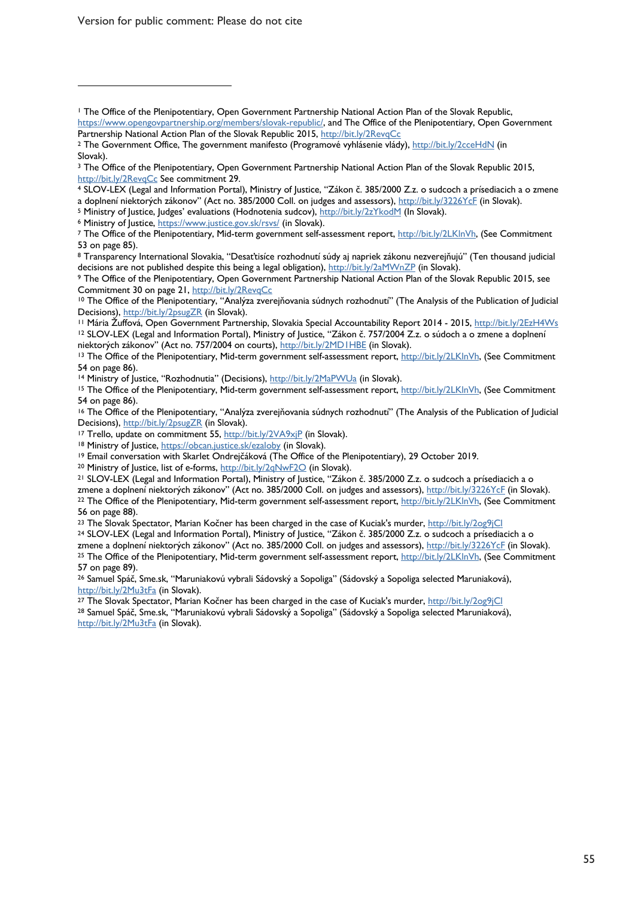Version for public comment: Please do not cite

 $\overline{a}$ 

http://bit.ly/2RevqCc See commitment 29.<br>4 SLOV-LEX (Legal and Information Portal), Ministry of Justice, "Zákon č. 385/2000 Z.z. o sudcoch a prísediacich a o zmene a doplnení niektorých zákonov" (Act no. 385/2000 Coll. on judges and assessors), http://bit.ly/3226YcF (in Slovak).<br><sup>5</sup> Ministry of Justice, Judges' evaluations (Hodnotenia sudcov), <u>http://bit.ly/2zYkodM</u> (In Slovak).<br><sup>6</sup>

<sup>8</sup> Transparency International Slovakia, "Desaťtisíce rozhodnutí súdy aj napriek zákonu nezverejňujú" (Ten thousand judicial decisions are not published despite this being a legal obligation), http://bit.ly/2aMWnZP (in Slovak).

<sup>9</sup> The Office of the Plenipotentiary, Open Government Partnership National Action Plan of the Slovak Republic 2015, see Commitment 30 on page 21, http://bit.ly/2RevqCc

<sup>12</sup> SLOV-LEX (Legal and Information Portal), Ministry of Justice, "Zákon č. 757/2004 Z.z. o súdoch a o zmene a doplnení<br>niektorých zákonov" (Act no. 757/2004 on courts), http://bit.ly/2MD1HBE (in Slovak).

<sup>15</sup> The Office of the Plenipotentiary, Mid-term government self-assessment report, http://bit.ly/2LKlnVh, (See Commitment 54 on page 86).

<sup>16</sup> The Office of the Plenipotentiary, "Analýza zverejňovania súdnych rozhodnutí" (The Analysis of the Publication of Judicial Decisions), http://bit.ly/2psugZR (in Slovak).

<sup>17</sup> Trello, update on commitment 55, http://bit.ly/2VA9xjP (in Slovak).

<sup>18</sup> Ministry of Justice, <u>https://obcan.justice.sk/ezaloby</u> (in Slovak).<br><sup>19</sup> Email conversation with Skarlet Ondrejčáková (The Office of the Plenipotentiary), 29 October 2019.<br><sup>20</sup> Ministry of Justice, list of e-forms, <u></u>

<sup>21</sup> SLOV-LEX (Legal and Information Portal), Ministry of Justice, "Zákon č. 385/2000 Z.z. o sudcoch a prísediacich a o zmene a doplnení niektorých zákonov" (Act no. 385/2000 Coll. on judges and assessors), http://bit.ly/3226YcF (in Slovak).<br><sup>22</sup> The Office of the Plenipotentiary, Mid-term government self-assessment report, http://bit.ly/2L 56 on page 88).

<sup>23</sup> The Slovak Spectator, Marian Kočner has been charged in the case of Kuciak's murder, http://bit.ly/2og9jCl

<sup>24</sup> SLOV-LEX (Legal and Information Portal), Ministry of Justice, "Zákon č. 385/2000 Z.z. o sudcoch a prísediacich a o<br>zmene a doplnení niektorých zákonov" (Act no. 385/2000 Coll. on judges and assessors), http://bit.ly/3 <sup>25</sup> The Office of the Plenipotentiary, Mid-term government self-assessment report, http://bit.ly/2LKlnVh, (See Commitment 57 on page 89).

<sup>26</sup> Samuel Spáč, Sme.sk, "Maruniakovú vybrali Sádovský a Sopoliga" (Sádovský a Sopoliga selected Maruniaková), http://bit.ly/2Mu3tFa (in Slovak).<br><sup>27</sup> The Slovak Spectator, Marian Kočner has been charged in the case of Kuciak's murder, http://bit.ly/2og9jCl

<sup>28</sup> Samuel Spáč, Sme.sk, "Maruniakovú vybrali Sádovský a Sopoliga" (Sádovský a Sopoliga selected Maruniaková), http://bit.ly/2Mu3tFa (in Slovak).

<sup>1</sup> The Office of the Plenipotentiary, Open Government Partnership National Action Plan of the Slovak Republic, https://www.opengovpartnership.org/members/slovak-republic/, and The Office of the Plenipotentiary, Open Government Partnership National Action Plan of the Slovak Republic 2015, http://bit.ly/2RevqCc

<sup>&</sup>lt;sup>2</sup> The Government Office, The government manifesto (Programové vyhlásenie vlády), http://bit.ly/2cceHdN (in Slovak).

<sup>&</sup>lt;sup>3</sup> The Office of the Plenipotentiary, Open Government Partnership National Action Plan of the Slovak Republic 2015,

<sup>&</sup>lt;sup>7</sup> The Office of the Plenipotentiary, Mid-term government self-assessment report, http://bit.ly/2LKlnVh, (See Commitment 53 on page 85).

<sup>&</sup>lt;sup>10</sup> The Office of the Plenipotentiary, "Analýza zverejňovania súdnych rozhodnutí" (The Analysis of the Publication of Judicial Decisions), http://bit.ly/2psugZR (in Slovak).<br>11 Mária Žuffová, Open Government Partnership, Slovakia Special Accountability Report 2014 - 2015, http://bit.ly/2EzH4Ws

<sup>13</sup> The Office of the Plenipotentiary, Mid-term government self-assessment report, http://bit.ly/2LKlnVh, (See Commitment 54 on page 86).<br><sup>14</sup> Ministry of Justice, "Rozhodnutia" (Decisions), http://bit.ly/2MaPWUa (in Slovak).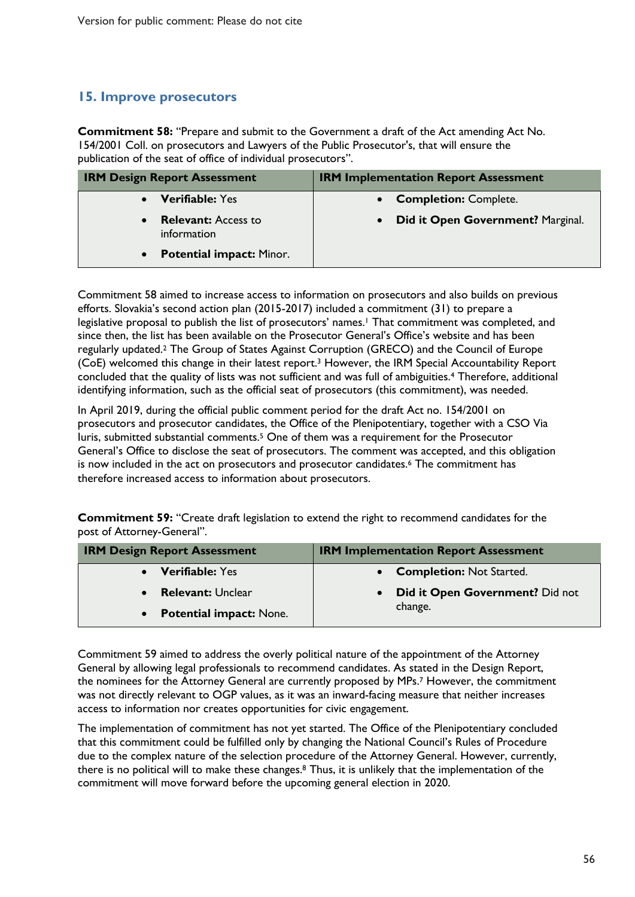### **15. Improve prosecutors**

**Commitment 58:** "Prepare and submit to the Government a draft of the Act amending Act No. 154/2001 Coll. on prosecutors and Lawyers of the Public Prosecutor's, that will ensure the publication of the seat of office of individual prosecutors".

| <b>IRM Design Report Assessment</b>                    | <b>IRM Implementation Report Assessment</b>    |
|--------------------------------------------------------|------------------------------------------------|
| <b>Verifiable: Yes</b>                                 | • Completion: Complete.                        |
| <b>Relevant:</b> Access to<br>$\bullet$<br>information | Did it Open Government? Marginal.<br>$\bullet$ |
| <b>Potential impact: Minor.</b><br>$\bullet$           |                                                |

Commitment 58 aimed to increase access to information on prosecutors and also builds on previous efforts. Slovakia's second action plan (2015-2017) included a commitment (31) to prepare a legislative proposal to publish the list of prosecutors' names. <sup>1</sup> That commitment was completed, and since then, the list has been available on the Prosecutor General's Office's website and has been regularly updated.2 The Group of States Against Corruption (GRECO) and the Council of Europe (CoE) welcomed this change in their latest report.3 However, the IRM Special Accountability Report concluded that the quality of lists was not sufficient and was full of ambiguities.4 Therefore, additional identifying information, such as the official seat of prosecutors (this commitment), was needed.

In April 2019, during the official public comment period for the draft Act no. 154/2001 on prosecutors and prosecutor candidates, the Office of the Plenipotentiary, together with a CSO Via Iuris, submitted substantial comments.5 One of them was a requirement for the Prosecutor General's Office to disclose the seat of prosecutors. The comment was accepted, and this obligation is now included in the act on prosecutors and prosecutor candidates.6 The commitment has therefore increased access to information about prosecutors.

**Commitment 59:** "Create draft legislation to extend the right to recommend candidates for the post of Attorney-General".

| <b>IRM Design Report Assessment</b>         | <b>IRM Implementation Report Assessment</b> |
|---------------------------------------------|---------------------------------------------|
| • Verifiable: Yes                           | • Completion: Not Started.                  |
| <b>Relevant: Unclear</b><br>$\bullet$       | Did it Open Government? Did not             |
| <b>Potential impact: None.</b><br>$\bullet$ | change.                                     |

Commitment 59 aimed to address the overly political nature of the appointment of the Attorney General by allowing legal professionals to recommend candidates. As stated in the Design Report, the nominees for the Attorney General are currently proposed by MPs. <sup>7</sup> However, the commitment was not directly relevant to OGP values, as it was an inward-facing measure that neither increases access to information nor creates opportunities for civic engagement.

The implementation of commitment has not yet started. The Office of the Plenipotentiary concluded that this commitment could be fulfilled only by changing the National Council's Rules of Procedure due to the complex nature of the selection procedure of the Attorney General. However, currently, there is no political will to make these changes.<sup>8</sup> Thus, it is unlikely that the implementation of the commitment will move forward before the upcoming general election in 2020.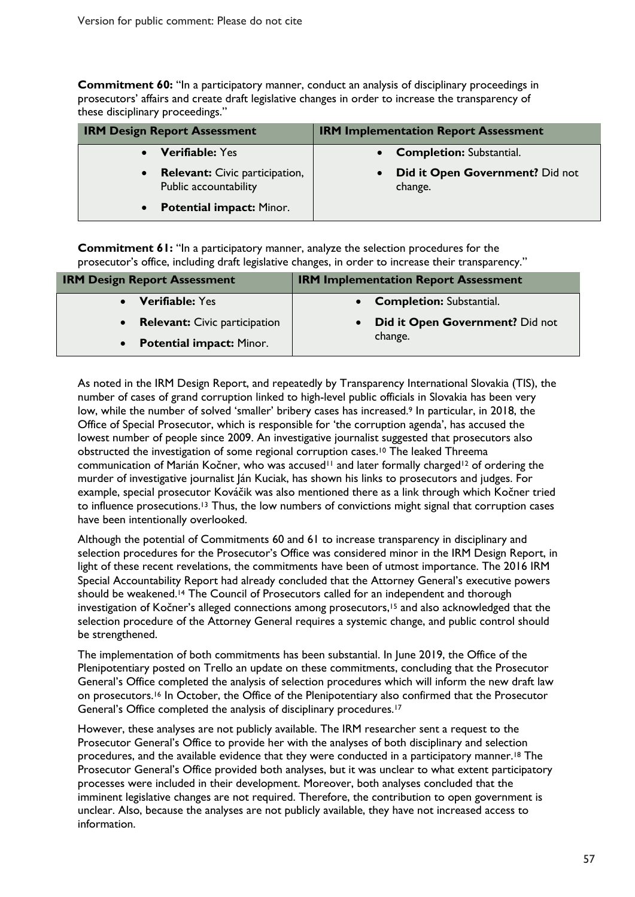**Commitment 60:** "In a participatory manner, conduct an analysis of disciplinary proceedings in prosecutors' affairs and create draft legislative changes in order to increase the transparency of these disciplinary proceedings."

| <b>IRM Design Report Assessment</b>                                         | <b>IRM Implementation Report Assessment</b> |
|-----------------------------------------------------------------------------|---------------------------------------------|
| <b>Verifiable: Yes</b>                                                      | • Completion: Substantial.                  |
| <b>Relevant:</b> Civic participation,<br>$\bullet$<br>Public accountability | Did it Open Government? Did not<br>change.  |
| <b>Potential impact: Minor.</b><br>$\bullet$                                |                                             |

**Commitment 61:** "In a participatory manner, analyze the selection procedures for the prosecutor's office, including draft legislative changes, in order to increase their transparency."

| <b>IRM Design Report Assessment</b>  | <b>IRM Implementation Report Assessment</b> |
|--------------------------------------|---------------------------------------------|
| <b>Verifiable: Yes</b>               | • Completion: Substantial.                  |
| <b>Relevant:</b> Civic participation | <b>Did it Open Government?</b> Did not      |
| <b>Potential impact: Minor.</b>      | change.                                     |

As noted in the IRM Design Report, and repeatedly by Transparency International Slovakia (TIS), the number of cases of grand corruption linked to high-level public officials in Slovakia has been very low, while the number of solved 'smaller' bribery cases has increased.<sup>9</sup> In particular, in 2018, the Office of Special Prosecutor, which is responsible for 'the corruption agenda', has accused the lowest number of people since 2009. An investigative journalist suggested that prosecutors also obstructed the investigation of some regional corruption cases. <sup>10</sup> The leaked Threema communication of Marián Kočner, who was accused<sup>11</sup> and later formally charged<sup>12</sup> of ordering the murder of investigative journalist Ján Kuciak, has shown his links to prosecutors and judges. For example, special prosecutor Kováčik was also mentioned there as a link through which Kočner tried to influence prosecutions.<sup>13</sup> Thus, the low numbers of convictions might signal that corruption cases have been intentionally overlooked.

Although the potential of Commitments 60 and 61 to increase transparency in disciplinary and selection procedures for the Prosecutor's Office was considered minor in the IRM Design Report, in light of these recent revelations, the commitments have been of utmost importance. The 2016 IRM Special Accountability Report had already concluded that the Attorney General's executive powers should be weakened.<sup>14</sup> The Council of Prosecutors called for an independent and thorough investigation of Kočner's alleged connections among prosecutors,<sup>15</sup> and also acknowledged that the selection procedure of the Attorney General requires a systemic change, and public control should be strengthened.

The implementation of both commitments has been substantial. In June 2019, the Office of the Plenipotentiary posted on Trello an update on these commitments, concluding that the Prosecutor General's Office completed the analysis of selection procedures which will inform the new draft law on prosecutors. <sup>16</sup> In October, the Office of the Plenipotentiary also confirmed that the Prosecutor General's Office completed the analysis of disciplinary procedures.17

However, these analyses are not publicly available. The IRM researcher sent a request to the Prosecutor General's Office to provide her with the analyses of both disciplinary and selection procedures, and the available evidence that they were conducted in a participatory manner.18 The Prosecutor General's Office provided both analyses, but it was unclear to what extent participatory processes were included in their development. Moreover, both analyses concluded that the imminent legislative changes are not required. Therefore, the contribution to open government is unclear. Also, because the analyses are not publicly available, they have not increased access to information.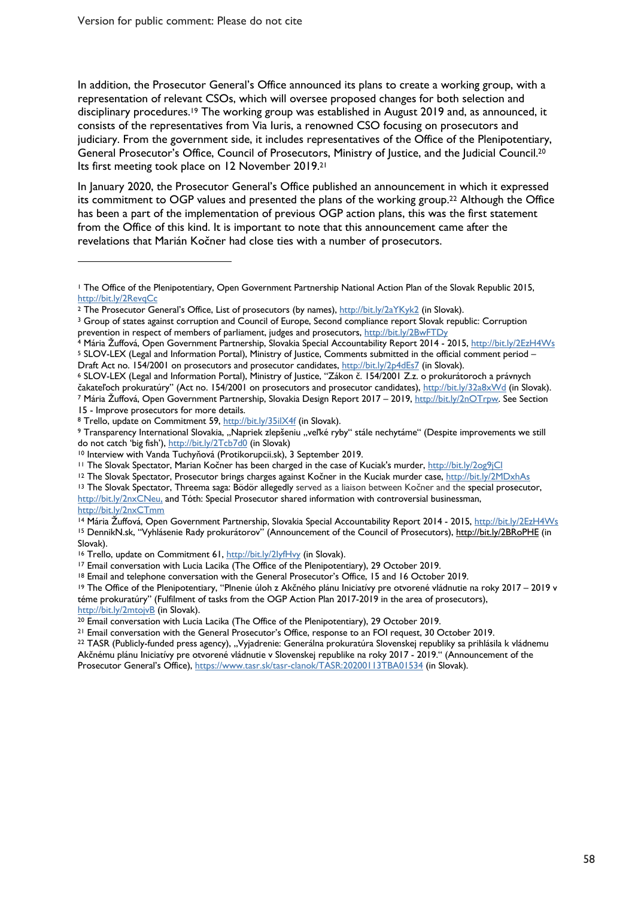$\overline{a}$ 

In addition, the Prosecutor General's Office announced its plans to create a working group, with a representation of relevant CSOs, which will oversee proposed changes for both selection and disciplinary procedures.<sup>19</sup> The working group was established in August 2019 and, as announced, it consists of the representatives from Via Iuris, a renowned CSO focusing on prosecutors and judiciary. From the government side, it includes representatives of the Office of the Plenipotentiary, General Prosecutor's Office, Council of Prosecutors, Ministry of Justice, and the Judicial Council.<sup>20</sup> Its first meeting took place on 12 November 2019. 21

In January 2020, the Prosecutor General's Office published an announcement in which it expressed its commitment to OGP values and presented the plans of the working group. <sup>22</sup> Although the Office has been a part of the implementation of previous OGP action plans, this was the first statement from the Office of this kind. It is important to note that this announcement came after the revelations that Marián Kočner had close ties with a number of prosecutors.

4 Mária Žuffová, Open Government Partnership, Slovakia Special Accountability Report 2014 - 2015, http://bit.ly/2EzH4Ws <sup>5</sup> SLOV-LEX (Legal and Information Portal), Ministry of Justice, Comments submitted in the official comment period –

<sup>14</sup> Mária Žuffová, Open Government Partnership, Slovakia Special Accountability Report 2014 - 2015, http://bit.ly/2EzH4Ws <sup>15</sup> DennikN.sk, "Vyhlásenie Rady prokurátorov" (Announcement of the Council of Prosecutors), http://bit.ly/2BRoPHE (in Slovak).

<sup>16</sup> Trello, update on Commitment 61, http://bit.ly/2lyfHvy (in Slovak).<br><sup>17</sup> Email conversation with Lucia Lacika (The Office of the Plenipotentiary), 29 October 2019.<br><sup>18</sup> Email and telephone conversation with the Genera téme prokuratúry" (Fulfilment of tasks from the OGP Action Plan 2017-2019 in the area of prosecutors),

<sup>1</sup> The Office of the Plenipotentiary, Open Government Partnership National Action Plan of the Slovak Republic 2015, http://bit.ly/2RevqCc

<sup>&</sup>lt;sup>2</sup> The Prosecutor General's Office, List of prosecutors (by names), http://bit.ly/2aYKyk2 (in Slovak).

<sup>3</sup> Group of states against corruption and Council of Europe, Second compliance report Slovak republic: Corruption prevention in respect of members of parliament, judges and prosecutors, http://bit.ly/2BwFTDy

Draft Act no. 154/2001 on prosecutors and prosecutor candidates, http://bit.ly/2p4dEs7 (in Slovak).<br>6 SLOV-LEX (Legal and Information Portal), Ministry of Justice, "Zákon č. 154/2001 Z.z. o prokurátoroch a právnych čakateľoch prokuratúry" (Act no. 154/2001 on prosecutors and prosecutor candidates), http://bit.ly/32a8xWd (in Slovak).<br>7 Mária Žuffová, Open Government Partnership, Slovakia Design Report 2017 – 2019, http://bit.ly/2nOTrp

<sup>15 -</sup> Improve prosecutors for more details.<br><sup>8</sup> Trello, update on Commitment 59, <u>http://bit.ly/35ilX4f</u> (in Slovak).<br>9 Transparency International Slovakia, "Napriek zlepšeniu "veľké ryby" stále nechytáme" (Despite improvem do not catch 'big fish'), http://bit.ly/2Tcb7d0 (in Slovak)

<sup>10</sup> Interview with Vanda Tuchyňová (Protikorupcii.sk), 3 September 2019.

<sup>&</sup>lt;sup>11</sup> The Slovak Spectator, Marian Kočner has been charged in the case of Kuciak's murder, http://bit.ly/2og9jCl

<sup>&</sup>lt;sup>12</sup> The Slovak Spectator, Prosecutor brings charges against Kočner in the Kuciak murder case, http://bit.ly/2MDxhAs

<sup>&</sup>lt;sup>13</sup> The Slovak Spectator, Threema saga: Bödör allegedly served as a liaison between Kočner and the special prosecutor, http://bit.ly/2nxCNeu, and Tóth: Special Prosecutor shared information with controversial businessman, http://bit.ly/2nxCTmm

http://bit.ly/2mtojvB (in Slovak).<br><sup>20</sup> Email conversation with Lucia Lacika (The Office of the Plenipotentiary), 29 October 2019.

<sup>&</sup>lt;sup>21</sup> Email conversation with the General Prosecutor's Office, response to an FOI request, 30 October 2019.<br><sup>22</sup> TASR (Publicly-funded press agency), "Vyjadrenie: Generálna prokuratúra Slovenskej republiky sa prihlásila k v Akčnému plánu Iniciatívy pre otvorené vládnutie v Slovenskej republike na roky 2017 - 2019." (Announcement of the Prosecutor General's Office), https://www.tasr.sk/tasr-clanok/TASR:20200113TBA01534 (in Slovak).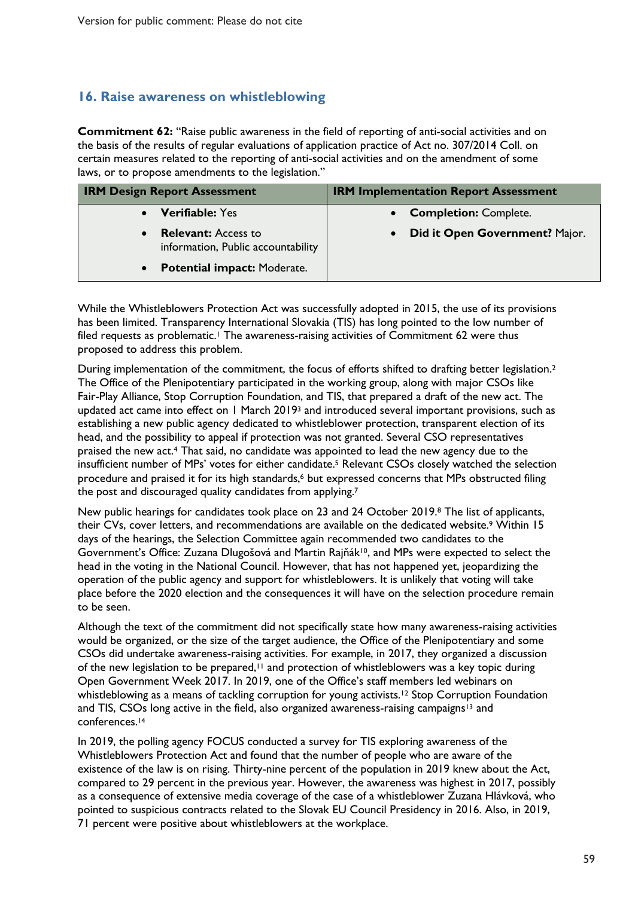#### **16. Raise awareness on whistleblowing**

**Commitment 62:** "Raise public awareness in the field of reporting of anti-social activities and on the basis of the results of regular evaluations of application practice of Act no. 307/2014 Coll. on certain measures related to the reporting of anti-social activities and on the amendment of some laws, or to propose amendments to the legislation."

| <b>IRM Design Report Assessment</b>                                           | <b>IRM Implementation Report Assessment</b> |
|-------------------------------------------------------------------------------|---------------------------------------------|
| <b>Verifiable:</b> Yes                                                        | <b>Completion: Complete.</b>                |
| <b>Relevant:</b> Access to<br>$\bullet$<br>information, Public accountability | Did it Open Government? Major.<br>$\bullet$ |
| <b>Potential impact: Moderate.</b><br>$\bullet$                               |                                             |

While the Whistleblowers Protection Act was successfully adopted in 2015, the use of its provisions has been limited. Transparency International Slovakia (TIS) has long pointed to the low number of filed requests as problematic.<sup>1</sup> The awareness-raising activities of Commitment 62 were thus proposed to address this problem.

During implementation of the commitment, the focus of efforts shifted to drafting better legislation.2 The Office of the Plenipotentiary participated in the working group, along with major CSOs like Fair-Play Alliance, Stop Corruption Foundation, and TIS, that prepared a draft of the new act. The updated act came into effect on 1 March 2019<sup>3</sup> and introduced several important provisions, such as establishing a new public agency dedicated to whistleblower protection, transparent election of its head, and the possibility to appeal if protection was not granted. Several CSO representatives praised the new act.4 That said, no candidate was appointed to lead the new agency due to the insufficient number of MPs' votes for either candidate. <sup>5</sup> Relevant CSOs closely watched the selection procedure and praised it for its high standards, <sup>6</sup> but expressed concerns that MPs obstructed filing the post and discouraged quality candidates from applying.7

New public hearings for candidates took place on 23 and 24 October 2019.8 The list of applicants, their CVs, cover letters, and recommendations are available on the dedicated website.<sup>9</sup> Within 15 days of the hearings, the Selection Committee again recommended two candidates to the Government's Office: Zuzana Dlugošová and Martin Rajňák10, and MPs were expected to select the head in the voting in the National Council. However, that has not happened yet, jeopardizing the operation of the public agency and support for whistleblowers. It is unlikely that voting will take place before the 2020 election and the consequences it will have on the selection procedure remain to be seen.

Although the text of the commitment did not specifically state how many awareness-raising activities would be organized, or the size of the target audience, the Office of the Plenipotentiary and some CSOs did undertake awareness-raising activities. For example, in 2017, they organized a discussion of the new legislation to be prepared,<sup>11</sup> and protection of whistleblowers was a key topic during Open Government Week 2017. In 2019, one of the Office's staff members led webinars on whistleblowing as a means of tackling corruption for young activists.<sup>12</sup> Stop Corruption Foundation and TIS, CSOs long active in the field, also organized awareness-raising campaigns<sup>13</sup> and conferences. 14

In 2019, the polling agency FOCUS conducted a survey for TIS exploring awareness of the Whistleblowers Protection Act and found that the number of people who are aware of the existence of the law is on rising. Thirty-nine percent of the population in 2019 knew about the Act, compared to 29 percent in the previous year. However, the awareness was highest in 2017, possibly as a consequence of extensive media coverage of the case of a whistleblower Zuzana Hlávková, who pointed to suspicious contracts related to the Slovak EU Council Presidency in 2016. Also, in 2019, 71 percent were positive about whistleblowers at the workplace.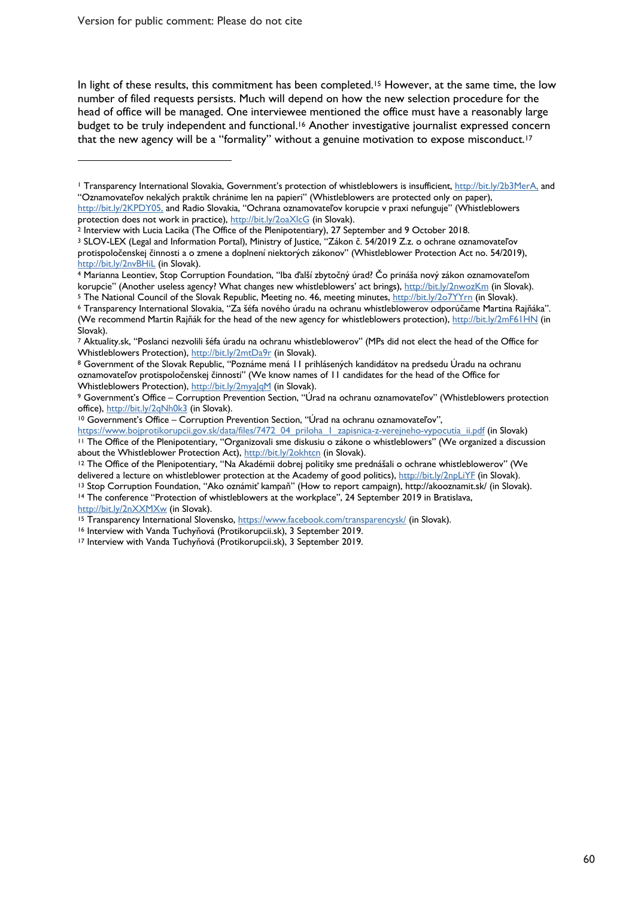Version for public comment: Please do not cite

In light of these results, this commitment has been completed.<sup>15</sup> However, at the same time, the low number of filed requests persists. Much will depend on how the new selection procedure for the head of office will be managed. One interviewee mentioned the office must have a reasonably large budget to be truly independent and functional.<sup>16</sup> Another investigative journalist expressed concern that the new agency will be a "formality" without a genuine motivation to expose misconduct.<sup>17</sup>

korupcie" (Another useless agency? What changes new whistleblowers' act brings), <u>http://bit.ly/2nwozKm</u> (in Slovak).<br><sup>5</sup> The National Council of the Slovak Republic, Meeting no. 46, meeting minutes, <u>http://bit.ly/2o7YYm</u>

 $\overline{a}$ 

<sup>1</sup> Transparency International Slovakia, Government's protection of whistleblowers is insufficient, http://bit.ly/2b3MerA, and "Oznamovateľov nekalých praktík chránime len na papieri" (Whistleblowers are protected only on paper), http://bit.ly/2KPDY05, and Radio Slovakia, "Ochrana oznamovateľov korupcie v praxi nefunguje" (Whistleblowers

protection does not work in practice), http://bit.ly/2oaXlcG (in Slovak).<br><sup>2</sup> Interview with Lucia Lacika (The Office of the Plenipotentiary), 27 September and 9 October 2018.

<sup>3</sup> SLOV-LEX (Legal and Information Portal), Ministry of Justice, "Zákon č. 54/2019 Z.z. o ochrane oznamovateľov protispoločenskej činnosti a o zmene a doplnení niektorých zákonov" (Whistleblower Protection Act no. 54/2019), http://bit.ly/2nvBHiL (in Slovak).<br><sup>4</sup> Marianna Leontiev, Stop Corruption Foundation, "Iba ďalší zbytočný úrad? Čo prináša nový zákon oznamovateľom

<sup>(</sup>We recommend Martin Rajňák for the head of the new agency for whistleblowers protection), http://bit.ly/2mF61HN (in Slovak).

<sup>7</sup> Aktuality.sk, "Poslanci nezvolili šéfa úradu na ochranu whistleblowerov" (MPs did not elect the head of the Office for

Whistleblowers Protection), http://bit.ly/2mtDa9r (in Slovak).<br><sup>8</sup> Government of the Slovak Republic, "Poznáme mená 11 prihlásených kandidátov na predsedu Úradu na ochranu oznamovateľov protispoločenskej činnosti" (We know names of 11 candidates for the head of the Office for

Whistleblowers Protection), http://bit.ly/2myaJqM (in Slovak).<br>9 Government's Office – Corruption Prevention Section, "Úrad na ochranu oznamovateľov" (Whistleblowers protection<br>office), http://bit.ly/2qNh0k3 (in Slovak).

<sup>&</sup>lt;sup>10</sup> Government's Office – Corruption Prevention Section, "Úrad na ochranu oznamovateľov",

https://www.bojprotikorupcii.gov.sk/data/files/7472\_04\_priloha\_1\_zapisnica-z-verejneho-vypocutia\_ii.pdf (in Slovak) <sup>11</sup> The Office of the Plenipotentiary, "Organizovali sme diskusiu o zákone o whistleblowers" (We organized a discussion about the Whistleblower Protection Act), http://bit.ly/2okhtcn (in Slovak).

<sup>&</sup>lt;sup>12</sup> The Office of the Plenipotentiary, "Na Akadémii dobrej politiky sme prednášali o ochrane whistleblowerov" (We

delivered a lecture on whistleblower protection at the Academy of good politics), http://bit.ly/2npLiYE (in Slovak).<br><sup>13</sup> Stop Corruption Foundation, "Ako oznámiť kampaň" (How to report campaign), http://akooznamit.sk/ (in

http://bit.ly/2nXXMXw (in Slovak).<br><sup>15</sup> Transparency International Slovensko, <u>https://www.facebook.com/transparencysk/</u> (in Slovak).<br><sup>16</sup> Interview with Vanda Tuchyňová (Protikorupcii.sk), 3 September 2019.<br><sup>17</sup> Interview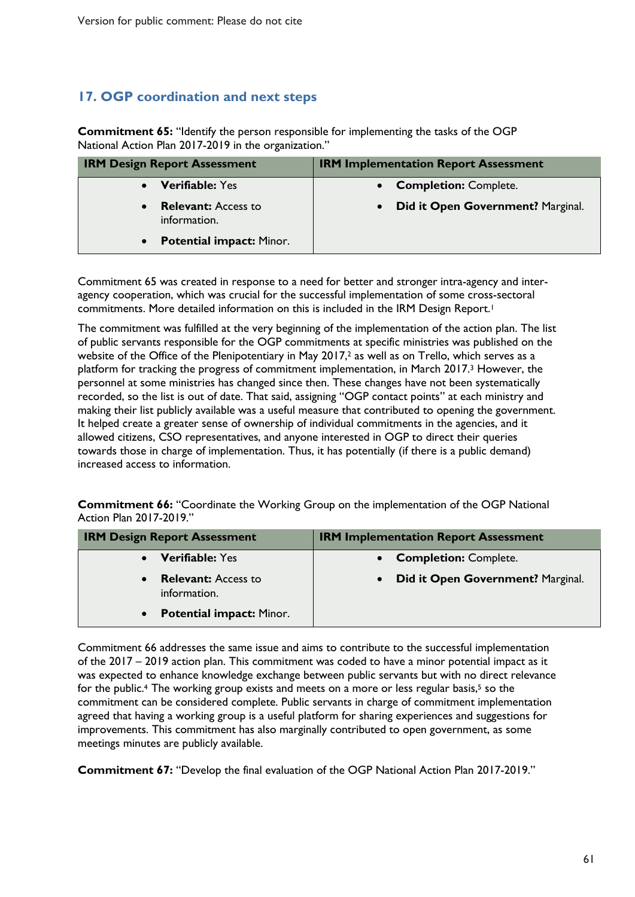### **17. OGP coordination and next steps**

**Commitment 65:** "Identify the person responsible for implementing the tasks of the OGP National Action Plan 2017-2019 in the organization."

| <b>IRM Design Report Assessment</b>                     | <b>IRM Implementation Report Assessment</b>    |
|---------------------------------------------------------|------------------------------------------------|
| <b>Verifiable: Yes</b>                                  | <b>Completion: Complete.</b>                   |
| <b>Relevant:</b> Access to<br>$\bullet$<br>information. | Did it Open Government? Marginal.<br>$\bullet$ |
| <b>Potential impact: Minor.</b><br>$\bullet$            |                                                |

Commitment 65 was created in response to a need for better and stronger intra-agency and interagency cooperation, which was crucial for the successful implementation of some cross-sectoral commitments. More detailed information on this is included in the IRM Design Report.1

The commitment was fulfilled at the very beginning of the implementation of the action plan. The list of public servants responsible for the OGP commitments at specific ministries was published on the website of the Office of the Plenipotentiary in May 2017,<sup>2</sup> as well as on Trello, which serves as a platform for tracking the progress of commitment implementation, in March 2017.3 However, the personnel at some ministries has changed since then. These changes have not been systematically recorded, so the list is out of date. That said, assigning "OGP contact points" at each ministry and making their list publicly available was a useful measure that contributed to opening the government. It helped create a greater sense of ownership of individual commitments in the agencies, and it allowed citizens, CSO representatives, and anyone interested in OGP to direct their queries towards those in charge of implementation. Thus, it has potentially (if there is a public demand) increased access to information.

**Commitment 66:** "Coordinate the Working Group on the implementation of the OGP National Action Plan 2017-2019."

| <b>IRM Design Report Assessment</b>          | <b>IRM Implementation Report Assessment</b> |
|----------------------------------------------|---------------------------------------------|
| <b>Verifiable: Yes</b>                       | <b>Completion: Complete.</b>                |
| <b>Relevant:</b> Access to<br>information.   | Did it Open Government? Marginal.           |
| <b>Potential impact: Minor.</b><br>$\bullet$ |                                             |

Commitment 66 addresses the same issue and aims to contribute to the successful implementation of the 2017 – 2019 action plan. This commitment was coded to have a minor potential impact as it was expected to enhance knowledge exchange between public servants but with no direct relevance for the public.<sup>4</sup> The working group exists and meets on a more or less regular basis,<sup>5</sup> so the commitment can be considered complete. Public servants in charge of commitment implementation agreed that having a working group is a useful platform for sharing experiences and suggestions for improvements. This commitment has also marginally contributed to open government, as some meetings minutes are publicly available.

**Commitment 67:** "Develop the final evaluation of the OGP National Action Plan 2017-2019."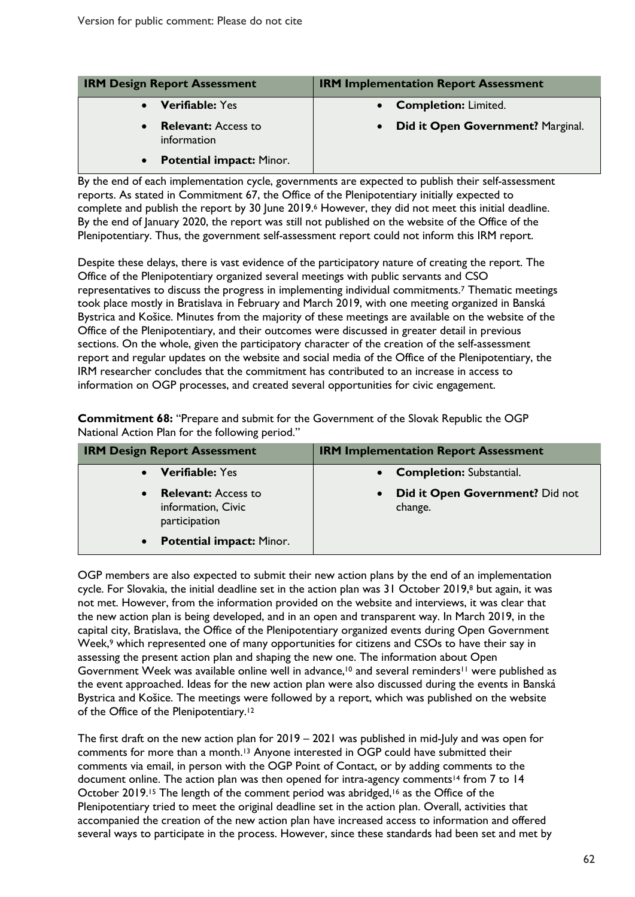| <b>IRM Design Report Assessment</b>                    | <b>IRM Implementation Report Assessment</b>    |  |
|--------------------------------------------------------|------------------------------------------------|--|
| <b>Verifiable: Yes</b><br>$\bullet$                    | • Completion: Limited.                         |  |
| <b>Relevant:</b> Access to<br>$\bullet$<br>information | Did it Open Government? Marginal.<br>$\bullet$ |  |
| <b>Potential impact: Minor.</b><br>$\bullet$           |                                                |  |

By the end of each implementation cycle, governments are expected to publish their self-assessment reports. As stated in Commitment 67, the Office of the Plenipotentiary initially expected to complete and publish the report by 30 June 2019.6 However, they did not meet this initial deadline. By the end of January 2020, the report was still not published on the website of the Office of the Plenipotentiary. Thus, the government self-assessment report could not inform this IRM report.

Despite these delays, there is vast evidence of the participatory nature of creating the report. The Office of the Plenipotentiary organized several meetings with public servants and CSO representatives to discuss the progress in implementing individual commitments.7 Thematic meetings took place mostly in Bratislava in February and March 2019, with one meeting organized in Banská Bystrica and Košice. Minutes from the majority of these meetings are available on the website of the Office of the Plenipotentiary, and their outcomes were discussed in greater detail in previous sections. On the whole, given the participatory character of the creation of the self-assessment report and regular updates on the website and social media of the Office of the Plenipotentiary, the IRM researcher concludes that the commitment has contributed to an increase in access to information on OGP processes, and created several opportunities for civic engagement.

**Commitment 68:** "Prepare and submit for the Government of the Slovak Republic the OGP National Action Plan for the following period."

| <b>IRM Design Report Assessment</b>                                            | <b>IRM Implementation Report Assessment</b>             |  |
|--------------------------------------------------------------------------------|---------------------------------------------------------|--|
| <b>Verifiable: Yes</b>                                                         | <b>Completion: Substantial.</b><br>$\bullet$            |  |
| <b>Relevant:</b> Access to<br>$\bullet$<br>information, Civic<br>participation | Did it Open Government? Did not<br>$\bullet$<br>change. |  |
| <b>Potential impact: Minor.</b><br>$\bullet$                                   |                                                         |  |

OGP members are also expected to submit their new action plans by the end of an implementation cycle. For Slovakia, the initial deadline set in the action plan was 31 October 2019,8 but again, it was not met. However, from the information provided on the website and interviews, it was clear that the new action plan is being developed, and in an open and transparent way. In March 2019, in the capital city, Bratislava, the Office of the Plenipotentiary organized events during Open Government Week,<sup>9</sup> which represented one of many opportunities for citizens and CSOs to have their say in assessing the present action plan and shaping the new one. The information about Open Government Week was available online well in advance,<sup>10</sup> and several reminders<sup>11</sup> were published as the event approached. Ideas for the new action plan were also discussed during the events in Banská Bystrica and Košice. The meetings were followed by a report, which was published on the website of the Office of the Plenipotentiary.12

The first draft on the new action plan for 2019 – 2021 was published in mid-July and was open for comments for more than a month. <sup>13</sup> Anyone interested in OGP could have submitted their comments via email, in person with the OGP Point of Contact, or by adding comments to the document online. The action plan was then opened for intra-agency comments<sup>14</sup> from 7 to 14 October 2019.<sup>15</sup> The length of the comment period was abridged,<sup>16</sup> as the Office of the Plenipotentiary tried to meet the original deadline set in the action plan. Overall, activities that accompanied the creation of the new action plan have increased access to information and offered several ways to participate in the process. However, since these standards had been set and met by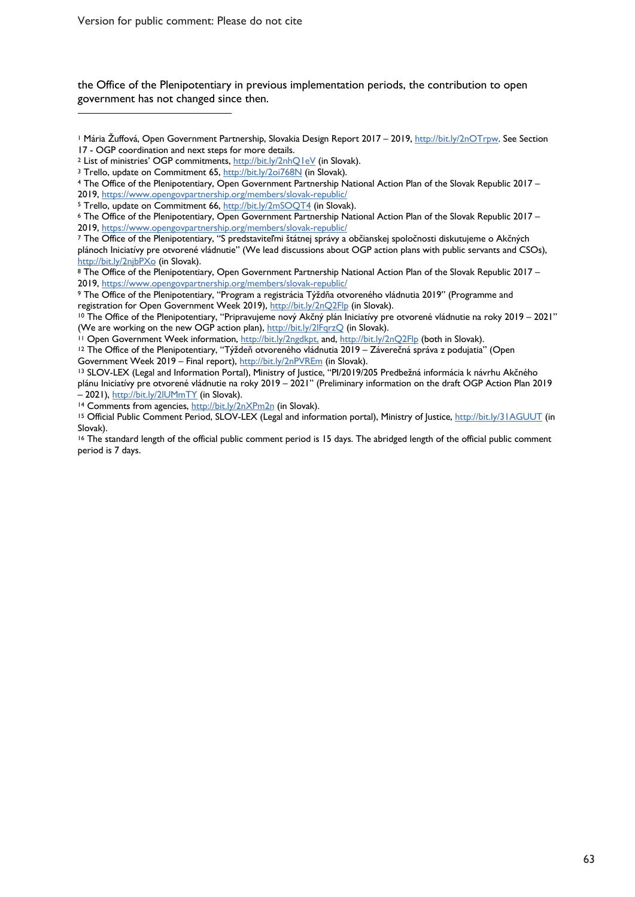Version for public comment: Please do not cite

 $\overline{a}$ 

the Office of the Plenipotentiary in previous implementation periods, the contribution to open government has not changed since then.

<sup>8</sup> The Office of the Plenipotentiary, Open Government Partnership National Action Plan of the Slovak Republic 2017 – 2019, https://www.opengovpartnership.org/members/slovak-republic/

<sup>9</sup> The Office of the Plenipotentiary, "Program a registrácia Týždňa otvoreného vládnutia 2019" (Programme and

Government Week 2019 – Final report), <u>http://bit.ly/2nPVREm</u> (in Slovak).<br><sup>13</sup> SLOV-LEX (Legal and Information Portal), Ministry of Justice, "PI/2019/205 Predbežná informácia k návrhu Akčného plánu Iniciatívy pre otvorené vládnutie na roky 2019 – 2021" (Preliminary information on the draft OGP Action Plan 2019 – 2021), http://bit.ly/2lUMmTY (in Slovak).<br><sup>14</sup> Comments from agencies, http://bit.ly/2nXPm2n (in Slovak).

<sup>&</sup>lt;sup>1</sup> Mária Žuffová, Open Government Partnership, Slovakia Design Report 2017 – 2019, <u>http://bit.ly/2nOTrpw</u>. See Section<br>17 - OGP coordination and next steps for more details.

<sup>&</sup>lt;sup>2</sup> List of ministries' OGP commitments, http://bit.ly/2nhQ1eV (in Slovak).<br><sup>3</sup> Trello, update on Commitment 65, http://bit.ly/20i768N (in Slovak).<br><sup>4</sup> The Office of the Plenipotentiary, Open Government Partnership Nation 2019, https://www.opengovpartnership.org/members/slovak-republic/

<sup>&</sup>lt;sup>5</sup> Trello, update on Commitment 66, http://bit.ly/2mSOQT4 (in Slovak). 6 The Office of the Slovak Republic 2017 – 5 The Office of the Plenipotentiary, Open Government Partnership National Action Plan of the Slovak Republ 2019, https://www.opengovpartnership.org/members/slovak-republic/

<sup>7</sup> The Office of the Plenipotentiary, "S predstaviteľmi štátnej správy a občianskej spoločnosti diskutujeme o Akčných plánoch Iniciatívy pre otvorené vládnutie" (We lead discussions about OGP action plans with public servants and CSOs), http://bit.ly/2njbPXo (in Slovak).

registration for Open Government Week 2019), http://bit.ly/2nQ2Flp (in Slovak).<br><sup>10</sup> The Office of the Plenipotentiary, "Pripravujeme nový Akčný plán Iniciatívy pre otvorené vládnutie na roky 2019 – 2021" (We are working on the new OGP action plan), http://bit.ly/2lFqrzQ (in Slovak).<br><sup>11</sup> Open Government Week information, http://bit.ly/2ngdkpt, and, http://bit.ly/2nQ2Flp (both in Slovak).

<sup>12</sup> The Office of the Plenipotentiary, "Týždeň otvoreného vládnutia 2019 – Záverečná správa z podujatia" (Open

<sup>&</sup>lt;sup>15</sup> Official Public Comment Period, SLOV-LEX (Legal and information portal), Ministry of Justice, http://bit.ly/31AGUUT (in Slovak).

<sup>&</sup>lt;sup>16</sup> The standard length of the official public comment period is 15 days. The abridged length of the official public comment period is 7 days.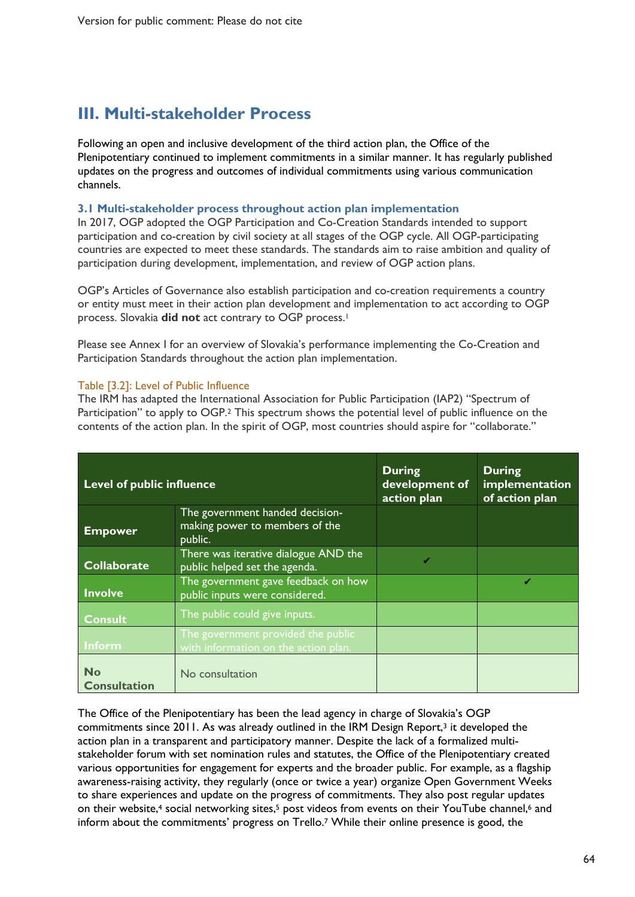# **III. Multi-stakeholder Process**

Following an open and inclusive development of the third action plan, the Office of the Plenipotentiary continued to implement commitments in a similar manner. It has regularly published updates on the progress and outcomes of individual commitments using various communication channels.

#### **3.1 Multi-stakeholder process throughout action plan implementation**

In 2017, OGP adopted the OGP Participation and Co-Creation Standards intended to support participation and co-creation by civil society at all stages of the OGP cycle. All OGP-participating countries are expected to meet these standards. The standards aim to raise ambition and quality of participation during development, implementation, and review of OGP action plans.

OGP's Articles of Governance also establish participation and co-creation requirements a country or entity must meet in their action plan development and implementation to act according to OGP process. Slovakia **did not** act contrary to OGP process.1

Please see Annex I for an overview of Slovakia's performance implementing the Co-Creation and Participation Standards throughout the action plan implementation.

#### Table [3.2]: Level of Public Influence

The IRM has adapted the International Association for Public Participation (IAP2) "Spectrum of Participation" to apply to OGP.2 This spectrum shows the potential level of public influence on the contents of the action plan. In the spirit of OGP, most countries should aspire for "collaborate."

| <b>Level of public influence</b> |                                                                              | <b>During</b><br>development of<br>action plan | <b>During</b><br>implementation<br>of action plan |
|----------------------------------|------------------------------------------------------------------------------|------------------------------------------------|---------------------------------------------------|
| <b>Empower</b>                   | The government handed decision-<br>making power to members of the<br>public. |                                                |                                                   |
| <b>Collaborate</b>               | There was iterative dialogue AND the<br>public helped set the agenda.        |                                                |                                                   |
| <b>Involve</b>                   | The government gave feedback on how<br>public inputs were considered.        |                                                | ✔                                                 |
| <b>Consult</b>                   | The public could give inputs.                                                |                                                |                                                   |
| <b>Inform</b>                    | The government provided the public<br>with information on the action plan.   |                                                |                                                   |
| <b>No</b><br><b>Consultation</b> | No consultation                                                              |                                                |                                                   |

The Office of the Plenipotentiary has been the lead agency in charge of Slovakia's OGP commitments since 2011. As was already outlined in the IRM Design Report,<sup>3</sup> it developed the action plan in a transparent and participatory manner. Despite the lack of a formalized multistakeholder forum with set nomination rules and statutes, the Office of the Plenipotentiary created various opportunities for engagement for experts and the broader public. For example, as a flagship awareness-raising activity, they regularly (once or twice a year) organize Open Government Weeks to share experiences and update on the progress of commitments. They also post regular updates on their website,<sup>4</sup> social networking sites,<sup>5</sup> post videos from events on their YouTube channel,<sup>6</sup> and inform about the commitments' progress on Trello.7 While their online presence is good, the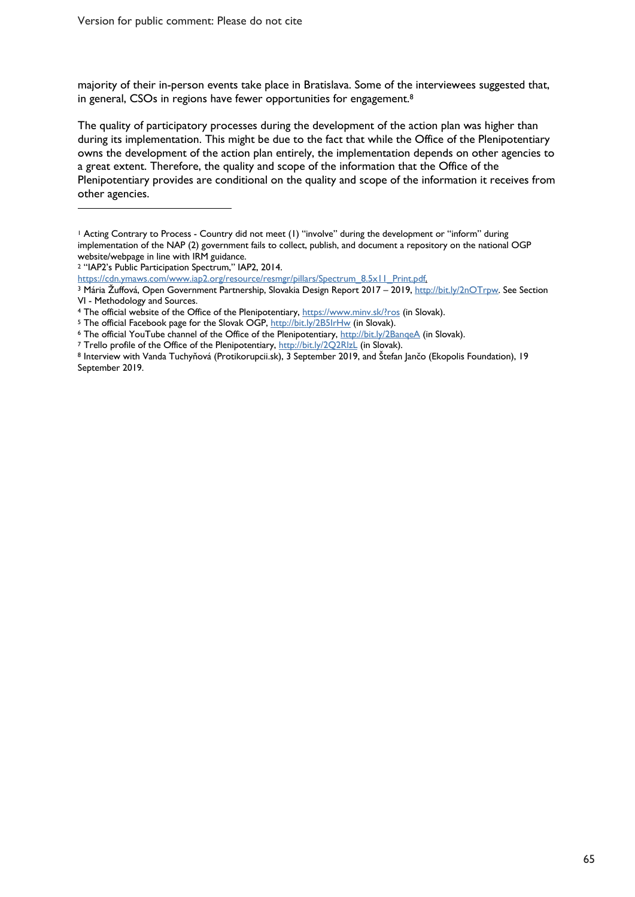majority of their in-person events take place in Bratislava. Some of the interviewees suggested that, in general, CSOs in regions have fewer opportunities for engagement.8

The quality of participatory processes during the development of the action plan was higher than during its implementation. This might be due to the fact that while the Office of the Plenipotentiary owns the development of the action plan entirely, the implementation depends on other agencies to a great extent. Therefore, the quality and scope of the information that the Office of the Plenipotentiary provides are conditional on the quality and scope of the information it receives from other agencies.

 $\overline{a}$ 

<sup>1</sup> Acting Contrary to Process - Country did not meet (1) "involve" during the development or "inform" during implementation of the NAP (2) government fails to collect, publish, and document a repository on the national OGP website/webpage in line with IRM guidance.

<sup>2</sup> "IAP2's Public Participation Spectrum," IAP2, 2014.

https://cdn.ymaws.com/www.iap2.org/resource/resmgr/pillars/Spectrum\_8.5x11\_Print.pdf.

<sup>3</sup> Mária Žuffová, Open Government Partnership, Slovakia Design Report 2017 – 2019, http://bit.ly/2nOTrpw. See Section VI - Methodology and Sources.<br>4 The official website of the Office of the Plenipotentiary, https://www.minv.sk/?ros (in Slovak).<br>5 The official Facebook page for the Slovak OGP, http://bit.ly/2B5IrHw (in Slovak).

<sup>&</sup>lt;sup>6</sup> The official YouTube channel of the Office of the Plenipotentiary,  $\frac{h_t}{h_t}$ ,  $\frac{h_t}{h_t}$ ,  $\frac{h_t}{h_t}$  (in Slovak). 7 Trello profile of the Office of the Plenipotentiary,  $\frac{h_t}{h_t}$ ,  $\frac{h_t}{h_t}$ ,  $\frac{h_t}{h_t}$ ,  $\frac{h$ 

<sup>8</sup> Interview with Vanda Tuchyňová (Protikorupcii.sk), 3 September 2019, and Štefan Jančo (Ekopolis Foundation), 19 September 2019.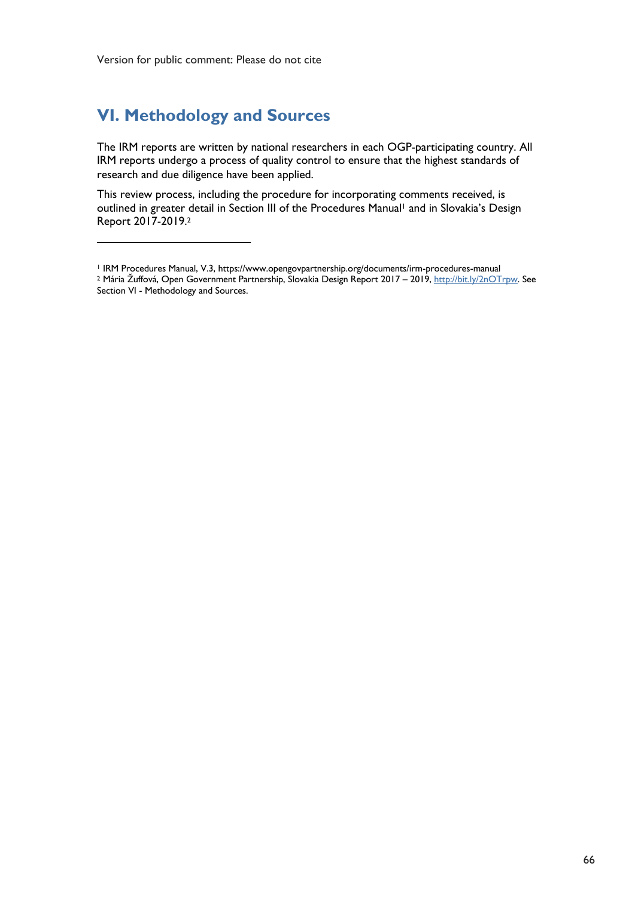# **VI. Methodology and Sources**

 $\overline{a}$ 

The IRM reports are written by national researchers in each OGP-participating country. All IRM reports undergo a process of quality control to ensure that the highest standards of research and due diligence have been applied.

This review process, including the procedure for incorporating comments received, is outlined in greater detail in Section III of the Procedures Manual<sup>1</sup> and in Slovakia's Design Report 2017-2019. 2

<sup>1</sup> IRM Procedures Manual, V.3, https://www.opengovpartnership.org/documents/irm-procedures-manual <sup>2</sup> Mária Žuffová, Open Government Partnership, Slovakia Design Report 2017 – 2019, http://bit.ly/2nOTrpw. See Section VI - Methodology and Sources.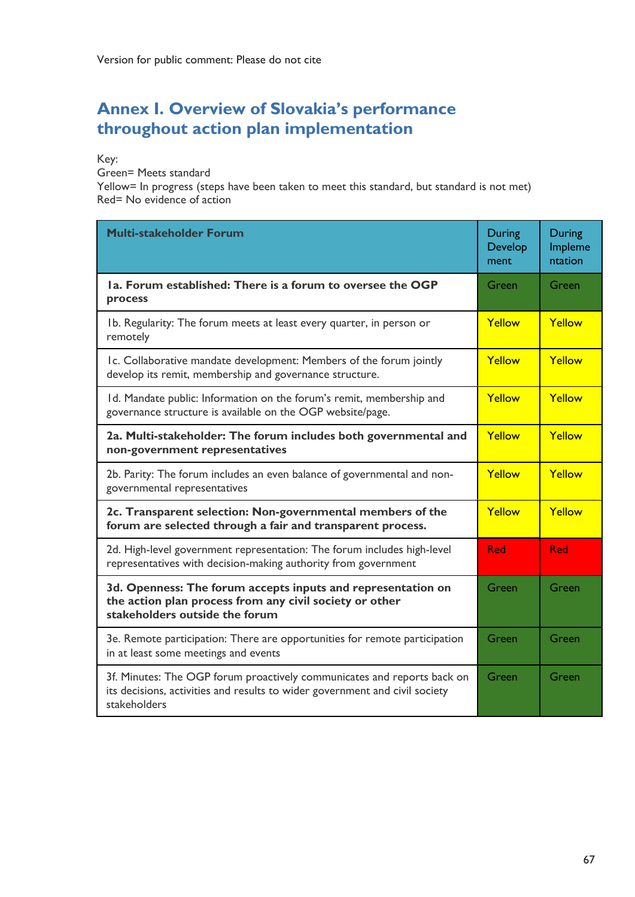# **Annex I. Overview of Slovakia's performance throughout action plan implementation**

Key:

Green= Meets standard

Yellow= In progress (steps have been taken to meet this standard, but standard is not met) Red= No evidence of action

| <b>Multi-stakeholder Forum</b>                                                                                                                                         |  | During<br>Impleme<br>ntation |
|------------------------------------------------------------------------------------------------------------------------------------------------------------------------|--|------------------------------|
| Ia. Forum established: There is a forum to oversee the OGP<br>process                                                                                                  |  | Green                        |
| Ib. Regularity: The forum meets at least every quarter, in person or<br>remotely                                                                                       |  | Yellow                       |
| Ic. Collaborative mandate development: Members of the forum jointly<br>develop its remit, membership and governance structure.                                         |  | Yellow                       |
| Id. Mandate public: Information on the forum's remit, membership and<br>governance structure is available on the OGP website/page.                                     |  | Yellow                       |
| 2a. Multi-stakeholder: The forum includes both governmental and<br>non-government representatives                                                                      |  | Yellow                       |
| 2b. Parity: The forum includes an even balance of governmental and non-<br>governmental representatives                                                                |  | Yellow                       |
| 2c. Transparent selection: Non-governmental members of the<br>forum are selected through a fair and transparent process.                                               |  | Yellow                       |
| 2d. High-level government representation: The forum includes high-level<br>representatives with decision-making authority from government                              |  | <b>Red</b>                   |
| 3d. Openness: The forum accepts inputs and representation on<br>the action plan process from any civil society or other<br>stakeholders outside the forum              |  | Green                        |
| 3e. Remote participation: There are opportunities for remote participation<br>in at least some meetings and events                                                     |  | Green                        |
| 3f. Minutes: The OGP forum proactively communicates and reports back on<br>its decisions, activities and results to wider government and civil society<br>stakeholders |  | Green                        |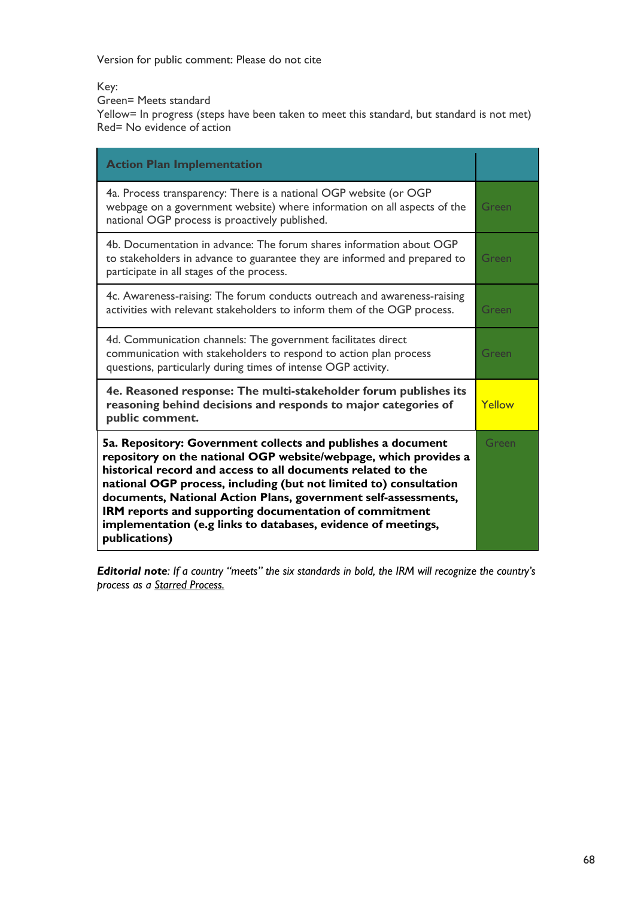Version for public comment: Please do not cite

Key:

Green= Meets standard

Yellow= In progress (steps have been taken to meet this standard, but standard is not met) Red= No evidence of action

| <b>Action Plan Implementation</b>                                                                                                                                                                                                                                                                                                                                                                                                                                                   |       |
|-------------------------------------------------------------------------------------------------------------------------------------------------------------------------------------------------------------------------------------------------------------------------------------------------------------------------------------------------------------------------------------------------------------------------------------------------------------------------------------|-------|
| 4a. Process transparency: There is a national OGP website (or OGP<br>webpage on a government website) where information on all aspects of the<br>national OGP process is proactively published.                                                                                                                                                                                                                                                                                     | Green |
| 4b. Documentation in advance: The forum shares information about OGP<br>to stakeholders in advance to guarantee they are informed and prepared to<br>participate in all stages of the process.                                                                                                                                                                                                                                                                                      | Green |
| 4c. Awareness-raising: The forum conducts outreach and awareness-raising<br>activities with relevant stakeholders to inform them of the OGP process.                                                                                                                                                                                                                                                                                                                                | Green |
| 4d. Communication channels: The government facilitates direct<br>communication with stakeholders to respond to action plan process<br>questions, particularly during times of intense OGP activity.                                                                                                                                                                                                                                                                                 | Green |
| 4e. Reasoned response: The multi-stakeholder forum publishes its<br>reasoning behind decisions and responds to major categories of<br>public comment.                                                                                                                                                                                                                                                                                                                               |       |
| 5a. Repository: Government collects and publishes a document<br>repository on the national OGP website/webpage, which provides a<br>historical record and access to all documents related to the<br>national OGP process, including (but not limited to) consultation<br>documents, National Action Plans, government self-assessments,<br>IRM reports and supporting documentation of commitment<br>implementation (e.g links to databases, evidence of meetings,<br>publications) |       |

*Editorial note: If a country "meets" the six standards in bold, the IRM will recognize the country's process as a Starred Process.*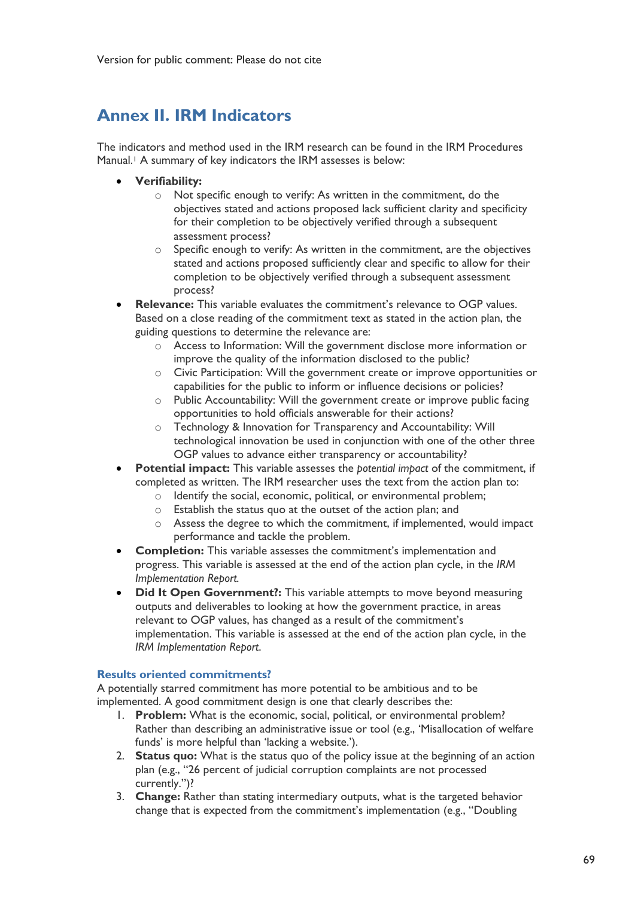# **Annex II. IRM Indicators**

The indicators and method used in the IRM research can be found in the IRM Procedures Manual.<sup>1</sup> A summary of key indicators the IRM assesses is below:

- **Verifiability:**
	- o Not specific enough to verify: As written in the commitment, do the objectives stated and actions proposed lack sufficient clarity and specificity for their completion to be objectively verified through a subsequent assessment process?
	- o Specific enough to verify: As written in the commitment, are the objectives stated and actions proposed sufficiently clear and specific to allow for their completion to be objectively verified through a subsequent assessment process?
- **Relevance:** This variable evaluates the commitment's relevance to OGP values. Based on a close reading of the commitment text as stated in the action plan, the guiding questions to determine the relevance are:
	- o Access to Information: Will the government disclose more information or improve the quality of the information disclosed to the public?
	- o Civic Participation: Will the government create or improve opportunities or capabilities for the public to inform or influence decisions or policies?
	- o Public Accountability: Will the government create or improve public facing opportunities to hold officials answerable for their actions?
	- o Technology & Innovation for Transparency and Accountability: Will technological innovation be used in conjunction with one of the other three OGP values to advance either transparency or accountability?
- **Potential impact:** This variable assesses the *potential impact* of the commitment, if completed as written. The IRM researcher uses the text from the action plan to:
	- o Identify the social, economic, political, or environmental problem;
	- o Establish the status quo at the outset of the action plan; and
	- $\circ$  Assess the degree to which the commitment, if implemented, would impact performance and tackle the problem.
- **Completion:** This variable assesses the commitment's implementation and progress. This variable is assessed at the end of the action plan cycle, in the *IRM Implementation Report.*
- **Did It Open Government?:** This variable attempts to move beyond measuring outputs and deliverables to looking at how the government practice, in areas relevant to OGP values, has changed as a result of the commitment's implementation. This variable is assessed at the end of the action plan cycle, in the *IRM Implementation Report*.

#### **Results oriented commitments?**

A potentially starred commitment has more potential to be ambitious and to be implemented. A good commitment design is one that clearly describes the:

- 1. **Problem:** What is the economic, social, political, or environmental problem? Rather than describing an administrative issue or tool (e.g., 'Misallocation of welfare funds' is more helpful than 'lacking a website.').
- 2. **Status quo:** What is the status quo of the policy issue at the beginning of an action plan (e.g., "26 percent of judicial corruption complaints are not processed currently.")?
- 3. **Change:** Rather than stating intermediary outputs, what is the targeted behavior change that is expected from the commitment's implementation (e.g., "Doubling